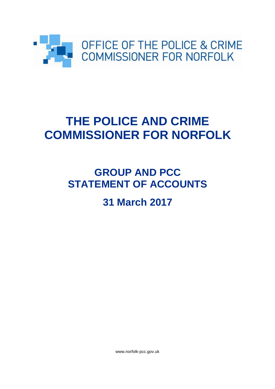

# **THE POLICE AND CRIME COMMISSIONER FOR NORFOLK**

# **GROUP AND PCC STATEMENT OF ACCOUNTS**

# **31 March 2017**

www.norfolk-pcc.gov.uk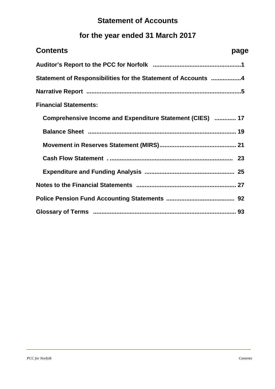## **Statement of Accounts**

# **for the year ended 31 March 2017**

| <b>Contents</b>                                               | page |
|---------------------------------------------------------------|------|
|                                                               |      |
| Statement of Responsibilities for the Statement of Accounts 4 |      |
|                                                               |      |
| <b>Financial Statements:</b>                                  |      |
| Comprehensive Income and Expenditure Statement (CIES)  17     |      |
|                                                               |      |
|                                                               |      |
|                                                               |      |
|                                                               |      |
|                                                               |      |
|                                                               |      |
|                                                               |      |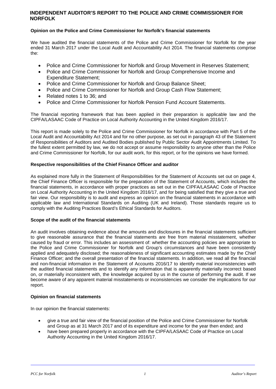### **INDEPENDENT AUDITOR'S REPORT TO THE POLICE AND CRIME COMMISSIONER FOR NORFOLK**

### **Opinion on the Police and Crime Commissioner for Norfolk's financial statements**

We have audited the financial statements of the Police and Crime Commissioner for Norfolk for the year ended 31 March 2017 under the Local Audit and Accountability Act 2014. The financial statements comprise the:

- Police and Crime Commissioner for Norfolk and Group Movement in Reserves Statement;
- Police and Crime Commissioner for Norfolk and Group Comprehensive Income and Expenditure Statement;
- Police and Crime Commissioner for Norfolk and Group Balance Sheet;
- Police and Crime Commissioner for Norfolk and Group Cash Flow Statement;
- Related notes 1 to 36; and
- Police and Crime Commissioner for Norfolk Pension Fund Account Statements.

The financial reporting framework that has been applied in their preparation is applicable law and the CIPFA/LASAAC Code of Practice on Local Authority Accounting in the United Kingdom 2016/17.

This report is made solely to the Police and Crime Commissioner for Norfolk in accordance with Part 5 of the Local Audit and Accountability Act 2014 and for no other purpose, as set out in paragraph 43 of the Statement of Responsibilities of Auditors and Audited Bodies published by Public Sector Audit Appointments Limited. To the fullest extent permitted by law, we do not accept or assume responsibility to anyone other than the Police and Crime Commissioner for Norfolk, for our audit work, for this report, or for the opinions we have formed.

### **Respective responsibilities of the Chief Finance Officer and auditor**

As explained more fully in the Statement of Responsibilities for the Statement of Accounts set out on page 4, the Chief Finance Officer is responsible for the preparation of the Statement of Accounts, which includes the financial statements, in accordance with proper practices as set out in the CIPFA/LASAAC Code of Practice on Local Authority Accounting in the United Kingdom 2016/17, and for being satisfied that they give a true and fair view. Our responsibility is to audit and express an opinion on the financial statements in accordance with applicable law and International Standards on Auditing (UK and Ireland). Those standards require us to comply with the Auditing Practices Board's Ethical Standards for Auditors.

### **Scope of the audit of the financial statements**

An audit involves obtaining evidence about the amounts and disclosures in the financial statements sufficient to give reasonable assurance that the financial statements are free from material misstatement, whether caused by fraud or error. This includes an assessment of: whether the accounting policies are appropriate to the Police and Crime Commissioner for Norfolk and Group's circumstances and have been consistently applied and adequately disclosed; the reasonableness of significant accounting estimates made by the Chief Finance Officer; and the overall presentation of the financial statements. In addition, we read all the financial and non-financial information in the Statement of Accounts 2016/17 to identify material inconsistencies with the audited financial statements and to identify any information that is apparently materially incorrect based on, or materially inconsistent with, the knowledge acquired by us in the course of performing the audit. If we become aware of any apparent material misstatements or inconsistencies we consider the implications for our report.

### **Opinion on financial statements**

In our opinion the financial statements:

- give a true and fair view of the financial position of the Police and Crime Commissioner for Norfolk and Group as at 31 March 2017 and of its expenditure and income for the year then ended; and
- have been prepared properly in accordance with the CIPFA/LASAAC Code of Practice on Local Authority Accounting in the United Kingdom 2016/17.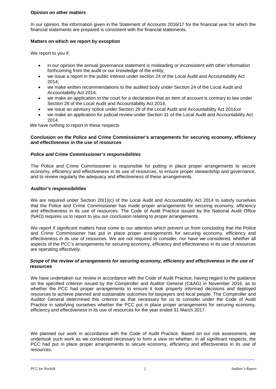### **Opinion on other matters**

In our opinion, the information given in the Statement of Accounts 2016/17 for the financial year for which the financial statements are prepared is consistent with the financial statements.

### **Matters on which we report by exception**

We report to you if:

- in our opinion the annual governance statement is misleading or inconsistent with other information forthcoming from the audit or our knowledge of the entity;
- we issue a report in the public interest under section 24 of the Local Audit and Accountability Act 2014;
- we make written recommendations to the audited body under Section 24 of the Local Audit and Accountability Act 2014;
- we make an application to the court for a declaration that an item of account is contrary to law under Section 28 of the Local Audit and Accountability Act 2014;
- we issue an advisory notice under Section 29 of the Local Audit and Accountability Act 2014;or
- we make an application for judicial review under Section 31 of the Local Audit and Accountability Act 2014.

We have nothing to report in these respects

#### **Conclusion on the Police and Crime Commissioner's arrangements for securing economy, efficiency and effectiveness in the use of resources**

### *Police and Crime Commissioner's responsibilities*

The Police and Crime Commissioner is responsible for putting in place proper arrangements to secure economy, efficiency and effectiveness in its use of resources, to ensure proper stewardship and governance, and to review regularly the adequacy and effectiveness of these arrangements.

#### *Auditor's responsibilities*

We are required under Section 20(1)(c) of the Local Audit and Accountability Act 2014 to satisfy ourselves that the Police and Crime Commissioner has made proper arrangements for securing economy, efficiency and effectiveness in its use of resources. The Code of Audit Practice issued by the National Audit Office (NAO) requires us to report to you our conclusion relating to proper arrangements.

We report if significant matters have come to our attention which prevent us from concluding that the Police and Crime Commissioner has put in place proper arrangements for securing economy, efficiency and effectiveness in its use of resources. We are not required to consider, nor have we considered, whether all aspects of the PCC's arrangements for securing economy, efficiency and effectiveness in its use of resources are operating effectively.

#### *Scope of the review of arrangements for securing economy, efficiency and effectiveness in the use of resources*

We have undertaken our review in accordance with the Code of Audit Practice, having regard to the guidance on the specified criterion issued by the Comptroller and Auditor General (C&AG) in November 2016, as to whether the PCC had proper arrangements to ensure it took properly informed decisions and deployed resources to achieve planned and sustainable outcomes for taxpayers and local people. The Comptroller and Auditor General determined this criterion as that necessary for us to consider under the Code of Audit Practice in satisfying ourselves whether the PCC put in place proper arrangements for securing economy, efficiency and effectiveness in its use of resources for the year ended 31 March 2017.

We planned our work in accordance with the Code of Audit Practice. Based on our risk assessment, we undertook such work as we considered necessary to form a view on whether, in all significant respects, the PCC had put in place proper arrangements to secure economy, efficiency and effectiveness in its use of resources.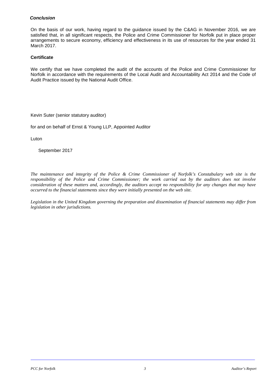### *Conclusion*

On the basis of our work, having regard to the guidance issued by the C&AG in November 2016, we are satisfied that, in all significant respects, the Police and Crime Commissioner for Norfolk put in place proper arrangements to secure economy, efficiency and effectiveness in its use of resources for the year ended 31 March 2017.

### **Certificate**

We certify that we have completed the audit of the accounts of the Police and Crime Commissioner for Norfolk in accordance with the requirements of the Local Audit and Accountability Act 2014 and the Code of Audit Practice issued by the National Audit Office.

Kevin Suter (senior statutory auditor)

for and on behalf of Ernst & Young LLP, Appointed Auditor

Luton

September 2017

*The maintenance and integrity of the Police & Crime Commissioner of Norfolk's Constabulary web site is the responsibility of the Police and Crime Commissioner; the work carried out by the auditors does not involve consideration of these matters and, accordingly, the auditors accept no responsibility for any changes that may have occurred to the financial statements since they were initially presented on the web site.*

*Legislation in the United Kingdom governing the preparation and dissemination of financial statements may differ from legislation in other jurisdictions.*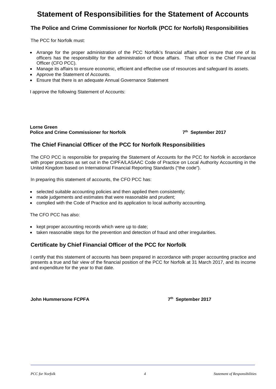### **Statement of Responsibilities for the Statement of Accounts**

### **The Police and Crime Commissioner for Norfolk (PCC for Norfolk) Responsibilities**

The PCC for Norfolk must:

- Arrange for the proper administration of the PCC Norfolk's financial affairs and ensure that one of its officers has the responsibility for the administration of those affairs. That officer is the Chief Financial Officer (CFO PCC).
- Manage its affairs to ensure economic, efficient and effective use of resources and safeguard its assets.
- Approve the Statement of Accounts.
- Ensure that there is an adequate Annual Governance Statement

I approve the following Statement of Accounts:

**Lorne Green Police and Crime Commissioner for Norfolk 7th September 2017** 

### **The Chief Financial Officer of the PCC for Norfolk Responsibilities**

The CFO PCC is responsible for preparing the Statement of Accounts for the PCC for Norfolk in accordance with proper practices as set out in the CIPFA/LASAAC Code of Practice on Local Authority Accounting in the United Kingdom based on International Financial Reporting Standards ("the code").

In preparing this statement of accounts, the CFO PCC has:

- selected suitable accounting policies and then applied them consistently;
- made judgements and estimates that were reasonable and prudent;
- complied with the Code of Practice and its application to local authority accounting.

The CFO PCC has also:

- kept proper accounting records which were up to date;
- taken reasonable steps for the prevention and detection of fraud and other irregularities.

### **Certificate by Chief Financial Officer of the PCC for Norfolk**

I certify that this statement of accounts has been prepared in accordance with proper accounting practice and presents a true and fair view of the financial position of the PCC for Norfolk at 31 March 2017, and its income and expenditure for the year to that date.

**John Hummersone FCPFA 7th September 2017**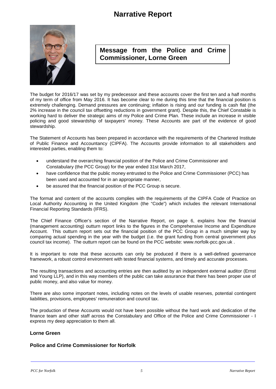### **Narrative Report**



### **Message from the Police and Crime Commissioner, Lorne Green**

The budget for 2016/17 was set by my predecessor and these accounts cover the first ten and a half months of my term of office from May 2016. It has become clear to me during this time that the financial position is extremely challenging. Demand pressures are continuing; inflation is rising and our funding is cash flat (the 2% increase in the council tax offsetting reductions in government grant). Despite this, the Chief Constable is working hard to deliver the strategic aims of my Police and Crime Plan. These include an increase in visible policing and good stewardship of taxpayers' money. These Accounts are part of the evidence of good stewardship.

The Statement of Accounts has been prepared in accordance with the requirements of the Chartered Institute of Public Finance and Accountancy (CIPFA). The Accounts provide information to all stakeholders and interested parties, enabling them to:

- understand the overarching financial position of the Police and Crime Commissioner and Constabulary (the PCC Group) for the year ended 31st March 2017,
- have confidence that the public money entrusted to the Police and Crime Commissioner (PCC) has been used and accounted for in an appropriate manner,
- be assured that the financial position of the PCC Group is secure.

The format and content of the accounts complies with the requirements of the CIPFA Code of Practice on Local Authority Accounting in the United Kingdom (the "Code") which includes the relevant International Financial Reporting Standards (IFRS).

The Chief Finance Officer's section of the Narrative Report, on page 6, explains how the financial (management accounting) outturn report links to the figures in the Comprehensive Income and Expenditure Account. This outturn report sets out the financial position of the PCC Group in a much simpler way by comparing actual spending in the year with the budget (i.e. the grant funding from central government plus council tax income). The outturn report can be found on the PCC website: [www.norfolk-pcc.gov.uk](http://www.norfolk-pcc.gov.uk/) .

It is important to note that these accounts can only be produced if there is a well-defined governance framework, a robust control environment with tested financial systems, and timely and accurate processes.

The resulting transactions and accounting entries are then audited by an independent external auditor (Ernst and Young LLP), and in this way members of the public can take assurance that there has been proper use of public money, and also value for money.

There are also some important notes, including notes on the levels of usable reserves, potential contingent liabilities, provisions, employees' remuneration and council tax.

The production of these Accounts would not have been possible without the hard work and dedication of the finance team and other staff across the Constabulary and Office of the Police and Crime Commissioner - I express my deep appreciation to them all.

### **Lorne Green**

### **Police and Crime Commissioner for Norfolk**

*PCC for Norfolk 5 Narrative Report*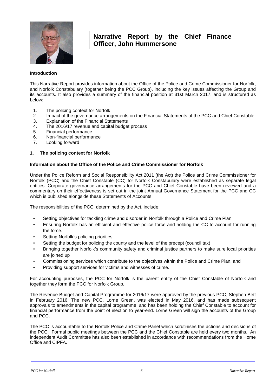

### **Narrative Report by the Chief Finance Officer, John Hummersone**

### **Introduction**

This Narrative Report provides information about the Office of the Police and Crime Commissioner for Norfolk, and Norfolk Constabulary (together being the PCC Group), including the key issues affecting the Group and its accounts. It also provides a summary of the financial position at 31st March 2017, and is structured as below:

- 1. The policing context for Norfolk<br>2. Impact of the governance arrane
- 2. Impact of the governance arrangements on the Financial Statements of the PCC and Chief Constable<br>3. Explanation of the Financial Statements
- Explanation of the Financial Statements
- 4. The 2016/17 revenue and capital budget process<br>5. Financial performance
- 5. Financial performance
- 6. Non-financial performance
- 7. Looking forward

### **1. The policing context for Norfolk**

### **Information about the Office of the Police and Crime Commissioner for Norfolk**

Under the Police Reform and Social Responsibility Act 2011 (the Act) the Police and Crime Commissioner for Norfolk (PCC) and the Chief Constable (CC) for Norfolk Constabulary were established as separate legal entities. Corporate governance arrangements for the PCC and Chief Constable have been reviewed and a commentary on their effectiveness is set out in the joint Annual Governance Statement for the PCC and CC which is published alongside these Statements of Accounts.

The responsibilities of the PCC, determined by the Act, include:

- Setting objectives for tackling crime and disorder in Norfolk through a Police and Crime Plan
- Ensuring Norfolk has an efficient and effective police force and holding the CC to account for running the force.
- Setting Norfolk's policing priorities
- Setting the budget for policing the county and the level of the precept (council tax)
- Bringing together Norfolk's community safety and criminal justice partners to make sure local priorities are joined up
- Commissioning services which contribute to the objectives within the Police and Crime Plan, and
- Providing support services for victims and witnesses of crime.

For accounting purposes, the PCC for Norfolk is the parent entity of the Chief Constable of Norfolk and together they form the PCC for Norfolk Group.

The Revenue Budget and Capital Programme for 2016/17 were approved by the previous PCC, Stephen Bett in February 2016. The new PCC, Lorne Green, was elected in May 2016, and has made subsequent approvals to amendments in the capital programme, and has been holding the Chief Constable to account for financial performance from the point of election to year-end. Lorne Green will sign the accounts of the Group and PCC.

The PCC is accountable to the Norfolk Police and Crime Panel which scrutinises the actions and decisions of the PCC. Formal public meetings between the PCC and the Chief Constable are held every two months. An independent Audit Committee has also been established in accordance with recommendations from the Home Office and CIPFA.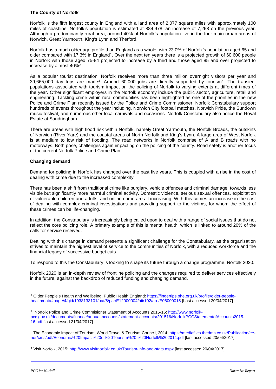### **The County of Norfolk**

Norfolk is the fifth largest county in England with a land area of 2,077 square miles with approximately 100 miles of coastline. Norfolk's population is estimated at 884,978, an increase of 7,268 on the previous year. Although a predominantly rural area, around 40% of Norfolk's population live in the four main urban areas of Norwich, Great Yarmouth, King's Lynn and Thetford.

Norfolk has a much older age profile than England as a whole, with 23.0% of Norfolk's population aged 65 and older compared with [1](#page-8-0)7.3% in England<sup>1</sup>. Over the next ten years there is a projected growth of 60,600 people in Norfolk with those aged 75-84 projected to increase by a third and those aged 85 and over projected to increase by almost 40%[2.](#page-8-1)

As a popular tourist destination, Norfolk receives more than three million overnight visitors per year and  $39.665,000$  day trips are made<sup>3</sup>. Around 60,000 jobs are directly supported by tourism<sup>4</sup>. The transient populations associated with tourism impact on the policing of Norfolk to varying extents at different times of the year. Other significant employers in the Norfolk economy include the public sector, agriculture, retail and engineering. Tackling crime within rural communities has been highlighted as one of the priorities in the new Police and Crime Plan recently issued by the Police and Crime Commissioner. Norfolk Constabulary support hundreds of events throughout the year including, Norwich City football matches, Norwich Pride, the Sundown music festival, and numerous other local carnivals and occasions. Norfolk Constabulary also police the Royal Estate at Sandringham.

There are areas with high flood risk within Norfolk, namely Great Yarmouth, the Norfolk Broads, the outskirts of Norwich (River Yare) and the coastal areas of North Norfolk and King's Lynn. A large area of West Norfolk is at medium to low risk of flooding. The road networks in Norfolk comprise of A and B roads with no motorways. Both pose, challenges again impacting on the policing of the county. Road safety is another focus of the current Norfolk Police and Crime Plan.

### **Changing demand**

Demand for policing in Norfolk has changed over the past five years. This is coupled with a rise in the cost of dealing with crime due to the increased complexity.

There has been a shift from traditional crime like burglary, vehicle offences and criminal damage, towards less visible but significantly more harmful criminal activity. Domestic violence, serious sexual offences, exploitation of vulnerable children and adults, and online crime are all increasing. With this comes an increase in the cost of dealing with complex criminal investigations and providing support to the victims, for whom the effect of these crimes can be life-changing.

In addition, the Constabulary is increasingly being called upon to deal with a range of social issues that do not reflect the core policing role. A primary example of this is mental health, which is linked to around 20% of the calls for service received.

Dealing with this change in demand presents a significant challenge for the Constabulary, as the organisation strives to maintain the highest level of service to the communities of Norfolk, with a reduced workforce and the financial legacy of successive budget cuts.

To respond to this the Constabulary is looking to shape its future through a change programme, Norfolk 2020.

Norfolk 2020 is an in-depth review of frontline policing and the changes required to deliver services effectively in the future, against the backdrop of reduced funding and changing demand.

 $\overline{a}$ 

<span id="page-8-0"></span><sup>1</sup> Older People's Health and Wellbeing, Public Health England[: https://fingertips.phe.org.uk/profile/older-people](https://fingertips.phe.org.uk/profile/older-people-health/data#page/4/gid/1938133101/pat/6/par/E12000004/ati/102/are/E06000015)[health/data#page/4/gid/1938133101/pat/6/par/E12000004/ati/102/are/E06000015](https://fingertips.phe.org.uk/profile/older-people-health/data#page/4/gid/1938133101/pat/6/par/E12000004/ati/102/are/E06000015) [Last accessed 20/04/2017]

<span id="page-8-1"></span><sup>&</sup>lt;sup>2</sup> Norfolk Police and Crime Commisioner Statement of Accounts 2015-16: [http://www.norfolk](http://www.norfolk-pcc.gov.uk/documents/finance/annual-accounts/statement-accounts/201516/NorfolkPCCStatementofAccounts2015-16.pdf)[pcc.gov.uk/documents/finance/annual-accounts/statement-accounts/201516/NorfolkPCCStatementofAccounts2015-](http://www.norfolk-pcc.gov.uk/documents/finance/annual-accounts/statement-accounts/201516/NorfolkPCCStatementofAccounts2015-16.pdf) [16.pdf](http://www.norfolk-pcc.gov.uk/documents/finance/annual-accounts/statement-accounts/201516/NorfolkPCCStatementofAccounts2015-16.pdf) [last accessed 21/04/2017]

<span id="page-8-2"></span><sup>&</sup>lt;sup>3</sup> The Economic Impact of Tourism, World Travel & Tourism Council, 2014: [https://mediafiles.thedms.co.uk/Publication/ee](https://mediafiles.thedms.co.uk/Publication/ee-nor/cms/pdf/Economic%20Impact%20of%20Tourism%20-%20Norfolk%202014.pdf)[nor/cms/pdf/Economic%20Impact%20of%20Tourism%20-%20Norfolk%202014.pdf](https://mediafiles.thedms.co.uk/Publication/ee-nor/cms/pdf/Economic%20Impact%20of%20Tourism%20-%20Norfolk%202014.pdf) [last accessed 20/04/2017]

<span id="page-8-3"></span><sup>4</sup> Visit Norfolk, 2015:<http://www.visitnorfolk.co.uk/Tourism-info-and-stats.aspx> [last accessed 20/04/2017]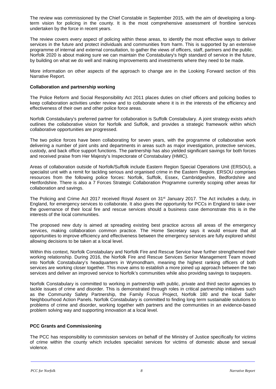The review was commissioned by the Chief Constable in September 2015, with the aim of developing a longterm vision for policing in the county. It is the most comprehensive assessment of frontline services undertaken by the force in recent years.

The review covers every aspect of policing within these areas, to identify the most effective ways to deliver services in the future and protect individuals and communities from harm. This is supported by an extensive programme of internal and external consultation, to gather the views of officers, staff, partners and the public. Norfolk 2020 is about making sure we can maintain the Constabulary's high standard of service in the future, by building on what we do well and making improvements and investments where they need to be made.

More information on other aspects of the approach to change are in the Looking Forward section of this Narrative Report.

#### **Collaboration and partnership working**

The Police Reform and Social Responsibility Act 2011 places duties on chief officers and policing bodies to keep collaboration activities under review and to collaborate where it is in the interests of the efficiency and effectiveness of their own and other police force areas.

Norfolk Constabulary's preferred partner for collaboration is Suffolk Constabulary. A joint strategy exists which outlines the collaborative vision for Norfolk and Suffolk, and provides a strategic framework within which collaborative opportunities are progressed.

The two police forces have been collaborating for seven years, with the programme of collaborative work delivering a number of joint units and departments in areas such as major investigation, protective services, custody, and back office support functions. The partnership has also yielded significant savings for both forces and received praise from Her Majesty's Inspectorate of Constabulary (HMIC).

Areas of collaboration outside of Norfolk/Suffolk include Eastern Region Special Operations Unit (ERSOU), a specialist unit with a remit for tackling serious and organised crime in the Eastern Region. ERSOU comprises resources from the following police forces: Norfolk, Suffolk, Essex, Cambridgeshire, Bedfordshire and Hertfordshire. There is also a 7 Forces Strategic Collaboration Programme currently scoping other areas for collaboration and savings.

The Policing and Crime Act 2017 received Royal Assent on 31st January 2017. The Act includes a duty, in England, for emergency services to collaborate. It also gives the opportunity for PCCs in England to take over the governance of their local fire and rescue services should a business case demonstrate this is in the interests of the local communities.

The proposed new duty is aimed at spreading existing best practice across all areas of the emergency services, making collaboration common practice. The Home Secretary says it would ensure that all opportunities to improve efficiency and effectiveness between the emergency services are fully explored whilst allowing decisions to be taken at a local level.

Within this context, Norfolk Constabulary and Norfolk Fire and Rescue Service have further strengthened their working relationship. During 2016, the Norfolk Fire and Rescue Services Senior Management Team moved into Norfolk Constabulary's headquarters in Wymondham, meaning the highest ranking officers of both services are working closer together. This move aims to establish a more joined up approach between the two services and deliver an improved service to Norfolk's communities while also providing savings to taxpayers.

Norfolk Constabulary is committed to working in partnership with public, private and third sector agencies to tackle issues of crime and disorder. This is demonstrated through roles in critical partnership initiatives such as the Community Safety Partnership, the Family Focus Project, Norfolk 180 and the local Safer Neighbourhood Action Panels. Norfolk Constabulary is committed to finding long term sustainable solutions to problems of crime and disorder, working together with partners and the communities in an evidence-based problem solving way and supporting innovation at a local level.

### **PCC Grants and Commissioning**

The PCC has responsibility to commission services on behalf of the Ministry of Justice specifically for victims of crime within the county which includes specialist services for victims of domestic abuse and sexual violence.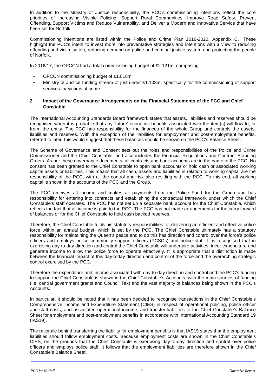In addition to the Ministry of Justice responsibility, the PCC's commissioning intentions reflect the core priorities of Increasing Visible Policing, Support Rural Communities, Improve Road Safety, Prevent Offending, Support Victims and Reduce Vulnerability, and Deliver a Modern and Innovative Service that have been set for Norfolk.

Commissioning intentions are listed within the Police and Crime Plan 2016-2020, Appendix C. These highlight the PCC's intent to invest more into preventative strategies and intentions with a view to reducing offending and victimisation, reducing demand on police and criminal justice system and protecting the people of Norfolk.

In 2016/17, the OPCCN had a total commissioning budget of £2.121m, comprising:

- OPCCN commissioning budget of £1.018m
- Ministry of Justice funding stream of just under £1.103m, specifically for the commissioning of support services for victims of crime.

### **2. Impact of the Governance Arrangements on the Financial Statements of the PCC and Chief Constable**

The International Accounting Standards Board framework states that assets, liabilities and reserves should be recognised when it is probable that any 'future' economic benefits associated with the item(s) will flow to, or from, the entity. The PCC has responsibility for the finances of the whole Group and controls the assets, liabilities and reserves. With the exception of the liabilities for employment and post-employment benefits, referred to later, this would suggest that these balances should be shown on the PCC's Balance Sheet.

The Scheme of Governance and Consent sets out the roles and responsibilities of the Police and Crime Commissioner and the Chief Constable, and also includes the Financial Regulations and Contract Standing Orders. As per these governance documents, all contracts and bank accounts are in the name of the PCC. No consent has been granted to the Chief Constable to open bank accounts or hold cash or associated working capital assets or liabilities. This means that all cash, assets and liabilities in relation to working capital are the responsibility of the PCC, with all the control and risk also residing with the PCC. To this end, all working capital is shown in the accounts of the PCC and the Group.

The PCC receives all income and makes all payments from the Police Fund for the Group and has responsibility for entering into contracts and establishing the contractual framework under which the Chief Constable's staff operates. The PCC has not set up a separate bank account for the Chief Constable, which reflects the fact that all income is paid to the PCC. The PCC has not made arrangements for the carry forward of balances or for the Chief Constable to hold cash backed reserves.

Therefore, the Chief Constable fulfils his statutory responsibilities for delivering an efficient and effective police force within an annual budget, which is set by the PCC. The Chief Constable ultimately has a statutory responsibility for maintaining the Queen's peace and to do this has direction and control over the force's police officers and employs police community support officers (PCSOs) and police staff. It is recognised that in exercising day-to-day direction and control the Chief Constable will undertake activities, incur expenditure and generate income to allow the police force to operate effectively. It is appropriate that a distinction is made between the financial impact of this day-today direction and control of the force and the overarching strategic control exercised by the PCC.

Therefore the expenditure and income associated with day-to-day direction and control and the PCC's funding to support the Chief Constable is shown in the Chief Constable's Accounts, with the main sources of funding (i.e. central government grants and Council Tax) and the vast majority of balances being shown in the PCC's Accounts.

In particular, it should be noted that it has been decided to recognise transactions in the Chief Constable's Comprehensive Income and Expenditure Statement (CIES) in respect of operational policing, police officer and staff costs, and associated operational income, and transfer liabilities to the Chief Constable's Balance Sheet for employment and post-employment benefits in accordance with International Accounting Standard 19 (IAS19).

The rationale behind transferring the liability for employment benefits is that IAS19 states that the employment liabilities should follow employment costs. Because employment costs are shown in the Chief Constable's CIES, on the grounds that the Chief Constable is exercising day-to-day direction and control over police officers and employs police staff, it follows that the employment liabilities are therefore shown in the Chief Constable's Balance Sheet.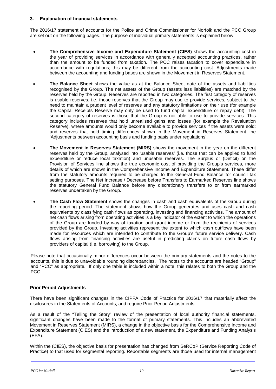### **3. Explanation of financial statements**

The 2016/17 statement of accounts for the Police and Crime Commissioner for Norfolk and the PCC Group are set out on the following pages. The purpose of individual primary statements is explained below:

- **The Comprehensive Income and Expenditure Statement (CIES)** shows the accounting cost in the year of providing services in accordance with generally accepted accounting practices, rather than the amount to be funded from taxation. The PCC raises taxation to cover expenditure in accordance with regulations; this may be different from the accounting cost. Adjustments made between the accounting and funding bases are shown in the Movement in Reserves Statement.
- **The Balance Sheet** shows the value as at the Balance Sheet date of the assets and liabilities recognised by the Group. The net assets of the Group (assets less liabilities) are matched by the reserves held by the Group. Reserves are reported in two categories. The first category of reserves is usable reserves, i.e. those reserves that the Group may use to provide services, subject to the need to maintain a prudent level of reserves and any statutory limitations on their use (for example the Capital Receipts Reserve may only be used to fund capital expenditure or repay debt). The second category of reserves is those that the Group is not able to use to provide services. This category includes reserves that hold unrealised gains and losses (for example the Revaluation Reserve), where amounts would only become available to provide services if the assets were sold; and reserves that hold timing differences shown in the Movement in Reserves Statement line 'Adjustments between accounting basis and funding basis under regulations'.
- **The Movement in Reserves Statement (MIRS)** shows the movement in the year on the different reserves held by the Group, analysed into 'usable reserves' (i.e. those that can be applied to fund expenditure or reduce local taxation) and unusable reserves. The Surplus or (Deficit) on the Provision of Services line shows the true economic cost of providing the Group's services, more details of which are shown in the Comprehensive Income and Expenditure Statement. These differ from the statutory amounts required to be charged to the General Fund Balance for council tax setting purposes. The Net Increase / Decrease before Transfers to Earmarked Reserves line shows the statutory General Fund Balance before any discretionary transfers to or from earmarked reserves undertaken by the Group.
- **The Cash Flow Statement** shows the changes in cash and cash equivalents of the Group during the reporting period. The statement shows how the Group generates and uses cash and cash equivalents by classifying cash flows as operating, investing and financing activities. The amount of net cash flows arising from operating activities is a key indicator of the extent to which the operations of the Group are funded by way of taxation and grant income or from the recipients of services provided by the Group. Investing activities represent the extent to which cash outflows have been made for resources which are intended to contribute to the Group's future service delivery. Cash flows arising from financing activities are useful in predicting claims on future cash flows by providers of capital (i.e. borrowing) to the Group.

Please note that occasionally minor differences occur between the primary statements and the notes to the accounts, this is due to unavoidable rounding discrepancies. The notes to the accounts are headed "Group" and "PCC" as appropriate. If only one table is included within a note, this relates to both the Group and the PCC.

### **Prior Period Adjustments**

There have been significant changes in the CIPFA Code of Practice for 2016/17 that materially affect the disclosures in the Statements of Accounts, and require Prior Period Adjustments.

As a result of the "Telling the Story" review of the presentation of local authority financial statements, significant changes have been made to the format of primary statements. This includes an abbreviated Movement in Reserves Statement (MIRS), a change in the objective basis for the Comprehensive Income and Expenditure Statement (CIES) and the introduction of a new statement, the Expenditure and Funding Analysis (EFA).

Within the (CIES), the objective basis for presentation has changed from SeRCoP (Service Reporting Code of Practice) to that used for segmental reporting. Reportable segments are those used for internal management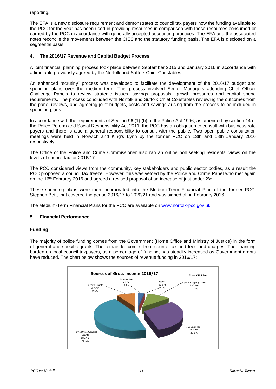reporting.

The EFA is a new disclosure requirement and demonstrates to council tax payers how the funding available to the PCC for the year has been used in providing resources in comparison with those resources consumed or earned by the PCC in accordance with generally accepted accounting practices. The EFA and the associated notes reconcile the movements between the CIES and the statutory funding basis. The EFA is disclosed on a segmental basis.

### **4. The 2016/17 Revenue and Capital Budget Process**

A joint financial planning process took place between September 2015 and January 2016 in accordance with a timetable previously agreed by the Norfolk and Suffolk Chief Constables.

An enhanced "scrutiny" process was developed to facilitate the development of the 2016/17 budget and spending plans over the medium-term. This process involved Senior Managers attending Chief Officer Challenge Panels to review strategic issues, savings proposals, growth pressures and capital spend requirements. The process concluded with Norfolk and Suffolk Chief Constables reviewing the outcomes from the panel reviews, and agreeing joint budgets, costs and savings arising from the process to be included in spending plans.

In accordance with the requirements of Section 96 (1) (b) of the Police Act 1996, as amended by section 14 of the Police Reform and Social Responsibility Act 2011, the PCC has an obligation to consult with business rate payers and there is also a general responsibility to consult with the public. Two open public consultation meetings were held in Norwich and King's Lynn by the former PCC on 13th and 18th January 2016 respectively.

The Office of the Police and Crime Commissioner also ran an online poll seeking residents' views on the levels of council tax for 2016/17.

The PCC considered views from the community, key stakeholders and public sector bodies, as a result the PCC proposed a council tax freeze. However, this was vetoed by the Police and Crime Panel who met again on the 16<sup>th</sup> February 2016 and agreed a revised proposal of an increase of just under 2%.

These spending plans were then incorporated into the Medium-Term Financial Plan of the former PCC, Stephen Bett, that covered the period 2016/17 to 2020/21 and was signed off in February 2016.

The Medium-Term Financial Plans for the PCC are available on [www.norfolk-pcc.gov.uk](http://www.norfolk-pcc.gov.uk/)

### **5. Financial Performance**

### **Funding**

The majority of police funding comes from the Government (Home Office and Ministry of Justice) in the form of general and specific grants. The remainder comes from council tax and fees and charges. The financing burden on local council taxpayers, as a percentage of funding, has steadily increased as Government grants have reduced. The chart below shows the sources of revenue funding in 2016/17:

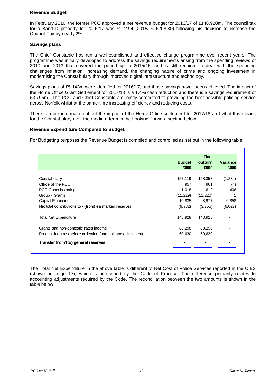### **Revenue Budget**

In February 2016, the former PCC approved a net revenue budget for 2016/17 of £148.928m. The council tax for a Band D property for 2016/17 was £212.94 (2015/16 £208.80) following his decision to increase the Council Tax by nearly 2%.

### **Savings plans**

The Chief Constable has run a well-established and effective change programme over recent years. The programme was initially developed to address the savings requirements arising from the spending reviews of 2010 and 2013 that covered the period up to 2015/16, and is still required to deal with the spending challenges from inflation, increasing demand, the changing nature of crime and ongoing investment in modernising the Constabulary through improved digital infrastructure and technology.

Savings plans of £5.143m were identified for 2016/17, and those savings have been achieved. The impact of the Home Office Grant Settlement for 2017/18 is a 1.4% cash reduction and there is a savings requirement of £3.795m. The PCC and Chief Constable are jointly committed to providing the best possible policing service across Norfolk whilst at the same time increasing efficiency and reducing costs.

There is more information about the impact of the Home Office settlement for 2017/18 and what this means for the Constabulary over the medium-term in the Looking Forward section below.

#### **Revenue Expenditure Compared to Budget.**

For Budgeting purposes the Revenue Budget is compiled and controlled as set out in the following table:

|                                                            |                       | <b>Final</b>    |                         |  |  |
|------------------------------------------------------------|-----------------------|-----------------|-------------------------|--|--|
|                                                            | <b>Budget</b><br>£000 | outturn<br>£000 | <b>Variance</b><br>£000 |  |  |
|                                                            |                       |                 |                         |  |  |
| Constabulary                                               | 157,119               | 158,353         | (1,234)                 |  |  |
| Office of the PCC                                          | 957                   | 961             | (4)                     |  |  |
| PCC Commissioning                                          | 1,018                 | 612             | 406                     |  |  |
| Group - Grants                                             | (11, 219)             | (11,220)        |                         |  |  |
| Capital Financing                                          | 10,835                | 3,977           | 6,858                   |  |  |
| Net total contributions to / (from) earmarked reserves     | (9,782)               | (3,755)         | (6,027)                 |  |  |
| <b>Total Net Expenditure</b>                               | 148,928               | 148,928         |                         |  |  |
| Grants and non-domestic rates income                       | 88,298                | 88,298          |                         |  |  |
| Precept Income (before collection fund balance adjustment) | 60,630                | 60,630          |                         |  |  |
| Transfer from/(to) general reserves                        |                       |                 |                         |  |  |

The Total Net Expenditure in the above table is different to Net Cost of Police Services reported in the CIES (shown on page 17), which is prescribed by the Code of Practice. The difference primarily relates to accounting adjustments required by the Code. The reconciliation between the two amounts is shown in the table below.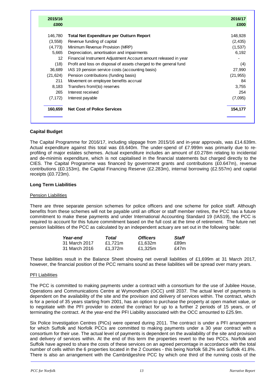| 2015/16<br>£000 |                                                                   | 2016/17<br>£000 |
|-----------------|-------------------------------------------------------------------|-----------------|
| 146,780         | Total Net Expenditure per Outturn Report                          | 148,928         |
| (3, 558)        | Revenue funding of capital                                        | (2, 435)        |
| (4,773)         | Minimum Revenue Provision (MRP)                                   | (1,537)         |
| 5,665           | Depreciation, amortisation and impairments                        | 6,192           |
| 12              | Financial Instrument Adjustment Account amount released in year   |                 |
| (18)            | Profit and loss on disposal of assets charged to the general fund | (4)             |
| 36,689          | IAS 19 pension service costs (accounting basis)                   | 27,990          |
| (21, 624)       | Pension contributions (funding basis)                             | (21, 955)       |
| 211             | Movement on employee benefits accrual                             | 84              |
| 8,183           | Transfers from/(to) reserves                                      | 3,755           |
| 265             | Interest received                                                 | 254             |
| (7, 172)        | Interest payable                                                  | (7,095)         |
| 160,659         | <b>Net Cost of Police Services</b>                                | 154,177         |

### **Capital Budget**

The Capital Programme for 2016/17, including slippage from 2015/16 and in-year approvals, was £14.639m. Actual expenditure against this total was £6.640m. The under-spend of £7.999m was primarily due to reprofiling of major estates schemes. Actual expenditure includes an amount of £0.278m relating to incidental and de-minimis expenditure, which is not capitalised in the financial statements but charged directly to the CIES. The Capital Programme was financed by government grants and contributions (£0.647m), revenue contributions (£0.153m), the Capital Financing Reserve (£2.283m), internal borrowing (£2.557m) and capital receipts (£0.723m).

### **Long Term Liabilities**

#### Pension Liabilities

There are three separate pension schemes for police officers and one scheme for police staff. Although benefits from these schemes will not be payable until an officer or staff member retires, the PCC has a future commitment to make these payments and under International Accounting Standard 19 (IAS19), the PCC is required to account for this future commitment based on the full cost at the time of retirement. The future net pension liabilities of the PCC as calculated by an independent actuary are set out in the following table:

| Year-end      | Total   | <b>Officers</b> | Staff |
|---------------|---------|-----------------|-------|
| 31 March 2017 | £1.721m | £1.632m         | £89m  |
| 31 March 2016 | £1.372m | £1.325m         | f47m  |

These liabilities result in the Balance Sheet showing net overall liabilities of £1,699m at 31 March 2017, however, the financial position of the PCC remains sound as these liabilities will be spread over many years.

#### PFI Liabilities

The PCC is committed to making payments under a contract with a consortium for the use of Jubilee House, Operations and Communications Centre at Wymondham (OCC) until 2037. The actual level of payments is dependent on the availability of the site and the provision and delivery of services within. The contract, which is for a period of 35 years starting from 2001, has an option to purchase the property at open market value, or to negotiate with the PFI provider to extend the contract for up to a further 2 periods of 15 years, or of terminating the contract. At the year-end the PFI Liability associated with the OCC amounted to £25.9m.

Six Police Investigation Centres (PICs) were opened during 2011. The contract is under a PFI arrangement for which Suffolk and Norfolk PCCs are committed to making payments under a 30 year contract with a consortium for their use. The actual level of payments is dependent on the availability of the site and provision and delivery of services within. At the end of this term the properties revert to the two PCCs. Norfolk and Suffolk have agreed to share the costs of these services on an agreed percentage in accordance with the total number of cells within the 6 properties located in the 2 Counties - this being Norfolk 58.2% and Suffolk 41.8%. There is also an arrangement with the Cambridgeshire PCC by which one third of the running costs of the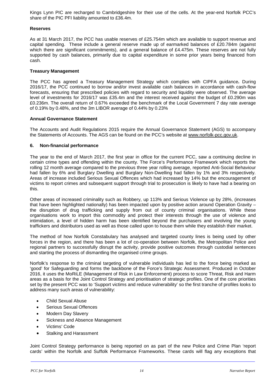Kings Lynn PIC are recharged to Cambridgeshire for their use of the cells. At the year-end Norfolk PCC's share of the PIC PFI liability amounted to £36.4m.

### **Reserves**

As at 31 March 2017, the PCC has usable reserves of £25.754m which are available to support revenue and capital spending. These include a general reserve made up of earmarked balances of £20.784m (against which there are significant commitments), and a general balance of £4.475m. These reserves are not fully supported by cash balances, primarily due to capital expenditure in some prior years being financed from cash.

### **Treasury Management**

The PCC has agreed a Treasury Management Strategy which complies with CIPFA guidance**.** During 2016/17, the PCC continued to borrow and/or invest available cash balances in accordance with cash-flow forecasts, ensuring that prescribed policies with regard to security and liquidity were observed. The average level of investments for 2016/17 was £35.4m and the interest received against the budget of £0.290m was £0.236m. The overall return of 0.67% exceeded the benchmark of the Local Government 7 day rate average of 0.19% by 0.48%, and the 3m LIBOR average of 0.44% by 0.23%

### **Annual Governance Statement**

The Accounts and Audit Regulations 2015 require the Annual Governance Statement (AGS) to accompany the Statements of Accounts. The AGS can be found on the PCC's website at [www.norfolk-pcc.gov.uk.](http://www.norfolk-pcc.gov.uk/)

### **6. Non-financial performance**

The year to the end of March 2017, the first year in office for the current PCC, saw a continuing decline in certain crime types and offending within the county. The Force's Performance Framework which reports the rolling 12 month average compared to the previous three year rolling average, reported Anti-Social Behaviour had fallen by 6% and Burglary Dwelling and Burglary Non-Dwelling had fallen by 1% and 3% respectively. Areas of increase included Serious Sexual Offences which had increased by 14% but the encouragement of victims to report crimes and subsequent support through trial to prosecution is likely to have had a bearing on this.

Other areas of increased criminality such as Robbery, up 113% and Serious Violence up by 28%, (increases that have been highlighted nationally) has been impacted upon by positive action around Operation Gravity – the disruption of drug trafficking and supply from out of county criminal organisations. While these organisations work to import this commodity and protect their interests through the use of violence and intimidation, a level of hidden harm has been identified beyond the purchasers and involving the young traffickers and distributors used as well as those called upon to house them while they establish their market.

The method of how Norfolk Constabulary has analysed and targeted county lines is being used by other forces in the region, and there has been a lot of co-operation between Norfolk, the Metropolitan Police and regional partners to successfully disrupt the activity, provide positive outcomes through custodial sentences and starting the process of dismantling the organised crime groups.

Norfolk's response to the criminal targeting of vulnerable individuals has led to the force being marked as 'good' for Safeguarding and forms the backbone of the Force's Strategic Assessment. Produced in October 2016, it uses the MoRiLE (Management of Risk in Law Enforcement) process to score Threat, Risk and Harm areas as a basis for the Joint Control Strategy and prioritisation of strategic profiles. One of the core priorities set by the present PCC was to 'Support victims and reduce vulnerability' so the first tranche of profiles looks to address many such areas of vulnerability:

- Child Sexual Abuse
- Serious Sexual Offences
- Modern Day Slavery
- Sickness and Absence Management
- Victims' Code
- Stalking and Harassment

Joint Control Strategy performance is being reported on as part of the new Police and Crime Plan 'report cards' within the Norfolk and Suffolk Performance Frameworks. These cards will flag any exceptions that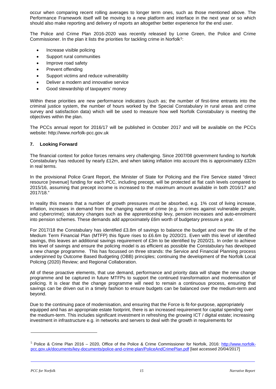occur when comparing recent rolling averages to longer term ones, such as those mentioned above. The Performance Framework itself will be moving to a new platform and interface in the next year or so which should also make reporting and delivery of reports an altogether better experience for the end user.

The Police and Crime Plan 2016-2020 was recently released by Lorne Green, the Police and Crime Commissioner. In the plan it lists the priorities for tackling crime in Norfolk<sup>[5](#page-16-0)</sup>:

- Increase visible policing
- Support rural communities
- Improve road safety
- Prevent offending
- Support victims and reduce vulnerability
- Deliver a modern and innovative service
- Good stewardship of taxpayers' money

Within these priorities are new performance indicators (such as; the number of first-time entrants into the criminal justice system, the number of hours worked by the Special Constabulary in rural areas and crime survey and satisfaction data) which will be used to measure how well Norfolk Constabulary is meeting the objectives within the plan.

The PCCs annual report for 2016/17 will be published in October 2017 and will be available on the PCCs website: http://www.norfolk-pcc.gov.uk

### **7. Looking Forward**

The financial context for police forces remains very challenging. Since 2007/08 government funding to Norfolk Constabulary has reduced by nearly £12m, and when taking inflation into account this is approximately £32m in real terms.

In the provisional Police Grant Report, the Minister of State for Policing and the Fire Service stated "direct resource [revenue] funding for each PCC, including precept, will be protected at flat cash levels compared to 2015/16, assuming that precept income is increased to the maximum amount available in both 2016/17 and 2017/18."

In reality this means that a number of growth pressures must be absorbed, e.g. 1% cost of living increase, inflation, increases in demand from the changing nature of crime (e.g. in crimes against vulnerable people, and cybercrime); statutory changes such as the apprenticeship levy, pension increases and auto-enrolment into pension schemes. These demands add approximately £6m worth of budgetary pressure a year.

For 2017/18 the Constabulary has identified £3.8m of savings to balance the budget and over the life of the Medium Term Financial Plan (MTFP) this figure rises to £6.6m by 2020/21. Even with this level of identified savings, this leaves an additional savings requirement of £3m to be identified by 2020/21. In order to achieve this level of savings and ensure the policing model is as efficient as possible the Constabulary has developed a new change programme. This has focussed on three strands: the Service and Financial Planning process underpinned by Outcome Based Budgeting (OBB) principles; continuing the development of the Norfolk Local Policing (2020) Review; and Regional Collaboration.

All of these proactive elements, that use demand, performance and priority data will shape the new change programme and be captured in future MTFPs to support the continued transformation and modernisation of policing. It is clear that the change programme will need to remain a continuous process, ensuring that savings can be driven out in a timely fashion to ensure budgets can be balanced over the medium-term and beyond.

Due to the continuing pace of modernisation, and ensuring that the Force is fit-for-purpose, appropriately equipped and has an appropriate estate footprint, there is an increased requirement for capital spending over the medium-term. This includes significant investment in refreshing the growing ICT / digital estate; increasing investment in infrastructure e.g. in networks and servers to deal with the growth in requirements for

 $\overline{a}$ 

<span id="page-16-0"></span><sup>5</sup> Police & Crime Plan 2016 – 2020, Office of the Police & Crime Commissioner for Norfolk, 2016: [http://www.norfolk](http://www.norfolk-pcc.gov.uk/documents/key-documents/police-and-crime-plan/PoliceAndCrimePlan.pdf)[pcc.gov.uk/documents/key-documents/police-and-crime-plan/PoliceAndCrimePlan.pdf](http://www.norfolk-pcc.gov.uk/documents/key-documents/police-and-crime-plan/PoliceAndCrimePlan.pdf) [last accessed 20/04/2017]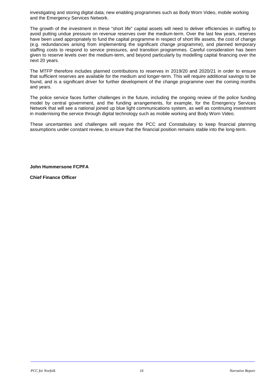investigating and storing digital data; new enabling programmes such as Body Worn Video, mobile working and the Emergency Services Network.

The growth of the investment in these "short life" capital assets will need to deliver efficiencies in staffing to avoid putting undue pressure on revenue reserves over the medium-term. Over the last few years, reserves have been used appropriately to fund the capital programme in respect of short life assets, the cost of change (e.g. redundancies arising from implementing the significant change programme), and planned temporary staffing costs to respond to service pressures, and transition programmes. Careful consideration has been given to reserve levels over the medium-term, and beyond particularly by modelling capital financing over the next 20 years.

The MTFP therefore includes planned contributions to reserves in 2019/20 and 2020/21 in order to ensure that sufficient reserves are available for the medium and longer-term. This will require additional savings to be found, and is a significant driver for further development of the change programme over the coming months and years.

The police service faces further challenges in the future, including the ongoing review of the police funding model by central government, and the funding arrangements, for example, for the Emergency Services Network that will see a national joined up blue light communications system, as well as continuing investment in modernising the service through digital technology such as mobile working and Body Worn Video.

These uncertainties and challenges will require the PCC and Constabulary to keep financial planning assumptions under constant review, to ensure that the financial position remains stable into the long-term.

**John Hummersone FCPFA**

**Chief Finance Officer**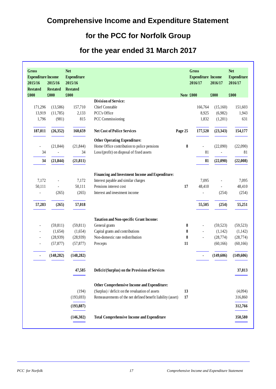## **Comprehensive Income and Expenditure Statement**

### **for the PCC for Norfolk Group**

### **for the year ended 31 March 2017**

| Gross<br><b>Expenditure Income</b><br>2015/16<br><b>Restated</b> | 2015/16<br><b>Restated</b> | <b>Net</b><br><b>Expenditure</b><br>2015/16<br><b>Restated</b> |                                                             |         | <b>Gross</b><br><b>Expenditure Income</b><br>2016/17 | 2016/17                  | <b>Net</b><br><b>Expenditure</b><br>2016/17 |
|------------------------------------------------------------------|----------------------------|----------------------------------------------------------------|-------------------------------------------------------------|---------|------------------------------------------------------|--------------------------|---------------------------------------------|
| £000                                                             | £000                       | £000                                                           |                                                             |         | Note £000                                            | £000                     | £000                                        |
|                                                                  |                            |                                                                | <b>Division of Service:</b>                                 |         |                                                      |                          |                                             |
| 171,296                                                          | (13,586)                   | 157,710                                                        | <b>Chief Constable</b>                                      |         | 166,764                                              | (15,160)                 | 151,603                                     |
| 13,919                                                           | (11, 785)                  | 2,133                                                          | PCC's Office                                                |         | 8,925                                                | (6,982)                  | 1,943                                       |
| 1,796                                                            | (981)                      | 815                                                            | PCC Commissioning                                           |         | 1,832                                                | (1,201)                  | 631                                         |
| 187,011                                                          | (26,352)                   | 160,659                                                        | <b>Net Cost of Police Services</b>                          | Page 25 | 177,520                                              | (23, 343)                | 154,177                                     |
|                                                                  |                            |                                                                | <b>Other Operating Expenditure:</b>                         |         |                                                      |                          |                                             |
|                                                                  | (21, 844)                  | (21, 844)                                                      | Home Office contribution to police pensions                 | 8       |                                                      | (22,090)                 | (22,090)                                    |
| 34                                                               |                            | 34                                                             | Loss/(profit) on disposal of fixed assets                   |         | 81                                                   | $\overline{\phantom{a}}$ | 81                                          |
| 34                                                               | (21, 844)                  | (21, 811)                                                      |                                                             |         | 81                                                   | (22,090)                 | (22,008)                                    |
|                                                                  |                            |                                                                | Financing and Investment Income and Expenditure:            |         |                                                      |                          |                                             |
| 7,172                                                            |                            | 7,172                                                          | Interest payable and similar charges                        |         | 7,095                                                | $\overline{a}$           | 7,095                                       |
| 50,111                                                           |                            | 50,111                                                         | Pensions interest cost                                      | 17      | 48,410                                               | $\blacksquare$           | 48,410                                      |
| $\overline{\phantom{a}}$                                         | (265)                      | (265)                                                          | Interest and investment income                              |         | $\overline{a}$                                       | (254)                    | (254)                                       |
| 57,283                                                           | (265)                      | 57,018                                                         |                                                             |         | 55,505                                               | (254)                    | 55,251                                      |
|                                                                  |                            |                                                                | Taxation and Non-specific Grant Income:                     |         |                                                      |                          |                                             |
| $\overline{\phantom{0}}$                                         | (59, 811)                  | (59, 811)                                                      | General grants                                              | 8       | $\overline{\phantom{a}}$                             | (59, 523)                | (59, 523)                                   |
| L,                                                               | (1,654)                    | (1,654)                                                        | Capital grants and contributions                            | 8       | $\overline{a}$                                       | (1,142)                  | (1,142)                                     |
| ٠                                                                | (28,939)                   | (28,939)                                                       | Non-domestic rate redistribution                            | 8       | L,                                                   | (28, 774)                | (28, 774)                                   |
|                                                                  | (57, 877)                  | (57, 877)                                                      | Precepts                                                    | 11      |                                                      | (60, 166)                | (60, 166)                                   |
|                                                                  | (148, 282)                 | (148, 282)                                                     |                                                             |         |                                                      | (149,606)                | (149,606)                                   |
|                                                                  |                            | 47,585                                                         | Deficit/(Surplus) on the Provision of Services              |         |                                                      |                          | 37,813                                      |
|                                                                  |                            |                                                                | Other Comprehensive Income and Expenditure:                 |         |                                                      |                          |                                             |
|                                                                  |                            | (194)                                                          | (Surplus) / deficit on the revaluation of assets            | 13      |                                                      |                          | (4,094)                                     |
|                                                                  |                            | (193, 693)                                                     | Remeasurements of the net defined benefit liability (asset) | 17      |                                                      |                          | 316,860                                     |
|                                                                  |                            | (193, 887)                                                     |                                                             |         |                                                      |                          | 312,766                                     |
|                                                                  |                            | (146,302)                                                      | <b>Total Comprehensive Income and Expenditure</b>           |         |                                                      |                          | 350,580                                     |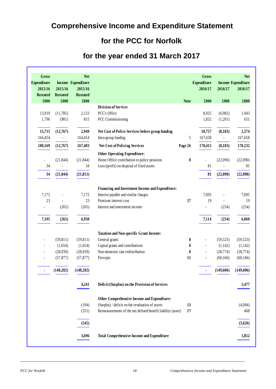## **Comprehensive Income and Expenditure Statement**

### **for the PCC for Norfolk**

### **for the year ended 31 March 2017**

| <b>Gross</b><br><b>Expenditure</b> |                 | <b>Net</b><br>Income Expenditure |                                                                |             | <b>Gross</b><br><b>Expenditure</b> |                | <b>Net</b><br><b>Income Expenditure</b> |
|------------------------------------|-----------------|----------------------------------|----------------------------------------------------------------|-------------|------------------------------------|----------------|-----------------------------------------|
| 2015/16                            | 2015/16         | 2015/16                          |                                                                |             | 2016/17                            | 2016/17        | 2016/17                                 |
| <b>Restated</b>                    | <b>Restated</b> | <b>Restated</b>                  |                                                                |             |                                    |                |                                         |
| £000                               | £000            | £000                             |                                                                | <b>Note</b> | £000                               | £000           | £000                                    |
|                                    |                 |                                  | <b>Division of Service:</b>                                    |             |                                    |                |                                         |
| 13,919                             | (11,785)        | 2,133                            | PCC's Office                                                   |             | 8,925                              | (6,982)        | 1,943                                   |
| 1,796                              | (981)           | 815                              | PCC Commissioning                                              |             | 1,832                              | (1,201)        | 631                                     |
| 15,715                             | (12,767)        | 2,949                            | Net Cost of Police Services before group funding               |             | 10,757                             | (8,183)        | 2,574                                   |
| 164,454                            |                 | 164,454                          | Intra-group funding                                            | 5           | 167,658                            | $\blacksquare$ | 167,658                                 |
| 180,169                            | (12,767)        | 167,403                          | <b>Net Cost of Policing Services</b>                           | Page 26     | 178,415                            | (8,183)        | 170,232                                 |
|                                    |                 |                                  | <b>Other Operating Expenditure:</b>                            |             |                                    |                |                                         |
| $\overline{\phantom{a}}$           | (21, 844)       | (21, 844)                        | Home Office contribution to police pensions                    | 8           | $\overline{\phantom{a}}$           | (22,090)       | (22,090)                                |
| 34                                 |                 | 34                               | Loss/(profit) on disposal of fixed assets                      |             | 81                                 |                | 81                                      |
| 34                                 | (21, 844)       | (21, 811)                        |                                                                |             | 81                                 | (22,090)       | (22,008)                                |
|                                    |                 |                                  |                                                                |             |                                    |                |                                         |
|                                    |                 |                                  | Financing and Investment Income and Expenditure:               |             |                                    |                |                                         |
| 7,172<br>23                        |                 | 7,172<br>23                      | Interest payable and similar charges<br>Pensions interest cost | 17          | 7,095<br>19                        |                | 7,095                                   |
| ÷,                                 | (265)           | (265)                            | Interest and investment income                                 |             | $\blacksquare$                     | (254)          | 19<br>(254)                             |
|                                    |                 |                                  |                                                                |             |                                    |                |                                         |
| 7,195                              | (265)           | 6,930                            |                                                                |             | 7,114                              | (254)          | 6,860                                   |
|                                    |                 |                                  | <b>Taxation and Non-specific Grant Income:</b>                 |             |                                    |                |                                         |
|                                    | (59, 811)       | (59, 811)                        | General grants                                                 | 8           |                                    | (59, 523)      | (59, 523)                               |
|                                    | (1,654)         | (1,654)                          | Capital grants and contributions                               | 8           | $\overline{\phantom{a}}$           | (1,142)        | (1,142)                                 |
|                                    | (28,939)        | (28,939)                         | Non-domestic rate redistribution                               | 8           | $\blacksquare$                     | (28, 774)      | (28, 774)                               |
|                                    | (57, 877)       | (57, 877)                        | Precepts                                                       | 11          |                                    | (60, 166)      | (60, 166)                               |
|                                    | (148, 282)      | (148, 282)                       |                                                                |             |                                    | (149,606)      | (149, 606)                              |
|                                    |                 | 4,241                            | Deficit/(Surplus) on the Provision of Services                 |             |                                    |                | 5.477                                   |
|                                    |                 |                                  | Other Comprehensive Income and Expenditure:                    |             |                                    |                |                                         |
|                                    |                 | (194)                            | (Surplus) / deficit on the revaluation of assets               | 13          |                                    |                | (4,094)                                 |
|                                    |                 | (351)                            | Remeasurements of the net defined benefit liability (asset)    | 17          |                                    |                | 468                                     |
|                                    |                 | (545)                            |                                                                |             |                                    |                | (3,626)                                 |
|                                    |                 | 3,696                            | <b>Total Comprehensive Income and Expenditure</b>              |             |                                    |                | 1,852                                   |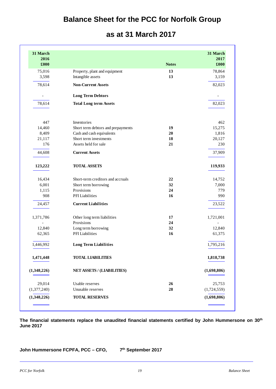### **Balance Sheet for the PCC for Norfolk Group**

### **as at 31 March 2017**

| 31 March                 |                                                     |              | 31 March      |
|--------------------------|-----------------------------------------------------|--------------|---------------|
| 2016<br>£000             |                                                     | <b>Notes</b> | 2017<br>£000  |
| 75,016                   | Property, plant and equipment                       | 13           | 78,864        |
| 3,598                    | Intangible assets                                   | 13           | 3,159         |
| 78,614                   | <b>Non-Current Assets</b>                           |              | 82,023        |
| $\overline{\phantom{0}}$ | <b>Long Term Debtors</b>                            |              |               |
| 78,614                   | <b>Total Long term Assets</b>                       |              | 82,023        |
|                          |                                                     |              |               |
| 447                      | Inventories                                         |              | 462           |
| 14,460                   | Short term debtors and prepayments                  | 19           | 15,275        |
| 8,409                    | Cash and cash equivalents<br>Short term investments | 20           | 1,816         |
| 21,117                   |                                                     | 18<br>21     | 20,127<br>230 |
| 176                      | Assets held for sale                                |              |               |
| 44,608                   | <b>Current Assets</b>                               |              | 37,909        |
| 123,222                  | <b>TOTAL ASSETS</b>                                 |              | 119,933       |
| 16,434                   | Short-term creditors and accruals                   | 22           | 14,752        |
| 6,001                    | Short term borrowing                                | 32           | 7,000         |
| 1,115                    | Provisions                                          | 24           | 779           |
| 908                      | PFI Liabilities                                     | 16           | 990           |
| 24,457                   | <b>Current Liabilities</b>                          |              | 23,522        |
| 1,371,786                | Other long term liabilities                         | 17           | 1,721,001     |
|                          | Provisions                                          | 24           |               |
| 12,840                   | Long term borrowing                                 | 32           | 12,840        |
| 62,365                   | PFI Liabilities                                     | 16           | 61,375        |
| 1,446,992                | <b>Long Term Liabilities</b>                        |              | 1,795,216     |
| 1,471,448                | <b>TOTAL LIABILITIES</b>                            |              | 1,818,738     |
| (1,348,226)              | NET ASSETS / (LIABILITIES)                          |              | (1,698,806)   |
| 29,014                   | Usable reserves                                     | 26           | 25,753        |
| (1,377,240)              | Unusable reserves                                   | 28           | (1,724,559)   |
| (1,348,226)              | <b>TOTAL RESERVES</b>                               |              | (1,698,806)   |

**The financial statements replace the unaudited financial statements certified by John Hummersone on 30th June 2017**

**John Hummersone FCPFA, PCC – CFO, 7th September 2017**

l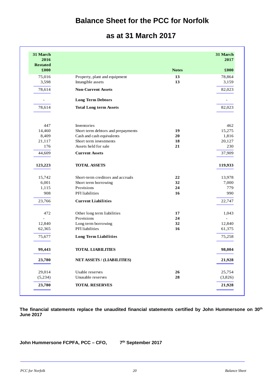### **Balance Sheet for the PCC for Norfolk**

|  |  | as at 31 March 2017 |  |
|--|--|---------------------|--|
|--|--|---------------------|--|

|              | 31 March<br>2017 |
|--------------|------------------|
| <b>Notes</b> | £000             |
| 13           | 78,864           |
| 13           | 3,159            |
|              | 82,023           |
|              |                  |
|              | 82,023           |
|              | 462              |
| 19           | 15,275           |
| 20           | 1,816            |
| 18           | 20,127           |
| 21           | 230              |
|              | 37,909           |
|              | 119,933          |
| 22           | 13,978           |
| 32           | 7,000            |
| 24           | 779              |
| 16           | 990              |
|              | 22,747           |
| 17           | 1,043            |
| 24           | ÷,               |
| 32           | 12,840           |
| 16           | 61,375           |
|              | 75,258           |
|              | 98,004           |
|              | 21,928           |
| 26           | 25,754           |
| 28           | (3,826)          |
|              | 21,928           |

**The financial statements replace the unaudited financial statements certified by John Hummersone on 30th June 2017**

**John Hummersone FCPFA, PCC – CFO, 7th September 2017**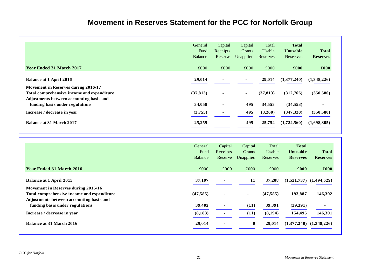## **Movement in Reserves Statement for the PCC for Norfolk Group**

|                                                                                                                               | General<br>Fund<br>Balance | Capital<br>Receipts<br>Reserve | Capital<br>Grants<br>Unapplied | Total<br>Usable<br>Reserves | <b>Total</b><br><b>Unusable</b><br><b>Reserves</b> | <b>Total</b><br><b>Reserves</b> |
|-------------------------------------------------------------------------------------------------------------------------------|----------------------------|--------------------------------|--------------------------------|-----------------------------|----------------------------------------------------|---------------------------------|
| <b>Year Ended 31 March 2017</b>                                                                                               | £000                       | £000                           | £000                           | £000                        | £000                                               | £000                            |
| <b>Balance at 1 April 2016</b>                                                                                                | 29,014                     |                                | $\blacksquare$                 | 29,014                      | (1,377,240)                                        | (1,348,226)                     |
| Movement in Reserves during 2016/17<br>Total comprehensive income and expenditure<br>Adjustments between accounting basis and | (37, 813)                  | $\sim$                         | $\blacksquare$                 | (37, 813)                   | (312,766)                                          | (350, 580)                      |
| funding basis under regulations                                                                                               | 34,058                     | $\blacksquare$                 | 495                            | 34,553                      | (34, 553)                                          |                                 |
| Increase / decrease in year                                                                                                   | (3,755)                    |                                | 495                            | (3,260)                     | (347,320)                                          | (350, 580)                      |
| <b>Balance at 31 March 2017</b>                                                                                               | 25,259                     |                                | 495                            | 25,754                      | (1,724,560)                                        | (1,698,805)                     |
|                                                                                                                               | General                    | Capital                        | Capital                        | Total                       | <b>Total</b>                                       |                                 |

|                                            | General        | Capital        | Capital       | Total     | <b>Total</b>                |                 |
|--------------------------------------------|----------------|----------------|---------------|-----------|-----------------------------|-----------------|
|                                            | Fund           | Receipts       | <b>Grants</b> | Usable    | <b>Unusable</b>             | <b>Total</b>    |
|                                            | <b>Balance</b> | Reserve        | Unapplied     | Reserves  | <b>Reserves</b>             | <b>Reserves</b> |
|                                            |                |                |               |           |                             |                 |
| <b>Year Ended 31 March 2016</b>            | £000           | £000           | £000          | £000      | £000                        | £000            |
|                                            |                |                |               |           |                             |                 |
| <b>Balance at 1 April 2015</b>             | 37,197         |                | 11            | 37,208    | $(1,531,737)$ $(1,494,529)$ |                 |
| Movement in Reserves during 2015/16        |                |                |               |           |                             |                 |
| Total comprehensive income and expenditure | (47, 585)      | ۰              | $\sim$        | (47, 585) | 193,887                     | 146,302         |
| Adjustments between accounting basis and   |                |                |               |           |                             |                 |
| funding basis under regulations            | 39,402         | $\blacksquare$ | (11)          | 39,391    | (39,391)                    | $\sim$          |
|                                            |                |                |               |           |                             |                 |
| Increase / decrease in year                | (8,183)        |                | (11)          | (8,194)   | 154,495                     | 146,301         |
| <b>Balance at 31 March 2016</b>            |                |                | $\bf{0}$      | 29,014    | (1,377,240)                 | (1,348,226)     |
|                                            | 29,014         | $\blacksquare$ |               |           |                             |                 |
|                                            |                |                |               |           |                             |                 |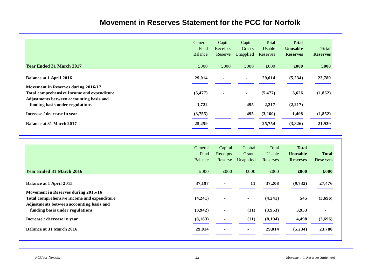### **Movement in Reserves Statement for the PCC for Norfolk**

|                                                                                                                                                                  | General<br>Fund<br>Balance | Capital<br>Receipts<br>Reserve   | Capital<br>Grants<br>Unapplied | Total<br>Usable<br>Reserves | <b>Total</b><br><b>Unusable</b><br><b>Reserves</b> | <b>Total</b><br><b>Reserves</b> |
|------------------------------------------------------------------------------------------------------------------------------------------------------------------|----------------------------|----------------------------------|--------------------------------|-----------------------------|----------------------------------------------------|---------------------------------|
| <b>Year Ended 31 March 2017</b>                                                                                                                                  | £000                       | £000                             | £000                           | £000                        | £000                                               | £000                            |
| <b>Balance at 1 April 2016</b>                                                                                                                                   | 29,014                     | $\blacksquare$                   | $\blacksquare$                 | 29,014                      | (5,234)                                            | 23,780                          |
| Movement in Reserves during 2016/17<br>Total comprehensive income and expenditure<br>Adjustments between accounting basis and<br>funding basis under regulations | (5, 477)<br>1,722          | $\blacksquare$<br>$\blacksquare$ | $\blacksquare$<br>495          | (5, 477)<br>2,217           | 3,626<br>(2,217)                                   | (1,852)<br>$\blacksquare$       |
| Increase / decrease in year                                                                                                                                      | (3,755)                    |                                  | 495                            | (3,260)                     | 1,408                                              | (1,852)                         |
| <b>Balance at 31 March 2017</b>                                                                                                                                  | 25,259                     | $\overline{\phantom{0}}$         | $\blacksquare$                 | 25,754                      | (3,826)                                            | 21,929                          |

|                                                                                                                               | General<br>Fund<br><b>Balance</b> | Capital<br>Receipts<br>Reserve | Capital<br>Grants<br>Unapplied | Total<br>Usable<br>Reserves | <b>Total</b><br><b>Unusable</b><br><b>Reserves</b> | <b>Total</b><br><b>Reserves</b> |
|-------------------------------------------------------------------------------------------------------------------------------|-----------------------------------|--------------------------------|--------------------------------|-----------------------------|----------------------------------------------------|---------------------------------|
| <b>Year Ended 31 March 2016</b>                                                                                               | £000                              | £000                           | £000                           | £000                        | £000                                               | £000                            |
| Balance at 1 April 2015                                                                                                       | 37,197                            | $\blacksquare$                 | 11                             | 37,208                      | (9,732)                                            | 27,476                          |
| Movement in Reserves during 2015/16<br>Total comprehensive income and expenditure<br>Adjustments between accounting basis and | (4,241)                           | $\blacksquare$                 | $\sim$                         | (4,241)                     | 545                                                | (3,696)                         |
| funding basis under regulations                                                                                               | (3,942)                           | $\blacksquare$                 | (11)                           | (3,953)                     | 3,953                                              | $\blacksquare$                  |
| Increase / decrease in year                                                                                                   | (8,183)                           | $\blacksquare$                 | (11)                           | (8,194)                     | 4,498                                              | (3,696)                         |
| Balance at 31 March 2016                                                                                                      | 29,014                            | $\blacksquare$                 | $\blacksquare$                 | 29,014                      | (5,234)                                            | 23,780                          |

l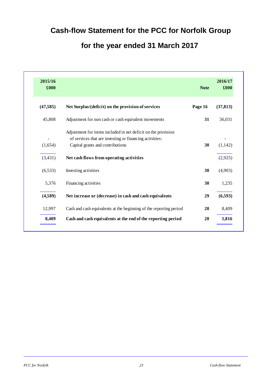## **Cash-flow Statement for the PCC for Norfolk Group**

## **for the year ended 31 March 2017**

| 2015/16<br>£000 |                                                                                                                                                              | <b>Note</b> | 2016/17<br>£000 |
|-----------------|--------------------------------------------------------------------------------------------------------------------------------------------------------------|-------------|-----------------|
| (47, 585)       | Net Surplus/(deficit) on the provision of services                                                                                                           | Page 16     | (37, 813)       |
| 45,808          | Adjustment for non cash or cash equivalent movements                                                                                                         | 31          | 36,031          |
| (1,654)         | Adjustment for items included in net deficit on the provision<br>of services that are investing or financing activities:<br>Capital grants and contributions | 30          | (1,142)         |
| (3,431)         | Net cash flows from operating activities                                                                                                                     |             | (2,925)         |
| (6, 533)        | Investing activities                                                                                                                                         | 30          | (4,903)         |
| 5,376           | Financing activities                                                                                                                                         | 30          | 1,235           |
| (4,589)         | Net increase or (decrease) in cash and cash equivalents                                                                                                      | 29          | (6,593)         |
| 12,997          | Cash and cash equivalents at the beginning of the reporting period                                                                                           | 20          | 8,409           |
| 8,409           | Cash and cash equivalents at the end of the reporting period                                                                                                 | 20          | 1,816           |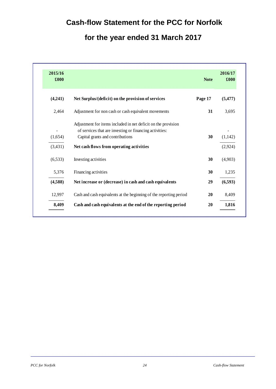## **Cash-flow Statement for the PCC for Norfolk**

## **for the year ended 31 March 2017**

| 2015/16<br>£000 |                                                                                                                                                              | <b>Note</b> | 2016/17<br>£000 |
|-----------------|--------------------------------------------------------------------------------------------------------------------------------------------------------------|-------------|-----------------|
| (4,241)         | Net Surplus/(deficit) on the provision of services                                                                                                           | Page 17     | (5, 477)        |
| 2,464           | Adjustment for non cash or cash equivalent movements                                                                                                         | 31          | 3,695           |
| (1,654)         | Adjustment for items included in net deficit on the provision<br>of services that are investing or financing activities:<br>Capital grants and contributions | 30          | (1,142)         |
| (3,431)         | Net cash flows from operating activities                                                                                                                     |             | (2,924)         |
| (6, 533)        | Investing activities                                                                                                                                         | 30          | (4,903)         |
| 5,376           | Financing activities                                                                                                                                         | 30          | 1,235           |
| (4,588)         | Net increase or (decrease) in cash and cash equivalents                                                                                                      | 29          | (6,593)         |
| 12,997          | Cash and cash equivalents at the beginning of the reporting period                                                                                           | 20          | 8,409           |
| 8,409           | Cash and cash equivalents at the end of the reporting period                                                                                                 | 20          | 1,816           |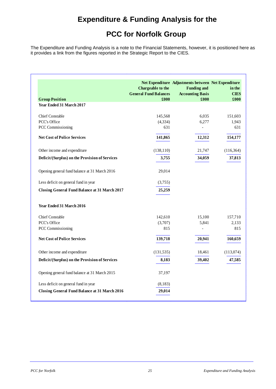### **Expenditure & Funding Analysis for the**

### **PCC for Norfolk Group**

The Expenditure and Funding Analysis is a note to the Financial Statements, however, it is positioned here as it provides a link from the figures reported in the Strategic Report to the CIES.

|                                                      | Chargeable to the<br><b>General Fund Balances</b> | Net Expenditure Adjustments between Net Expenditure<br><b>Funding and</b><br><b>Accounting Basis</b> | in the<br><b>CIES</b> |
|------------------------------------------------------|---------------------------------------------------|------------------------------------------------------------------------------------------------------|-----------------------|
| <b>Group Position</b>                                | £000                                              | £000                                                                                                 | £000                  |
| Year Ended 31 March 2017                             |                                                   |                                                                                                      |                       |
| <b>Chief Constable</b>                               | 145,568                                           | 6,035                                                                                                | 151,603               |
| <b>PCC's Office</b>                                  | (4, 334)                                          | 6,277                                                                                                | 1,943                 |
| <b>PCC Commissioning</b>                             | 631                                               | $\overline{a}$                                                                                       | 631                   |
| <b>Net Cost of Police Services</b>                   | 141,865                                           | 12,312                                                                                               | 154,177               |
| Other income and expenditure                         | (138, 110)                                        | 21,747                                                                                               | (116, 364)            |
| Deficit/(Surplus) on the Provision of Services       | 3,755                                             | 34,059                                                                                               | 37,813                |
| Opening general fund balance at 31 March 2016        | 29,014                                            |                                                                                                      |                       |
| Less deficit on general fund in year                 | (3,755)                                           |                                                                                                      |                       |
| <b>Closing General Fund Balance at 31 March 2017</b> | 25,259                                            |                                                                                                      |                       |
| Year Ended 31 March 2016                             |                                                   |                                                                                                      |                       |
| <b>Chief Constable</b>                               | 142,610                                           | 15,100                                                                                               | 157,710               |
| PCC's Office                                         | (3,707)                                           | 5,841                                                                                                | 2,133                 |
| <b>PCC Commissioning</b>                             | 815                                               | $\overline{\phantom{0}}$                                                                             | 815                   |
| <b>Net Cost of Police Services</b>                   | 139,718                                           | 20,941                                                                                               | 160,659               |
| Other income and expenditure                         | (131, 535)                                        | 18,461                                                                                               | (113,074)             |
| Deficit/(Surplus) on the Provision of Services       | 8,183                                             | 39,402                                                                                               | 47,585                |
| Opening general fund balance at 31 March 2015        | 37,197                                            |                                                                                                      |                       |
| Less deficit on general fund in year                 | (8, 183)                                          |                                                                                                      |                       |
| <b>Closing General Fund Balance at 31 March 2016</b> | 29,014                                            |                                                                                                      |                       |

l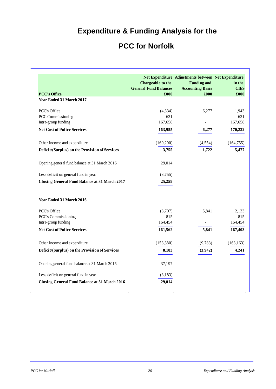# **Expenditure & Funding Analysis for the**

# **PCC for Norfolk**

| <b>PCC's Office</b>                                  | Chargeable to the<br><b>General Fund Balances</b><br>£000 | Net Expenditure Adjustments between Net Expenditure<br><b>Funding and</b><br><b>Accounting Basis</b><br>£000 | in the<br><b>CIES</b><br>£000 |
|------------------------------------------------------|-----------------------------------------------------------|--------------------------------------------------------------------------------------------------------------|-------------------------------|
| Year Ended 31 March 2017                             |                                                           |                                                                                                              |                               |
| <b>PCC's Office</b>                                  | (4, 334)                                                  | 6,277                                                                                                        | 1,943                         |
| PCC Commissioning                                    | 631                                                       |                                                                                                              | 631                           |
| Intra-group funding                                  | 167,658                                                   | -                                                                                                            | 167,658                       |
| <b>Net Cost of Police Services</b>                   | 163,955                                                   | 6,277                                                                                                        | 170,232                       |
| Other income and expenditure                         | (160, 200)                                                | (4, 554)                                                                                                     | (164, 755)                    |
| Deficit/(Surplus) on the Provision of Services       | 3,755                                                     | 1,722                                                                                                        | 5,477                         |
| Opening general fund balance at 31 March 2016        | 29,014                                                    |                                                                                                              |                               |
| Less deficit on general fund in year                 | (3,755)                                                   |                                                                                                              |                               |
| <b>Closing General Fund Balance at 31 March 2017</b> | 25,259                                                    |                                                                                                              |                               |
| Year Ended 31 March 2016                             |                                                           |                                                                                                              |                               |
| PCC's Office                                         | (3,707)                                                   | 5,841                                                                                                        | 2,133                         |
| PCC's Commissioning                                  | 815                                                       |                                                                                                              | 815                           |
| Intra-group funding                                  | 164,454                                                   | $\overline{\phantom{0}}$                                                                                     | 164,454                       |
| <b>Net Cost of Police Services</b>                   | 161,562                                                   | 5,841                                                                                                        | 167,403                       |
| Other income and expenditure                         | (153, 380)                                                | (9,783)                                                                                                      | (163, 163)                    |
| Deficit/(Surplus) on the Provision of Services       | 8,183                                                     | (3,942)                                                                                                      | 4,241                         |
| Opening general fund balance at 31 March 2015        | 37,197                                                    |                                                                                                              |                               |
| Less deficit on general fund in year                 | (8,183)                                                   |                                                                                                              |                               |
| <b>Closing General Fund Balance at 31 March 2016</b> | 29,014                                                    |                                                                                                              |                               |

l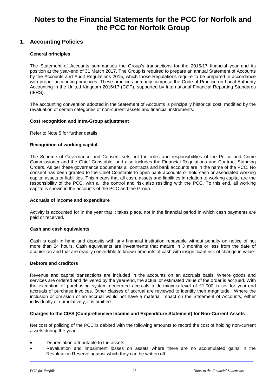### **Notes to the Financial Statements for the PCC for Norfolk and the PCC for Norfolk Group**

### **1. Accounting Policies**

### **General principles**

The Statement of Accounts summarises the Group's transactions for the 2016/17 financial year and its position at the year-end of 31 March 2017. The Group is required to prepare an annual Statement of Accounts by the Accounts and Audit Regulations 2015, which those Regulations require to be prepared in accordance with proper accounting practices. These practices primarily comprise the Code of Practice on Local Authority Accounting in the United Kingdom 2016/17 (COP), supported by International Financial Reporting Standards (IFRS).

The accounting convention adopted in the Statement of Accounts is principally historical cost, modified by the revaluation of certain categories of non-current assets and financial instruments.

### **Cost recognition and Intra-Group adjustment**

Refer to Note 5 for further details.

### **Recognition of working capital**

The Scheme of Governance and Consent sets out the roles and responsibilities of the Police and Crime Commissioner and the Chief Constable, and also includes the Financial Regulations and Contract Standing Orders. As per these governance documents all contracts and bank accounts are in the name of the PCC. No consent has been granted to the Chief Constable to open bank accounts or hold cash or associated working capital assets or liabilities. This means that all cash, assets and liabilities in relation to working capital are the responsibility of the PCC, with all the control and risk also residing with the PCC. To this end, all working capital is shown in the accounts of the PCC and the Group.

#### **Accruals of income and expenditure**

Activity is accounted for in the year that it takes place, not in the financial period in which cash payments are paid or received.

#### **Cash and cash equivalents**

Cash is cash in hand and deposits with any financial institution repayable without penalty on notice of not more than 24 hours. Cash equivalents are investments that mature in 3 months or less from the date of acquisition and that are readily convertible to known amounts of cash with insignificant risk of change in value.

#### **Debtors and creditors**

Revenue and capital transactions are included in the accounts on an accruals basis. Where goods and services are ordered and delivered by the year-end, the actual or estimated value of the order is accrued. With the exception of purchasing system generated accruals a de-minimis level of £1,000 is set for year-end accruals of purchase invoices. Other classes of accrual are reviewed to identify their magnitude. Where the inclusion or omission of an accrual would not have a material impact on the Statement of Accounts, either individually or cumulatively, it is omitted.

### **Charges to the CIES (Comprehensive Income and Expenditure Statement) for Non-Current Assets**

Net cost of policing of the PCC is debited with the following amounts to record the cost of holding non-current assets during the year:

- Depreciation attributable to the assets.
- Revaluation and impairment losses on assets where there are no accumulated gains in the Revaluation Reserve against which they can be written off.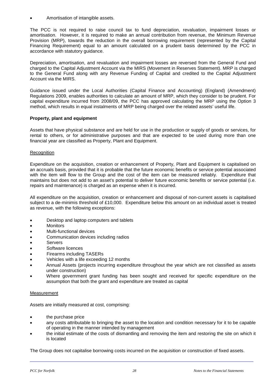• Amortisation of intangible assets.

The PCC is not required to raise council tax to fund depreciation, revaluation, impairment losses or amortisation. However, it is required to make an annual contribution from revenue, the Minimum Revenue Provision (MRP), towards the reduction in the overall borrowing requirement (represented by the Capital Financing Requirement) equal to an amount calculated on a prudent basis determined by the PCC in accordance with statutory guidance.

Depreciation, amortisation, and revaluation and impairment losses are reversed from the General Fund and charged to the Capital Adjustment Account via the MIRS (Movement in Reserves Statement). MRP is charged to the General Fund along with any Revenue Funding of Capital and credited to the Capital Adjustment Account via the MIRS.

Guidance issued under the Local Authorities (Capital Finance and Accounting) (England) (Amendment) Regulations 2009, enables authorities to calculate an amount of MRP, which they consider to be prudent. For capital expenditure incurred from 2008/09, the PCC has approved calculating the MRP using the Option 3 method, which results in equal instalments of MRP being charged over the related assets' useful life.

### **Property, plant and equipment**

Assets that have physical substance and are held for use in the production or supply of goods or services, for rental to others, or for administrative purposes and that are expected to be used during more than one financial year are classified as Property, Plant and Equipment.

### **Recognition**

Expenditure on the acquisition, creation or enhancement of Property, Plant and Equipment is capitalised on an accruals basis, provided that it is probable that the future economic benefits or service potential associated with the item will flow to the Group and the cost of the item can be measured reliably. Expenditure that maintains but does not add to an asset's potential to deliver future economic benefits or service potential (i.e. repairs and maintenance) is charged as an expense when it is incurred.

All expenditure on the acquisition, creation or enhancement and disposal of non-current assets is capitalised subject to a de-minimis threshold of £10,000. Expenditure below this amount on an individual asset is treated as revenue, with the following exceptions:

- Desktop and laptop computers and tablets
- Monitors
- Multi-functional devices
- Communication devices including radios
- **Servers**
- Software licences
- Firearms including TASERs
- Vehicles with a life exceeding 12 months
- Annual Assets (projects incurring expenditure throughout the year which are not classified as assets under construction)
- Where government grant funding has been sought and received for specific expenditure on the assumption that both the grant and expenditure are treated as capital

### **Measurement**

Assets are initially measured at cost, comprising:

- the purchase price
- any costs attributable to bringing the asset to the location and condition necessary for it to be capable of operating in the manner intended by management
- the initial estimate of the costs of dismantling and removing the item and restoring the site on which it is located

The Group does not capitalise borrowing costs incurred on the acquisition or construction of fixed assets.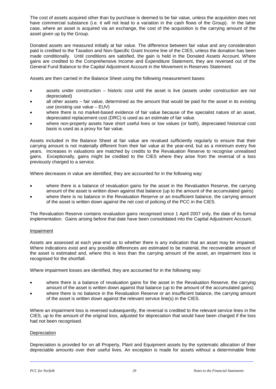The cost of assets acquired other than by purchase is deemed to be fair value, unless the acquisition does not have commercial substance (i.e. it will not lead to a variation in the cash flows of the Group). In the latter case, where an asset is acquired via an exchange, the cost of the acquisition is the carrying amount of the asset given up by the Group.

Donated assets are measured initially at fair value. The difference between fair value and any consideration paid is credited to the Taxation and Non-Specific Grant Income line of the CIES, unless the donation has been made conditionally. Until conditions are satisfied, the gain is held in the Donated Assets Account. Where gains are credited to the Comprehensive Income and Expenditure Statement, they are reversed out of the General Fund Balance to the Capital Adjustment Account in the Movement in Reserves Statement.

Assets are then carried in the Balance Sheet using the following measurement bases:

- assets under construction historic cost until the asset is live (assets under construction are not depreciated)
- all other assets fair value, determined as the amount that would be paid for the asset in its existing use (existing use value – EUV)
- where there is no market-based evidence of fair value because of the specialist nature of an asset, depreciated replacement cost (DRC) is used as an estimate of fair value.
- where non-property assets have short useful lives or low values (or both), depreciated historical cost basis is used as a proxy for fair value.

Assets included in the Balance Sheet at fair value are revalued sufficiently regularly to ensure that their carrying amount is not materially different from their fair value at the year-end, but as a minimum every five years. Increases in valuations are matched by credits to the Revaluation Reserve to recognise unrealised gains. Exceptionally, gains might be credited to the CIES where they arise from the reversal of a loss previously charged to a service.

Where decreases in value are identified, they are accounted for in the following way:

- where there is a balance of revaluation gains for the asset in the Revaluation Reserve, the carrying amount of the asset is written down against that balance (up to the amount of the accumulated gains)
- where there is no balance in the Revaluation Reserve or an insufficient balance, the carrying amount of the asset is written down against the net cost of policing of the PCC in the CIES.

The Revaluation Reserve contains revaluation gains recognised since 1 April 2007 only, the date of its formal implementation. Gains arising before that date have been consolidated into the Capital Adjustment Account.

#### Impairment

Assets are assessed at each year-end as to whether there is any indication that an asset may be impaired. Where indications exist and any possible differences are estimated to be material, the recoverable amount of the asset is estimated and, where this is less than the carrying amount of the asset, an impairment loss is recognised for the shortfall.

Where impairment losses are identified, they are accounted for in the following way:

- where there is a balance of revaluation gains for the asset in the Revaluation Reserve, the carrying amount of the asset is written down against that balance (up to the amount of the accumulated gains)
- where there is no balance in the Revaluation Reserve or an insufficient balance, the carrying amount of the asset is written down against the relevant service line(s) in the CIES.

Where an impairment loss is reversed subsequently, the reversal is credited to the relevant service lines in the CIES, up to the amount of the original loss, adjusted for depreciation that would have been charged if the loss had not been recognised.

#### **Depreciation**

Depreciation is provided for on all Property, Plant and Equipment assets by the systematic allocation of their depreciable amounts over their useful lives. An exception is made for assets without a determinable finite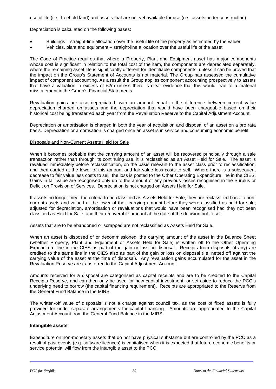useful life (i.e., freehold land) and assets that are not yet available for use (i.e., assets under construction).

Depreciation is calculated on the following bases:

- Buildings straight-line allocation over the useful life of the property as estimated by the valuer
- Vehicles, plant and equipment straight-line allocation over the useful life of the asset

The Code of Practice requires that where a Property, Plant and Equipment asset has major components whose cost is significant in relation to the total cost of the item, the components are depreciated separately, where the remaining asset life is significantly different for identifiable components, unless it can be proved that the impact on the Group's Statement of Accounts is not material. The Group has assessed the cumulative impact of component accounting. As a result the Group applies component accounting prospectively to assets that have a valuation in excess of £2m unless there is clear evidence that this would lead to a material misstatement in the Group's Financial Statements.

Revaluation gains are also depreciated, with an amount equal to the difference between current value depreciation charged on assets and the depreciation that would have been chargeable based on their historical cost being transferred each year from the Revaluation Reserve to the Capital Adjustment Account.

Depreciation or amortisation is charged in both the year of acquisition and disposal of an asset on a pro rata basis. Depreciation or amortisation is charged once an asset is in service and consuming economic benefit.

#### Disposals and Non-Current Assets Held for Sale

When it becomes probable that the carrying amount of an asset will be recovered principally through a sale transaction rather than through its continuing use, it is reclassified as an Asset Held for Sale. The asset is revalued immediately before reclassification, on the basis relevant to the asset class prior to reclassification, and then carried at the lower of this amount and fair value less costs to sell. Where there is a subsequent decrease to fair value less costs to sell, the loss is posted to the Other Operating Expenditure line in the CIES. Gains in fair value are recognised only up to the amount of any previous losses recognised in the Surplus or Deficit on Provision of Services. Depreciation is not charged on Assets Held for Sale.

If assets no longer meet the criteria to be classified as Assets Held for Sale, they are reclassified back to noncurrent assets and valued at the lower of their carrying amount before they were classified as held for sale; adjusted for depreciation, amortisation or revaluations that would have been recognised had they not been classified as Held for Sale, and their recoverable amount at the date of the decision not to sell.

Assets that are to be abandoned or scrapped are not reclassified as Assets Held for Sale.

When an asset is disposed of or decommissioned, the carrying amount of the asset in the Balance Sheet (whether Property, Plant and Equipment or Assets Held for Sale) is written off to the Other Operating Expenditure line in the CIES as part of the gain or loss on disposal. Receipts from disposals (if any) are credited to the same line in the CIES also as part of the gain or loss on disposal (i.e. netted off against the carrying value of the asset at the time of disposal). Any revaluation gains accumulated for the asset in the Revaluation Reserve are transferred to the Capital Adjustment Account.

Amounts received for a disposal are categorised as capital receipts and are to be credited to the Capital Receipts Reserve, and can then only be used for new capital investment, or set aside to reduce the PCC's underlying need to borrow (the capital financing requirement). Receipts are appropriated to the Reserve from the General Fund Balance in the MIRS.

The written-off value of disposals is not a charge against council tax, as the cost of fixed assets is fully provided for under separate arrangements for capital financing. Amounts are appropriated to the Capital Adjustment Account from the General Fund Balance in the MIRS.

#### **Intangible assets**

Expenditure on non-monetary assets that do not have physical substance but are controlled by the PCC as a result of past events (e.g. software licences) is capitalised when it is expected that future economic benefits or service potential will flow from the intangible asset to the PCC.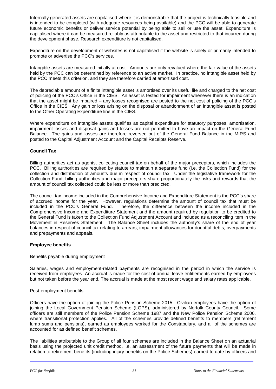Internally generated assets are capitalised where it is demonstrable that the project is technically feasible and is intended to be completed (with adequate resources being available) and the PCC will be able to generate future economic benefits or deliver service potential by being able to sell or use the asset. Expenditure is capitalised where it can be measured reliably as attributable to the asset and restricted to that incurred during the development phase. Research expenditure is not capitalised.

Expenditure on the development of websites is not capitalised if the website is solely or primarily intended to promote or advertise the PCC's services.

Intangible assets are measured initially at cost. Amounts are only revalued where the fair value of the assets held by the PCC can be determined by reference to an active market. In practice, no intangible asset held by the PCC meets this criterion, and they are therefore carried at amortised cost.

The depreciable amount of a finite intangible asset is amortised over its useful life and charged to the net cost of policing of the PCC's Office in the CIES. An asset is tested for impairment whenever there is an indication that the asset might be impaired – any losses recognised are posted to the net cost of policing of the PCC's Office in the CIES. Any gain or loss arising on the disposal or abandonment of an intangible asset is posted to the Other Operating Expenditure line in the CIES.

Where expenditure on intangible assets qualifies as capital expenditure for statutory purposes, amortisation, impairment losses and disposal gains and losses are not permitted to have an impact on the General Fund Balance. The gains and losses are therefore reversed out of the General Fund Balance in the MIRS and posted to the Capital Adjustment Account and the Capital Receipts Reserve.

### **Council Tax**

Billing authorities act as agents, collecting council tax on behalf of the major preceptors, which includes the PCC. Billing authorities are required by statute to maintain a separate fund (i.e. the Collection Fund) for the collection and distribution of amounts due in respect of council tax. Under the legislative framework for the Collection Fund, billing authorities and major preceptors share proportionately the risks and rewards that the amount of council tax collected could be less or more than predicted.

The council tax income included in the Comprehensive Income and Expenditure Statement is the PCC's share of accrued income for the year. However, regulations determine the amount of council tax that must be included in the PCC's General Fund. Therefore, the difference between the income included in the Comprehensive Income and Expenditure Statement and the amount required by regulation to be credited to the General Fund is taken to the Collection Fund Adjustment Account and included as a reconciling item in the Movement in Reserves Statement. The Balance Sheet includes the authority's share of the end of year balances in respect of council tax relating to arrears, impairment allowances for doubtful debts, overpayments and prepayments and appeals.

### **Employee benefits**

### Benefits payable during employment

Salaries, wages and employment-related payments are recognised in the period in which the service is received from employees. An accrual is made for the cost of annual leave entitlements earned by employees but not taken before the year end. The accrual is made at the most recent wage and salary rates applicable.

### Post-employment benefits

Officers have the option of joining the Police Pension Scheme 2015. Civilian employees have the option of joining the Local Government Pension Scheme (LGPS), administered by Norfolk County Council. Some officers are still members of the Police Pension Scheme 1987 and the New Police Pension Scheme 2006, where transitional protection applies. All of the schemes provide defined benefits to members (retirement lump sums and pensions), earned as employees worked for the Constabulary, and all of the schemes are accounted for as defined benefit schemes.

The liabilities attributable to the Group of all four schemes are included in the Balance Sheet on an actuarial basis using the projected unit credit method, i.e. an assessment of the future payments that will be made in relation to retirement benefits (including injury benefits on the Police Schemes) earned to date by officers and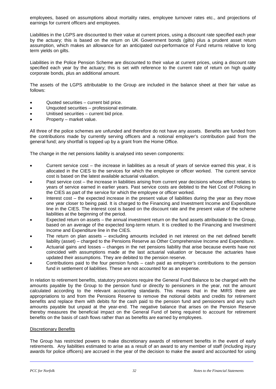employees, based on assumptions about mortality rates, employee turnover rates etc., and projections of earnings for current officers and employees.

Liabilities in the LGPS are discounted to their value at current prices, using a discount rate specified each year by the actuary; this is based on the return on UK Government bonds (gilts) plus a prudent asset return assumption, which makes an allowance for an anticipated out-performance of Fund returns relative to long term yields on gilts.

Liabilities in the Police Pension Scheme are discounted to their value at current prices, using a discount rate specified each year by the actuary; this is set with reference to the current rate of return on high quality corporate bonds, plus an additional amount.

The assets of the LGPS attributable to the Group are included in the balance sheet at their fair value as follows:

- Quoted securities current bid price.
- Unquoted securities professional estimate.
- Unitised securities current bid price.
- Property market value.

All three of the police schemes are unfunded and therefore do not have any assets. Benefits are funded from the contributions made by currently serving officers and a notional employer's contribution paid from the general fund; any shortfall is topped up by a grant from the Home Office.

The change in the net pensions liability is analysed into seven components:

- Current service cost the increase in liabilities as a result of years of service earned this year, it is allocated in the CIES to the services for which the employee or officer worked.The current service cost is based on the latest available actuarial valuation.
- Past service cost the increase in liabilities arising from current year decisions whose effect relates to years of service earned in earlier years. Past service costs are debited to the Net Cost of Policing in the CIES as part of the service for which the employee or officer worked.
- Interest cost the expected increase in the present value of liabilities during the year as they move one year closer to being paid. It is charged to the Financing and Investment Income and Expenditure line in the CIES. The interest cost is based on the discount rate and the present value of the scheme liabilities at the beginning of the period.
- Expected return on assets the annual investment return on the fund assets attributable to the Group, based on an average of the expected long-term return. It is credited to the Financing and Investment Income and Expenditure line in the CIES.
- The return on plan assets excluding amounts included in net interest on the net defined benefit liability (asset) – charged to the Pensions Reserve as Other Comprehensive Income and Expenditure.
- Actuarial gains and losses changes in the net pensions liability that arise because events have not coincided with assumptions made at the last actuarial valuation or because the actuaries have updated their assumptions. They are debited to the pension reserve.
- Contributions paid to the four pension funds cash paid as employer's contributions to the pension fund in settlement of liabilities. These are not accounted for as an expense.

In relation to retirement benefits, statutory provisions require the General Fund Balance to be charged with the amounts payable by the Group to the pension fund or directly to pensioners in the year, not the amount calculated according to the relevant accounting standards. This means that in the MIRS there are appropriations to and from the Pensions Reserve to remove the notional debits and credits for retirement benefits and replace them with debits for the cash paid to the pension fund and pensioners and any such amounts payable but unpaid at the year-end. The negative balance that arises on the Pension Reserve thereby measures the beneficial impact on the General Fund of being required to account for retirement benefits on the basis of cash flows rather than as benefits are earned by employees.

#### Discretionary Benefits

The Group has restricted powers to make discretionary awards of retirement benefits in the event of early retirements. Any liabilities estimated to arise as a result of an award to any member of staff (including injury awards for police officers) are accrued in the year of the decision to make the award and accounted for using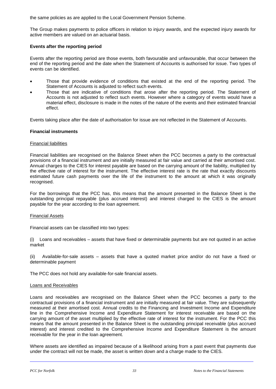the same policies as are applied to the Local Government Pension Scheme.

The Group makes payments to police officers in relation to injury awards, and the expected injury awards for active members are valued on an actuarial basis.

### **Events after the reporting period**

Events after the reporting period are those events, both favourable and unfavourable, that occur between the end of the reporting period and the date when the Statement of Accounts is authorised for issue. Two types of events can be identified.

- Those that provide evidence of conditions that existed at the end of the reporting period. The Statement of Accounts is adjusted to reflect such events.
- Those that are indicative of conditions that arose after the reporting period. The Statement of Accounts is not adjusted to reflect such events. However where a category of events would have a material effect, disclosure is made in the notes of the nature of the events and their estimated financial effect.

Events taking place after the date of authorisation for issue are not reflected in the Statement of Accounts.

### **Financial instruments**

#### Financial liabilities

Financial liabilities are recognised on the Balance Sheet when the PCC becomes a party to the contractual provisions of a financial instrument and are initially measured at fair value and carried at their amortised cost. Annual charges to the CIES for interest payable are based on the carrying amount of the liability, multiplied by the effective rate of interest for the instrument. The effective interest rate is the rate that exactly discounts estimated future cash payments over the life of the instrument to the amount at which it was originally recognised.

For the borrowings that the PCC has, this means that the amount presented in the Balance Sheet is the outstanding principal repayable (plus accrued interest) and interest charged to the CIES is the amount payable for the year according to the loan agreement.

#### Financial Assets

Financial assets can be classified into two types:

(i) Loans and receivables – assets that have fixed or determinable payments but are not quoted in an active market

(ii) Available-for-sale assets – assets that have a quoted market price and/or do not have a fixed or determinable payment

The PCC does not hold any available-for-sale financial assets.

#### Loans and Receivables

Loans and receivables are recognised on the Balance Sheet when the PCC becomes a party to the contractual provisions of a financial instrument and are initially measured at fair value. They are subsequently measured at their amortised cost. Annual credits to the Financing and Investment Income and Expenditure line in the Comprehensive Income and Expenditure Statement for interest receivable are based on the carrying amount of the asset multiplied by the effective rate of interest for the instrument. For the PCC this means that the amount presented in the Balance Sheet is the outstanding principal receivable (plus accrued interest) and interest credited to the Comprehensive Income and Expenditure Statement is the amount receivable for the year in the loan agreement.

Where assets are identified as impaired because of a likelihood arising from a past event that payments due under the contract will not be made, the asset is written down and a charge made to the CIES.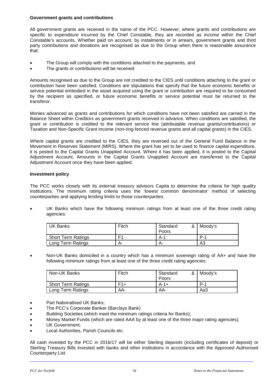### **Government grants and contributions**

All government grants are received in the name of the PCC. However, where grants and contributions are specific to expenditure incurred by the Chief Constable, they are recorded as income within the Chief Constable's accounts. Whether paid on account, by instalments or in arrears, government grants and third party contributions and donations are recognised as due to the Group when there is reasonable assurance that:

- The Group will comply with the conditions attached to the payments, and
- The grants or contributions will be received

Amounts recognised as due to the Group are not credited to the CIES until conditions attaching to the grant or contribution have been satisfied. Conditions are stipulations that specify that the future economic benefits or service potential embodied in the asset acquired using the grant or contribution are required to be consumed by the recipient as specified, or future economic benefits or service potential must be returned to the transferor.

Monies advanced as grants and contributions for which conditions have not been satisfied are carried in the Balance Sheet within Creditors as government grants received in advance. When conditions are satisfied, the grant or contribution is credited to the relevant service line (attributable revenue grants/contributions) or Taxation and Non-Specific Grant Income (non-ring-fenced revenue grants and all capital grants) in the CIES.

Where capital grants are credited to the CIES, they are reversed out of the General Fund Balance in the Movement in Reserves Statement (MIRS). Where the grant has yet to be used to finance capital expenditure, it is posted to the Capital Grants Unapplied Account. Where it has been applied, it is posted to the Capital Adjustment Account. Amounts in the Capital Grants Unapplied Account are transferred to the Capital Adjustment Account once they have been applied.

### **Investment policy**

The PCC works closely with its external treasury advisors Capita to determine the criteria for high quality institutions. The minimum rating criteria uses the 'lowest common denominator' method of selecting counterparties and applying lending limits to those counterparties

• UK Banks which have the following minimum ratings from at least one of the three credit rating agencies:

| UK Banks                  | Fitch | Standard<br>Poors | & Moody's  |
|---------------------------|-------|-------------------|------------|
| <b>Short Term Ratings</b> | E1    | A-1               | <b>P.1</b> |
| Long Term Ratings         | A-    | А-                | A3         |

• Non-UK Banks domiciled in a country which has a minimum sovereign rating of AA+ and have the following minimum ratings from at least one of the three credit rating agencies:

| Non-UK Banks       | Fitch | Standard<br>& ।<br>Poors | Moody's |
|--------------------|-------|--------------------------|---------|
| Short Term Ratings | $F1+$ | $A - 1 +$                | $P-1$   |
| Long Term Ratings  | AA-   | AA-                      | Aa3     |

- Part Nationalised UK Banks:
- The PCC's Corporate Banker (Barclays Bank)
- Building Societies (which meet the minimum ratings criteria for Banks);
- Money Market Funds (which are rated AAA by at least one of the three major rating agencies);
- UK Government;
- Local Authorities, Parish Councils etc.

All cash invested by the PCC in 2016/17 will be either Sterling deposits (including certificates of deposit) or Sterling Treasury Bills invested with banks and other institutions in accordance with the Approved Authorised Counterparty List.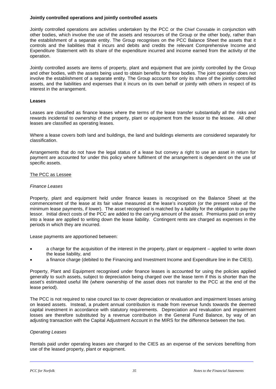#### **Jointly controlled operations and jointly controlled assets**

Jointly controlled operations are activities undertaken by the PCC or the Chief Constable in conjunction with other bodies, which involve the use of the assets and resources of the Group or the other body, rather than the establishment of a separate entity. The Group recognises on the PCC Balance Sheet the assets that it controls and the liabilities that it incurs and debits and credits the relevant Comprehensive Income and Expenditure Statement with its share of the expenditure incurred and income earned from the activity of the operation.

Jointly controlled assets are items of property, plant and equipment that are jointly controlled by the Group and other bodies, with the assets being used to obtain benefits for these bodies. The joint operation does not involve the establishment of a separate entity. The Group accounts for only its share of the jointly controlled assets, and the liabilities and expenses that it incurs on its own behalf or jointly with others in respect of its interest in the arrangement.

#### **Leases**

Leases are classified as finance leases where the terms of the lease transfer substantially all the risks and rewards incidental to ownership of the property, plant or equipment from the lessor to the lessee. All other leases are classified as operating leases.

Where a lease covers both land and buildings, the land and buildings elements are considered separately for classification.

Arrangements that do not have the legal status of a lease but convey a right to use an asset in return for payment are accounted for under this policy where fulfilment of the arrangement is dependent on the use of specific assets.

#### The PCC as Lessee

#### *Finance Leases*

Property, plant and equipment held under finance leases is recognised on the Balance Sheet at the commencement of the lease at its fair value measured at the lease's inception (or the present value of the minimum lease payments, if lower). The asset recognised is matched by a liability for the obligation to pay the lessor. Initial direct costs of the PCC are added to the carrying amount of the asset. Premiums paid on entry into a lease are applied to writing down the lease liability. Contingent rents are charged as expenses in the periods in which they are incurred.

Lease payments are apportioned between:

- a charge for the acquisition of the interest in the property, plant or equipment applied to write down the lease liability, and
- a finance charge (debited to the Financing and Investment Income and Expenditure line in the CIES).

Property, Plant and Equipment recognised under finance leases is accounted for using the policies applied generally to such assets, subject to depreciation being charged over the lease term if this is shorter than the asset's estimated useful life (where ownership of the asset does not transfer to the PCC at the end of the lease period).

The PCC is not required to raise council tax to cover depreciation or revaluation and impairment losses arising on leased assets. Instead, a prudent annual contribution is made from revenue funds towards the deemed capital investment in accordance with statutory requirements. Depreciation and revaluation and impairment losses are therefore substituted by a revenue contribution in the General Fund Balance, by way of an adjusting transaction with the Capital Adjustment Account in the MIRS for the difference between the two.

#### *Operating Leases*

Rentals paid under operating leases are charged to the CIES as an expense of the services benefiting from use of the leased property, plant or equipment.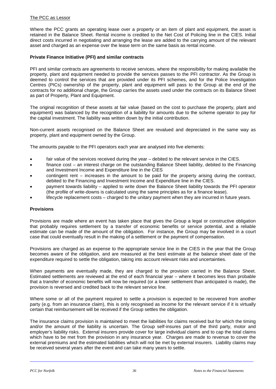#### The PCC as Lessor

Where the PCC grants an operating lease over a property or an item of plant and equipment, the asset is retained in the Balance Sheet. Rental income is credited to the Net Cost of Policing line in the CIES. Initial direct costs incurred in negotiating and arranging the lease are added to the carrying amount of the relevant asset and charged as an expense over the lease term on the same basis as rental income.

#### **Private Finance Initiative (PFI) and similar contracts**

PFI and similar contracts are agreements to receive services, where the responsibility for making available the property, plant and equipment needed to provide the services passes to the PFI contractor. As the Group is deemed to control the services that are provided under its PFI schemes, and for the Police Investigation Centres (PICs) ownership of the property, plant and equipment will pass to the Group at the end of the contracts for no additional charge, the Group carries the assets used under the contracts on its Balance Sheet as part of Property, Plant and Equipment.

The original recognition of these assets at fair value (based on the cost to purchase the property, plant and equipment) was balanced by the recognition of a liability for amounts due to the scheme operator to pay for the capital investment. The liability was written down by the initial contribution.

Non-current assets recognised on the Balance Sheet are revalued and depreciated in the same way as property, plant and equipment owned by the Group.

The amounts payable to the PFI operators each year are analysed into five elements:

- fair value of the services received during the year debited to the relevant service in the CIES.
- finance cost an interest charge on the outstanding Balance Sheet liability, debited to the Financing and Investment Income and Expenditure line in the CIES
- contingent rent increases in the amount to be paid for the property arising during the contract, debited to the Financing and Investment Income and Expenditure line in the CIES.
- payment towards liability applied to write down the Balance Sheet liability towards the PFI operator (the profile of write-downs is calculated using the same principles as for a finance lease).
- lifecycle replacement costs charged to the unitary payment when they are incurred in future years.

#### **Provisions**

Provisions are made where an event has taken place that gives the Group a legal or constructive obligation that probably requires settlement by a transfer of economic benefits or service potential, and a reliable estimate can be made of the amount of the obligation. For instance, the Group may be involved in a court case that could eventually result in the making of a settlement or the payment of compensation.

Provisions are charged as an expense to the appropriate service line in the CIES in the year that the Group becomes aware of the obligation, and are measured at the best estimate at the balance sheet date of the expenditure required to settle the obligation, taking into account relevant risks and uncertainties.

When payments are eventually made, they are charged to the provision carried in the Balance Sheet. Estimated settlements are reviewed at the end of each financial year – where it becomes less than probable that a transfer of economic benefits will now be required (or a lower settlement than anticipated is made), the provision is reversed and credited back to the relevant service line.

Where some or all of the payment required to settle a provision is expected to be recovered from another party (e.g. from an insurance claim), this is only recognised as income for the relevant service if it is virtually certain that reimbursement will be received if the Group settles the obligation.

The insurance claims provision is maintained to meet the liabilities for claims received but for which the timing and/or the amount of the liability is uncertain. The Group self-insures part of the third party, motor and employer's liability risks. External insurers provide cover for large individual claims and to cap the total claims which have to be met from the provision in any insurance year. Charges are made to revenue to cover the external premiums and the estimated liabilities which will not be met by external insurers. Liability claims may be received several years after the event and can take many years to settle.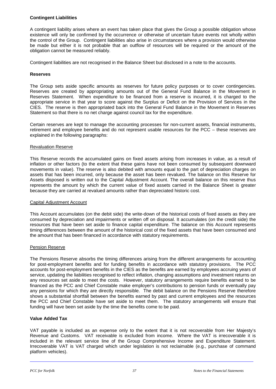### **Contingent Liabilities**

A contingent liability arises where an event has taken place that gives the Group a possible obligation whose existence will only be confirmed by the occurrence or otherwise of uncertain future events not wholly within the control of the Group. Contingent liabilities also arise in circumstances where a provision would otherwise be made but either it is not probable that an outflow of resources will be required or the amount of the obligation cannot be measured reliably.

Contingent liabilities are not recognised in the Balance Sheet but disclosed in a note to the accounts.

#### **Reserves**

The Group sets aside specific amounts as reserves for future policy purposes or to cover contingencies*.*  Reserves are created by appropriating amounts out of the General Fund Balance in the Movement in Reserves Statement. When expenditure to be financed from a reserve is incurred, it is charged to the appropriate service in that year to score against the Surplus or Deficit on the Provision of Services in the CIES. The reserve is then appropriated back into the General Fund Balance in the Movement in Reserves Statement so that there is no net charge against council tax for the expenditure.

Certain reserves are kept to manage the accounting processes for non-current assets, financial instruments, retirement and employee benefits and do not represent usable resources for the PCC – these reserves are explained in the following paragraphs:

#### Revaluation Reserve

This Reserve records the accumulated gains on fixed assets arising from increases in value, as a result of inflation or other factors (to the extent that these gains have not been consumed by subsequent downward movements in value). The reserve is also debited with amounts equal to the part of depreciation charges on assets that has been incurred, only because the asset has been revalued. The balance on this Reserve for Assets disposed is written out to the Capital Adjustment Account. The overall balance on this reserve thus represents the amount by which the current value of fixed assets carried in the Balance Sheet is greater because they are carried at revalued amounts rather than depreciated historic cost.

#### Capital Adjustment Account

This Account accumulates (on the debit side) the write-down of the historical costs of fixed assets as they are consumed by depreciation and impairments or written off on disposal. It accumulates (on the credit side) the resources that have been set aside to finance capital expenditure. The balance on this Account represents timing differences between the amount of the historical cost of the fixed assets that have been consumed and the amount that has been financed in accordance with statutory requirements.

#### Pension Reserve

The Pensions Reserve absorbs the timing differences arising from the different arrangements for accounting for post-employment benefits and for funding benefits in accordance with statutory provisions. The PCC accounts for post-employment benefits in the CIES as the benefits are earned by employees accruing years of service, updating the liabilities recognised to reflect inflation, changing assumptions and investment returns on any resources set aside to meet the costs. However, statutory arrangements require benefits earned to be financed as the PCC and Chief Constable make employer's contributions to pension funds or eventually pay any pensions for which they are directly responsible. The debit balance on the Pensions Reserve therefore shows a substantial shortfall between the benefits earned by past and current employees and the resources the PCC and Chief Constable have set aside to meet them. The statutory arrangements will ensure that funding will have been set aside by the time the benefits come to be paid.

#### **Value Added Tax**

VAT payable is included as an expense only to the extent that it is not recoverable from Her Majesty's Revenue and Customs. VAT receivable is excluded from income. Where the VAT is irrecoverable it is included in the relevant service line of the Group Comprehensive Income and Expenditure Statement. Irrecoverable VAT is VAT charged which under legislation is not reclaimable (e.g., purchase of command platform vehicles).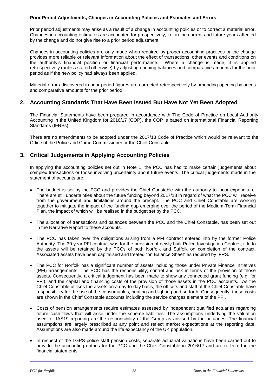#### **Prior Period Adjustments, Changes in Accounting Policies and Estimates and Errors**

Prior period adjustments may arise as a result of a change in accounting policies or to correct a material error. Changes in accounting estimates are accounted for prospectively, i.e. in the current and future years affected by the change and do not give rise to a prior period adjustment.

Changes in accounting policies are only made when required by proper accounting practices or the change provides more reliable or relevant information about the effect of transactions, other events and conditions on the authority's financial position or financial performance. Where a change is made, it is applied retrospectively (unless stated otherwise) by adjusting opening balances and comparative amounts for the prior period as if the new policy had always been applied.

Material errors discovered in prior period figures are corrected retrospectively by amending opening balances and comparative amounts for the prior period.

## **2. Accounting Standards That Have Been Issued But Have Not Yet Been Adopted**

The Financial Statements have been prepared in accordance with The Code of Practice on Local Authority Accounting in the United Kingdom for 2016/17 (COP), the COP is based on International Financial Reporting Standards (IFRSs).

There are no amendments to be adopted under the 2017/18 Code of Practice which would be relevant to the Office of the Police and Crime Commissioner or the Chief Constable.

## **3. Critical Judgements in Applying Accounting Policies**

In applying the accounting policies set out in Note 1, the PCC has had to make certain judgements about complex transactions or those involving uncertainty about future events. The critical judgements made in the statement of accounts are.

- The budget is set by the PCC and provides the Chief Constable with the authority to incur expenditure. There are still uncertainties about the future funding beyond 2017/18 in regard of what the PCC will receive from the government and limitations around the precept. The PCC and Chief Constable are working together to mitigate the impact of the funding gap emerging over the period of the Medium-Term Financial Plan, the impact of which will be realised in the budget set by the PCC.
- The allocation of transactions and balances between the PCC and the Chief Constable, has been set out in the Narrative Report to these accounts.
- The PCC has taken over the obligations arising from a PFI contract entered into by the former Police Authority. The 30 year PFI contract was for the provision of newly built Police Investigation Centres, title to the assets will be retained by the PCCs of both Norfolk and Suffolk on completion of the contract. Associated assets have been capitalised and treated "on Balance Sheet" as required by IFRS.
- The PCC for Norfolk has a significant number of assets including those under Private Finance Initiatives (PFI) arrangements. The PCC has the responsibility, control and risk in terms of the provision of those assets. Consequently, a critical judgement has been made to show any connected grant funding (e.g. for PFI), and the capital and financing costs of the provision of those assets in the PCC accounts. As the Chief Constable utilises the assets on a day-to-day basis, the officers and staff of the Chief Constable have responsibility for the use of the consumables, heating and lighting and so forth. Consequently, these costs are shown in the Chief Constable accounts including the service charges element of the PFI.
- Costs of pension arrangements require estimates assessed by independent qualified actuaries regarding future cash flows that will arise under the scheme liabilities. The assumptions underlying the valuation used for IAS19 reporting are the responsibility of the Group as advised by the actuaries. The financial assumptions are largely prescribed at any point and reflect market expectations at the reporting date. Assumptions are also made around the life expectancy of the UK population.
- In respect of the LGPS police staff pension costs, separate actuarial valuations have been carried out to provide the accounting entries for the PCC and the Chief Constable in 2016/17 and are reflected in the financial statements.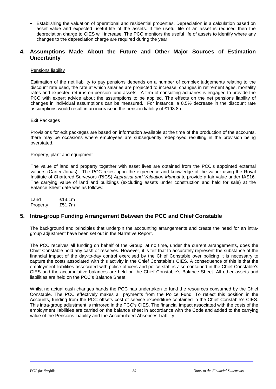• Establishing the valuation of operational and residential properties. Depreciation is a calculation based on asset value and expected useful life of the assets. If the useful life of an asset is reduced then the depreciation charge to CIES will increase. The PCC monitors the useful life of assets to identify where any changes to the depreciation charge are required during the year.

## **4. Assumptions Made About the Future and Other Major Sources of Estimation Uncertainty**

#### Pensions liability

Estimation of the net liability to pay pensions depends on a number of complex judgements relating to the discount rate used, the rate at which salaries are projected to increase, changes in retirement ages, mortality rates and expected returns on pension fund assets. A firm of consulting actuaries is engaged to provide the PCC with expert advice about the assumptions to be applied. The effects on the net pensions liability of changes in individual assumptions can be measured. For instance, a 0.5% decrease in the discount rate assumptions would result in an increase in the pension liability of £193.8m.

#### Exit Packages

Provisions for exit packages are based on information available at the time of the production of the accounts, there may be occasions where employees are subsequently redeployed resulting in the provision being overstated.

#### Property, plant and equipment

The value of land and property together with asset lives are obtained from the PCC's appointed external valuers (Carter Jonas). The PCC relies upon the experience and knowledge of the valuer using the Royal Institute of Chartered Surveyors (RICS) *Appraisal and Valuation Manual* to provide a fair value under IAS16. The carrying value of land and buildings (excluding assets under construction and held for sale) at the Balance Sheet date was as follows:

Land £13.1m<br>Property £51.7m Property

### **5. Intra-group Funding Arrangement Between the PCC and Chief Constable**

The background and principles that underpin the accounting arrangements and create the need for an intragroup adjustment have been set out in the Narrative Report.

The PCC receives all funding on behalf of the Group; at no time, under the current arrangements, does the Chief Constable hold any cash or reserves. However, it is felt that to accurately represent the substance of the financial impact of the day-to-day control exercised by the Chief Constable over policing it is necessary to capture the costs associated with this activity in the Chief Constable's CIES. A consequence of this is that the employment liabilities associated with police officers and police staff is also contained in the Chief Constable's CIES and the accumulative balances are held on the Chief Constable's Balance Sheet. All other assets and liabilities are held on the PCC's Balance Sheet.

Whilst no actual cash changes hands the PCC has undertaken to fund the resources consumed by the Chief Constable. The PCC effectively makes all payments from the Police Fund. To reflect this position in the Accounts, funding from the PCC offsets cost of service expenditure contained in the Chief Constable's CIES. This intra-group adjustment is mirrored in the PCC's CIES. The financial impact associated with the costs of the employment liabilities are carried on the balance sheet in accordance with the Code and added to the carrying value of the Pensions Liability and the Accumulated Absences Liability.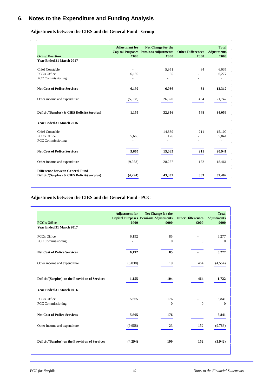# **6. Notes to the Expenditure and Funding Analysis**

**Adjustments between the CIES and the General Fund - Group**

|                                            | <b>Adjustment</b> for | Net Change for the                                   |                                  | <b>Total</b>               |
|--------------------------------------------|-----------------------|------------------------------------------------------|----------------------------------|----------------------------|
| <b>Group Position</b>                      | £000                  | <b>Capital Purposes Pensions Adjustments</b><br>£000 | <b>Other Differences</b><br>£000 | <b>Adjustments</b><br>£000 |
| Year Ended 31 March 2017                   |                       |                                                      |                                  |                            |
|                                            |                       |                                                      |                                  |                            |
| <b>Chief Constable</b>                     |                       | 5.951                                                | 84                               | 6,035                      |
| PCC's Office                               | 6,192                 | 85                                                   |                                  | 6,277                      |
| PCC Commissioning                          |                       |                                                      |                                  |                            |
| <b>Net Cost of Police Services</b>         | 6,192                 | 6,036                                                | 84                               | 12,312                     |
| Other income and expenditure               | (5,038)               | 26,320                                               | 464                              | 21,747                     |
| Deficit/(Surplus) & CIES Deficit/(Surplus) | 1,155                 | 32,356                                               | 548                              | 34,059                     |
| Year Ended 31 March 2016                   |                       |                                                      |                                  |                            |
| Chief Constable                            |                       | 14,889                                               | 211                              | 15,100                     |
| PCC's Office                               | 5.665                 | 176                                                  |                                  | 5,841                      |
| PCC Commissioning                          |                       |                                                      |                                  |                            |
| <b>Net Cost of Police Services</b>         | 5,665                 | 15,065                                               | 211                              | 20,941                     |
| Other income and expenditure               | (9,958)               | 28,267                                               | 152                              | 18,461                     |
| Difference between General Fund            |                       |                                                      |                                  |                            |
| Deficit/(Surplus) & CIES Deficit/(Surplus) | (4,294)               | 43,332                                               | 363                              | 39,402                     |

### **Adjustments between the CIES and the General Fund - PCC**

|                                                 | <b>Adjustment</b> for | Net Change for the<br><b>Capital Purposes Pensions Adjustments</b> | <b>Other Differences</b> | <b>Total</b><br><b>Adjustments</b> |
|-------------------------------------------------|-----------------------|--------------------------------------------------------------------|--------------------------|------------------------------------|
| <b>PCC's Office</b><br>Year Ended 31 March 2017 | £000                  | £000                                                               | £000                     | £000                               |
| PCC's Office                                    | 6,192                 | 85                                                                 |                          | 6,277                              |
| PCC Commissioning                               |                       | $\mathbf{0}$                                                       | $\mathbf{0}$             | $\mathbf{0}$                       |
| <b>Net Cost of Police Services</b>              | 6,192                 | 85                                                                 |                          | 6,277                              |
| Other income and expenditure                    | (5,038)               | 19                                                                 | 464                      | (4,554)                            |
| Deficit/(Surplus) on the Provision of Services  | 1,155                 | 104                                                                | 464                      | 1,722                              |
| Year Ended 31 March 2016                        |                       |                                                                    |                          |                                    |
| PCC's Office                                    | 5,665                 | 176                                                                |                          | 5.841                              |
| <b>PCC Commissioning</b>                        |                       | $\theta$                                                           | $\mathbf{0}$             | $\Omega$                           |
| <b>Net Cost of Police Services</b>              | 5,665                 | 176                                                                |                          | 5,841                              |
| Other income and expenditure                    | (9,958)               | 23                                                                 | 152                      | (9,783)                            |
| Deficit/(Surplus) on the Provision of Services  | (4,294)               | 199                                                                | 152                      | (3,942)                            |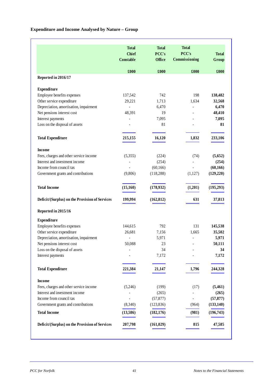# **Expenditure and Income Analysed by Nature – Group**

|                                                | <b>Total</b><br><b>Chief</b><br><b>Constable</b> | <b>Total</b><br>PCC's<br>Office | <b>Total</b><br>PCC's<br>Commissioning | <b>Total</b><br>Group |
|------------------------------------------------|--------------------------------------------------|---------------------------------|----------------------------------------|-----------------------|
|                                                | £000                                             | £000                            | £000                                   | £000                  |
| Reported in 2016/17                            |                                                  |                                 |                                        |                       |
| <b>Expenditure</b>                             |                                                  |                                 |                                        |                       |
| Employee benefits expenses                     | 137,542                                          | 742                             | 198                                    | 138,482               |
| Other service expenditure                      | 29,221                                           | 1,713                           | 1,634                                  | 32,568                |
| Depreciation, amortisation, impairment         | $\overline{\phantom{a}}$                         | 6,470                           | $\overline{\phantom{a}}$               | 6,470                 |
| Net pensions interest cost                     | 48,391                                           | 19                              |                                        | 48,410                |
| Interest payments                              | Ĭ.                                               | 7,095                           |                                        | 7,095                 |
| Loss on the disposal of assets                 |                                                  | 81                              |                                        | 81                    |
| <b>Total Expenditure</b>                       | 215,155                                          | 16,120                          | 1,832                                  | 233,106               |
| <b>Income</b>                                  |                                                  |                                 |                                        |                       |
| Fees, charges and other service income         | (5,355)                                          | (224)                           | (74)                                   | (5,652)               |
| Interest and investment income                 | $\overline{a}$                                   | (254)                           | $\overline{a}$                         | (254)                 |
| Income from council tax                        |                                                  | (60, 166)                       | $\equiv$                               | (60, 166)             |
| Government grants and contributions            | (9,806)                                          | (118, 288)                      | (1,127)                                | (129, 220)            |
| <b>Total Income</b>                            | (15, 160)                                        | (178, 932)                      | (1,201)                                | (195, 293)            |
| Deficit/(Surplus) on the Provision of Services | 199,994                                          | (162, 812)                      | 631                                    | 37,813                |
| Reported in 2015/16                            |                                                  |                                 |                                        |                       |
| <b>Expenditure</b>                             |                                                  |                                 |                                        |                       |
| Employee benefits expenses                     | 144,615                                          | 792                             | 131                                    | 145,538               |
| Other service expenditure                      | 26,681                                           | 7,156                           | 1,665                                  | 35,502                |
| Depreciation, amortisation, impairment         | $\qquad \qquad \blacksquare$                     | 5,971                           |                                        | 5,971                 |
| Net pensions interest cost                     | 50,088                                           | 23                              | ÷,                                     | 50,111                |
| Loss on the disposal of assets                 |                                                  | 34                              |                                        | 34                    |
| Interest payments                              |                                                  | 7,172                           |                                        | 7,172                 |
| <b>Total Expenditure</b>                       | 221,384                                          | 21,147                          | 1,796                                  | 244,328               |
| <b>Income</b>                                  |                                                  |                                 |                                        |                       |
| Fees, charges and other service income         | (5,246)                                          | (199)                           | (17)                                   | (5,461)               |
| Interest and investment income                 |                                                  | (265)                           |                                        | (265)                 |
| Income from council tax                        |                                                  | (57, 877)                       |                                        | (57, 877)             |
| Government grants and contributions            | (8,340)                                          | (123, 836)                      | (964)                                  | (133, 140)            |
| <b>Total Income</b>                            | (13,586)                                         | (182, 176)                      | (981)                                  | (196, 743)            |
| Deficit/(Surplus) on the Provision of Services | 207,798                                          | (161, 029)                      | 815                                    | 47,585                |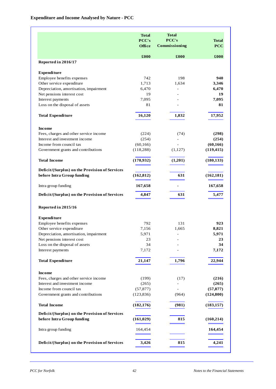|                                                | <b>Total</b><br>PCC's<br>Office | <b>Total</b><br>PCC's<br>Commissioning | <b>Total</b><br><b>PCC</b> |
|------------------------------------------------|---------------------------------|----------------------------------------|----------------------------|
|                                                | £000                            | £000                                   | $\pmb{\pounds}000$         |
| Reported in 2016/17                            |                                 |                                        |                            |
| <b>Expenditure</b>                             |                                 |                                        |                            |
| Employee benefits expenses                     | 742                             | 198                                    | 940                        |
| Other service expenditure                      | 1,713                           | 1,634                                  | 3,346                      |
| Depreciation, amortisation, impairment         | 6,470                           | ÷,                                     | 6,470                      |
| Net pensions interest cost                     | 19                              |                                        | 19                         |
| Interest payments                              | 7,095                           |                                        | 7,095                      |
| Loss on the disposal of assets                 | 81                              |                                        | 81                         |
| <b>Total Expenditure</b>                       | 16,120                          | 1,832                                  | 17,952                     |
| <b>Income</b>                                  |                                 |                                        |                            |
| Fees, charges and other service income         | (224)                           | (74)                                   | (298)                      |
| Interest and investment income                 | (254)                           |                                        | (254)                      |
| Income from council tax                        | (60, 166)                       |                                        | (60, 166)                  |
| Government grants and contributions            | (118, 288)                      | (1,127)                                | (119, 415)                 |
| <b>Total Income</b>                            | (178,932)                       | (1,201)                                | (180, 133)                 |
| Deficit/(Surplus) on the Provision of Services |                                 |                                        |                            |
| before Intra Group funding                     | (162, 812)                      | 631                                    | (162, 181)                 |
| Intra group funding                            | 167,658                         | ۰                                      | 167,658                    |
| Deficit/(Surplus) on the Provision of Services | 4,847                           | 631                                    | 5,477                      |
| Reported in 2015/16                            |                                 |                                        |                            |
| <b>Expenditure</b>                             |                                 |                                        |                            |
| Employee benefits expenses                     | 792                             | 131                                    | 923                        |
| Other service expenditure                      | 7,156                           | 1,665                                  | 8,821                      |
| Depreciation, amortisation, impairment         | 5,971                           |                                        | 5,971                      |
| Net pensions interest cost                     | 23                              |                                        | 23                         |
| Loss on the disposal of assets                 | 34                              |                                        | 34                         |
| Interest payments                              | 7,172                           |                                        | 7,172                      |
| <b>Total Expenditure</b>                       | 21,147                          | 1,796                                  | 22,944                     |
| <b>Income</b>                                  |                                 |                                        |                            |
| Fees, charges and other service income         | (199)                           | (17)                                   | (216)                      |
| Interest and investment income                 | (265)                           |                                        | (265)                      |
| Income from council tax                        | (57, 877)                       |                                        | (57, 877)                  |
| Government grants and contributions            | (123, 836)                      | (964)                                  | (124, 800)                 |
| <b>Total Income</b>                            | (182, 176)                      | (981)                                  | (183, 157)                 |
| Deficit/(Surplus) on the Provision of Services |                                 |                                        |                            |
| before Intra Group funding                     | (161, 029)                      | 815                                    | (160,214)                  |
| Intra group funding                            | 164,454                         |                                        | 164,454                    |
| Deficit/(Surplus) on the Provision of Services | 3,426                           | 815                                    | 4,241                      |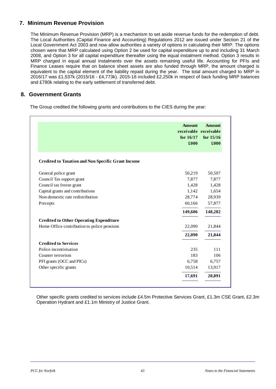# **7. Minimum Revenue Provision**

The Minimum Revenue Provision (MRP) is a mechanism to set aside revenue funds for the redemption of debt. The Local Authorities (Capital Finance and Accounting) Regulations 2012 are issued under Section 21 of the Local Government Act 2003 and now allow authorities a variety of options in calculating their MRP. The options chosen were that MRP calculated using Option 2 be used for capital expenditure up to and including 31 March 2008, and Option 3 for all capital expenditure thereafter using the equal instalment method. Option 3 results in MRP charged in equal annual instalments over the assets remaining useful life. Accounting for PFIs and Finance Leases require that on balance sheet assets are also funded through MRP, the amount charged is equivalent to the capital element of the liability repaid during the year. The total amount charged to MRP in 2016/17 was £1,537k (2015/16 - £4,773k). 2015-16 included £2,250k in respect of back funding MRP balances and £780k relating to the early settlement of transferred debt.

## **8. Government Grants**

The Group credited the following grants and contributions to the CIES during the year:

|                                                           | <b>Amount</b><br>receivable receivable<br>for $16/17$<br>£000 | <b>Amount</b><br>for $15/16$<br>£000 |
|-----------------------------------------------------------|---------------------------------------------------------------|--------------------------------------|
| <b>Credited to Taxation and Non Specific Grant Income</b> |                                                               |                                      |
| General police grant                                      | 50,219                                                        | 50,507                               |
| Council Tax support grant                                 | 7,877                                                         | 7,877                                |
| Council tax freeze grant                                  | 1,428                                                         | 1,428                                |
| Capital grants and contributions                          | 1,142                                                         | 1,654                                |
| Non-domestic rate redistribution                          | 28,774                                                        | 28,939                               |
| Precepts                                                  | 60,166                                                        | 57,877                               |
|                                                           | 149,606                                                       | 148,282                              |
| <b>Credited to Other Operating Expenditure</b>            |                                                               |                                      |
| Home Office contribution to police pensions               | 22,090                                                        | 21,844                               |
|                                                           | 22,090                                                        | 21,844                               |
| <b>Credited to Services</b>                               |                                                               |                                      |
| Police incentivisation                                    | 235                                                           | 111                                  |
| Counter terrorism                                         | 183                                                           | 106                                  |
| PFI grants (OCC and PICs)                                 | 6,758                                                         | 6,757                                |
| Other specific grants                                     | 10,514                                                        | 13,917                               |
|                                                           | 17,691                                                        | 20,891                               |

Other specific grants credited to services include £4.5m Protective Services Grant, £1.3m CSE Grant, £2.3m Operation Hydrant and £1.1m Ministry of Justice Grant.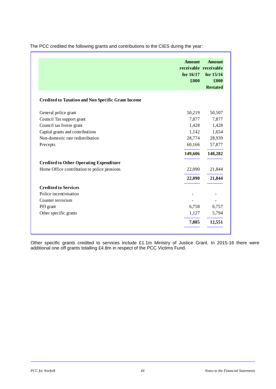|                                                           | <b>Amount</b><br>receivable receivable<br>for $16/17$<br>£000 | <b>Amount</b><br>for 15/16<br>£000<br><b>Restated</b> |
|-----------------------------------------------------------|---------------------------------------------------------------|-------------------------------------------------------|
| <b>Credited to Taxation and Non Specific Grant Income</b> |                                                               |                                                       |
| General police grant                                      | 50,219                                                        | 50,507                                                |
| Council Tax support grant                                 | 7,877                                                         | 7,877                                                 |
| Council tax freeze grant                                  | 1,428                                                         | 1,428                                                 |
| Capital grants and contributions                          | 1,142                                                         | 1,654                                                 |
| Non-domestic rate redistribution                          | 28,774                                                        | 28,939                                                |
| Precepts                                                  | 60,166                                                        | 57,877                                                |
|                                                           | 149,606                                                       | 148,282                                               |
| <b>Credited to Other Operating Expenditure</b>            |                                                               |                                                       |
| Home Office contribution to police pensions               | 22,090                                                        | 21,844                                                |
|                                                           | 22,090                                                        | 21,844                                                |
| <b>Credited to Services</b>                               |                                                               |                                                       |
| Police incentivisation                                    |                                                               |                                                       |
| Counter terrorism                                         |                                                               |                                                       |
| PFI grant                                                 | 6,758                                                         | 6,757                                                 |
| Other specific grants                                     | 1,127                                                         | 5,794                                                 |
|                                                           | 7,885                                                         | 12,551                                                |

The PCC credited the following grants and contributions to the CIES during the year:

Other specific grants credited to services include £1.1m Ministry of Justice Grant. In 2015-16 there were additional one off grants totalling £4.8m in respect of the PCC Victims Fund.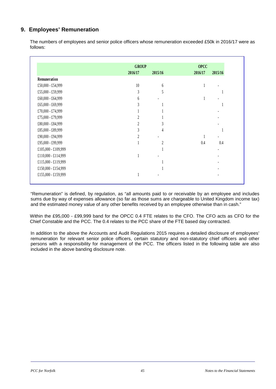# **9. Employees' Remuneration**

The numbers of employees and senior police officers whose remuneration exceeded £50k in 2016/17 were as follows:

|                     | <b>GROUP</b> |                | <b>OPCC</b> |         |  |
|---------------------|--------------|----------------|-------------|---------|--|
|                     | 2016/17      | 2015/16        | 2016/17     | 2015/16 |  |
| Remuneration        |              |                |             |         |  |
| £50,000 - £54,999   | 10           | 6              |             |         |  |
| £55,000 - £59,999   | 3            | 5              |             |         |  |
| £60,000 - £64,999   | 6            |                |             |         |  |
| £65,000 - £69,999   | 3            |                |             |         |  |
| £70,000 - £74,999   |              |                |             |         |  |
| £75,000 - £79,999   | 2            |                |             |         |  |
| £80,000 - £84,999   | 2            | 3              |             |         |  |
| £85,000 - £89,999   | 3            | 4              |             | 1       |  |
| £90,000 - £94,999   | 2            |                |             |         |  |
| £95,000 - £99,999   |              | $\overline{c}$ | 0.4         | 0.4     |  |
| £105,000 - £109,999 |              |                |             |         |  |
| £110,000 - £114,999 |              |                |             |         |  |
| £115,000 - £119,999 |              |                |             |         |  |
| £150,000 - £154,999 |              |                |             |         |  |
| £155,000 - £159,999 |              |                |             |         |  |

"Remuneration" is defined, by regulation, as "all amounts paid to or receivable by an employee and includes sums due by way of expenses allowance (so far as those sums are chargeable to United Kingdom income tax) and the estimated money value of any other benefits received by an employee otherwise than in cash."

Within the £95,000 - £99,999 band for the OPCC 0.4 FTE relates to the CFO. The CFO acts as CFO for the Chief Constable and the PCC. The 0.4 relates to the PCC share of the FTE based day contracted.

In addition to the above the Accounts and Audit Regulations 2015 requires a detailed disclosure of employees' remuneration for relevant senior police officers, certain statutory and non-statutory chief officers and other persons with a responsibility for management of the PCC. The officers listed in the following table are also included in the above banding disclosure note.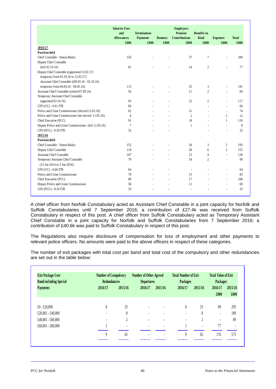|                                                                                                                                          | <b>Salaries Fees</b><br>and<br><b>Allowances</b><br>£000 | <b>Termination</b><br><b>Payments</b><br>£000 | <b>Bonuses</b><br>£000 | <b>Employers</b><br><b>Pension</b><br><b>Contributions</b><br>£000 | <b>Benefits</b> in<br>Kind<br>£000 | <b>Expenses</b><br>£000  | <b>Total</b><br>£000 |
|------------------------------------------------------------------------------------------------------------------------------------------|----------------------------------------------------------|-----------------------------------------------|------------------------|--------------------------------------------------------------------|------------------------------------|--------------------------|----------------------|
| 2016/17                                                                                                                                  |                                                          |                                               |                        |                                                                    |                                    |                          |                      |
| <b>Position held</b>                                                                                                                     |                                                          |                                               |                        |                                                                    |                                    |                          |                      |
| Chief Constable - Simon Bailey                                                                                                           | 156                                                      |                                               |                        | 37                                                                 | $\tau$                             | $\overline{a}$           | 200                  |
| Deputy Chief Constable                                                                                                                   |                                                          |                                               |                        |                                                                    |                                    |                          |                      |
| (left 02.10.16)                                                                                                                          | 61                                                       |                                               |                        | 14                                                                 | $\overline{2}$                     |                          | 77                   |
| Deputy Chief Constable ((appointed 13.02.17)<br>temporary from 03.10.16 to 12.02.17)<br>Assistant Chief Constable ((09.05.16 - 02.10.16) |                                                          |                                               |                        |                                                                    |                                    |                          |                      |
| temporary from 04.04.16 - 08.05.16)                                                                                                      | 113                                                      |                                               |                        | 25                                                                 | 3                                  | $\overline{a}$           | 141                  |
| Assistant Chief Constable (retired 07.09.16)                                                                                             | 56                                                       |                                               |                        | 11                                                                 | $\overline{c}$                     | $\overline{a}$           | 69                   |
| Temporary Assistant Chief Constable                                                                                                      |                                                          |                                               |                        |                                                                    |                                    |                          |                      |
| (appointed $03.10.16$ )                                                                                                                  | 93                                                       |                                               | $\overline{a}$         | 22                                                                 | $\overline{c}$                     | $\overline{a}$           | 117                  |
| CFO (CC) - 0.61 FTE                                                                                                                      | 66                                                       |                                               |                        |                                                                    | $\overline{a}$                     | ÷                        | 66                   |
| Police and Crime Commissioner (elected 12.05.16)                                                                                         | 62                                                       |                                               |                        | 12                                                                 |                                    | $\overline{\phantom{a}}$ | 74                   |
| Police and Crime Commissioner (de-elected 11.05.16)                                                                                      | 8                                                        |                                               |                        | $\overline{c}$                                                     |                                    | $\overline{2}$           | 12                   |
| Chief Executive (PCC)                                                                                                                    | 91                                                       |                                               |                        | 18                                                                 |                                    | 1                        | 110                  |
| Deputy Police and Crime Commissioner (left 11.05.16)                                                                                     | $\tau$                                                   |                                               |                        | 1                                                                  |                                    | $\overline{a}$           | 8                    |
| CFO (PCC) - 0.39 FTE                                                                                                                     | 32                                                       |                                               |                        |                                                                    |                                    |                          | 32                   |
| 2015/16                                                                                                                                  |                                                          |                                               |                        |                                                                    |                                    |                          |                      |
| <b>Position held</b>                                                                                                                     |                                                          |                                               |                        |                                                                    |                                    |                          |                      |
| Chief Constable - Simon Bailey                                                                                                           | 152                                                      |                                               |                        | 36                                                                 | 3                                  | 2                        | 193                  |
| Deputy Chief Constable                                                                                                                   | 119                                                      |                                               |                        | 28                                                                 | 6                                  | $\overline{c}$           | 155                  |
| <b>Assistant Chief Constable</b>                                                                                                         | 107                                                      |                                               |                        | 25                                                                 | 4                                  | $\overline{a}$           | 136                  |
| Temporary Assistant Chief Constable                                                                                                      | 79                                                       |                                               |                        | 18                                                                 | $\overline{c}$                     | L,                       | 99                   |
| (23 Jun 2014 to 3 Jan 2016)                                                                                                              |                                                          |                                               |                        |                                                                    |                                    |                          |                      |
| CFO (CC) - 0.66 FTE                                                                                                                      | 64                                                       |                                               |                        | ÷                                                                  |                                    | L,                       | 64                   |
| Police and Crime Commissioner                                                                                                            | 70                                                       |                                               | $\overline{a}$         | 13                                                                 |                                    | $\overline{a}$           | 83                   |
| Chief Executive (PCC)                                                                                                                    | 89                                                       |                                               | ÷,                     | 17                                                                 |                                    | $\overline{a}$           | 106                  |
| Deputy Police and Crime Commissioner                                                                                                     | 58                                                       |                                               | $\overline{a}$         | 11                                                                 |                                    | $\overline{a}$           | 69                   |
| CFO (PCC) - 0.34 FTE                                                                                                                     | 33                                                       |                                               |                        | Ĭ.                                                                 |                                    | $\overline{a}$           | 33                   |

A chief officer from Norfolk Constabulary acted as Assistant Chief Constable in a joint capacity for Norfolk and Suffolk Constabularies until 7 September 2016; a contribution of £27.4k was received from Suffolk Constabulary in respect of this post. A chief officer from Suffolk Constabulary acted as Temporary Assistant Chief Constable in a joint capacity for Norfolk and Suffolk Constabularies from 7 September 2016; a contribution of £40.6k was paid to Suffolk Constabulary in respect of this post.

The Regulations also require disclosure of compensation for loss of employment and other payments to relevant police officers. No amounts were paid to the above officers in respect of these categories.

The number of exit packages with total cost per band and total cost of the compulsory and other redundancies are set out in the table below:

| <b>Exit Package Cost</b><br><b>Band including Special</b> |                | <b>Number of Compulsory</b><br><b>Redundancies</b> |         | <b>Number of Other Agreed</b><br><b>Departures</b> |         | <b>Total Number of Exit</b><br>Packages |                          | <b>Total Value of Exit</b><br>Packages |
|-----------------------------------------------------------|----------------|----------------------------------------------------|---------|----------------------------------------------------|---------|-----------------------------------------|--------------------------|----------------------------------------|
| <b>Payments</b>                                           | 2016/17        | 2015/16                                            | 2016/17 | 2015/16                                            | 2016/17 | 2015/16                                 | 2016/17<br>£000          | 2015/16<br>£000                        |
| $£0 - £20,000$                                            | 8              | 33                                                 |         |                                                    | 8       | 33                                      | 99                       | 295                                    |
| £20,001 - £40,000                                         |                | 8                                                  |         |                                                    |         | 8                                       | ٠                        | 189                                    |
| £40,001 - £60,000                                         | $\overline{a}$ | $\overline{c}$                                     |         |                                                    |         | 2                                       | $\overline{\phantom{a}}$ | 89                                     |
| $£60,001 - £80,000$                                       |                |                                                    |         |                                                    |         |                                         | 77                       | $\blacksquare$                         |
|                                                           | 9              | 43                                                 | ٠       | $\overline{\phantom{a}}$                           | 9       | 43                                      | 176                      | 573                                    |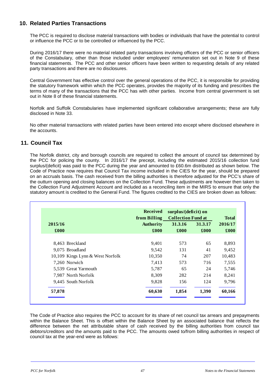# **10. Related Parties Transactions**

The PCC is required to disclose material transactions with bodies or individuals that have the potential to control or influence the PCC or to be controlled or influenced by the PCC.

During 2016/17 there were no material related party transactions involving officers of the PCC or senior officers of the Constabulary, other than those included under employees' remuneration set out in Note 9 of these financial statements. The PCC and other senior officers have been written to requesting details of any related party transactions and there are no disclosures.

Central Government has effective control over the general operations of the PCC, it is responsible for providing the statutory framework within which the PCC operates, provides the majority of its funding and prescribes the terms of many of the transactions that the PCC has with other parties. Income from central government is set out in Note 8 of these financial statements.

Norfolk and Suffolk Constabularies have implemented significant collaborative arrangements; these are fully disclosed in Note 33.

No other material transactions with related parties have been entered into except where disclosed elsewhere in the accounts.

# **11. Council Tax**

The Norfolk district, city and borough councils are required to collect the amount of council tax determined by the PCC for policing the county. In 2016/17 the precept, including the estimated 2015/16 collection fund surplus/(deficit) was paid to the PCC during the year and amounted to £60.6m distributed as shown below. The Code of Practice now requires that Council Tax income included in the CIES for the year, should be prepared on an accruals basis. The cash received from the billing authorities is therefore adjusted for the PCC's share of the outturn opening and closing balances on the Collection Fund. These adjustments are however then taken to the Collection Fund Adjustment Account and included as a reconciling item in the MIRS to ensure that only the statutory amount is credited to the General Fund. The figures credited to the CIES are broken down as follows:

|         |                                  | <b>Received</b><br>from Billing |         | surplus/(deficit) on<br><b>Collection Fund at</b> |         |  |
|---------|----------------------------------|---------------------------------|---------|---------------------------------------------------|---------|--|
| 2015/16 |                                  | <b>Authority</b>                | 31.3.16 | 31.3.17                                           | 2016/17 |  |
| £000    |                                  | £000                            | £000    | £000                                              | £000    |  |
|         | 8,463 Breckland                  | 9,401                           | 573     | 65                                                | 8,893   |  |
|         | 9,075 Broadland                  | 9,542                           | 131     | 41                                                | 9,452   |  |
|         | 10,109 Kings Lynn & West Norfolk | 10,350                          | 74      | 207                                               | 10,483  |  |
|         | 7,260 Norwich                    | 7,413                           | 573     | 716                                               | 7,555   |  |
|         | 5,539 Great Yarmouth             | 5,787                           | 65      | 24                                                | 5,746   |  |
|         | 7,987 North Norfolk              | 8,309                           | 282     | 214                                               | 8,241   |  |
|         | 9,445 South Norfolk              | 9,828                           | 156     | 124                                               | 9,796   |  |
| 57,878  |                                  | 60,630                          | 1,854   | 1,390                                             | 60,166  |  |

The Code of Practice also requires the PCC to account for its share of net council tax arrears and prepayments within the Balance Sheet. This is offset within the Balance Sheet by an associated balance that reflects the difference between the net attributable share of cash received by the billing authorities from council tax debtors/creditors and the amounts paid to the PCC. The amounts owed to/from billing authorities in respect of council tax at the year-end were as follows: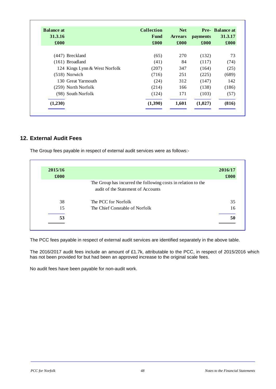| <b>Balance at</b> |                               | <b>Collection</b> | <b>Net</b>     |                 | <b>Pre-</b> Balance at |
|-------------------|-------------------------------|-------------------|----------------|-----------------|------------------------|
| 31.3.16           |                               | Fund              | <b>Arrears</b> | <b>payments</b> | 31.3.17                |
| £000              |                               | £000              | £000           | £000            | £000                   |
|                   |                               |                   |                |                 |                        |
|                   | $(447)$ Breckland             | (65)              | 270            | (132)           | 73                     |
|                   | $(161)$ Broadland             | (41)              | 84             | (117)           | (74)                   |
|                   | 124 Kings Lynn & West Norfolk | (207)             | 347            | (164)           | (25)                   |
|                   | $(518)$ Norwich               | (716)             | 251            | (225)           | (689)                  |
|                   | 130 Great Yarmouth            | (24)              | 312            | (147)           | 142                    |
|                   | (259) North Norfolk           | (214)             | 166            | (138)           | (186)                  |
|                   | (98) South Norfolk            | (124)             | 171            | (103)           | (57)                   |
| (1,230)           |                               | (1,390)           | 1,601          | (1,027)         | (816)                  |

# **12. External Audit Fees**

The Group fees payable in respect of external audit services were as follows:-

| 2015/16<br>£000 |                                                                                                     | 2016/17<br>$\pmb{\pounds}$ 000 |
|-----------------|-----------------------------------------------------------------------------------------------------|--------------------------------|
|                 | The Group has incurred the following costs in relation to the<br>audit of the Statement of Accounts |                                |
| 38              | The PCC for Norfolk                                                                                 | 35                             |
| 15              | The Chief Constable of Norfolk                                                                      | 16                             |
| 53              |                                                                                                     | 50                             |

The PCC fees payable in respect of external audit services are identified separately in the above table.

The 2016/2017 audit fees include an amount of £1.7k, attributable to the PCC, in respect of 2015/2016 which has not been provided for but had been an approved increase to the original scale fees.

No audit fees have been payable for non-audit work.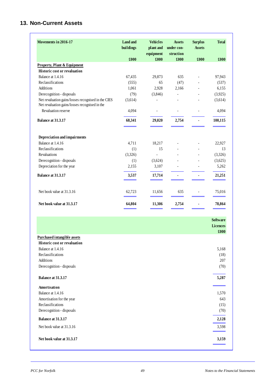# **13. Non-Current Assets**

| Movements in 2016-17                                                                                  | <b>Land and</b><br>buildings | <b>Vehicles</b><br>plant and<br>equipment | <b>Assets</b><br>under con-<br>struction | <b>Surplus</b><br><b>Assets</b> | <b>Total</b> |
|-------------------------------------------------------------------------------------------------------|------------------------------|-------------------------------------------|------------------------------------------|---------------------------------|--------------|
|                                                                                                       | £000                         | £000                                      | £000                                     | £000                            | £000         |
| <b>Property, Plant &amp; Equipment</b>                                                                |                              |                                           |                                          |                                 |              |
| <b>Historic cost or revaluation</b>                                                                   |                              |                                           |                                          |                                 |              |
| Balance at 1.4.16                                                                                     | 67,435                       | 29,873                                    | 635                                      | $\frac{1}{2}$                   | 97,943       |
| Reclassifications                                                                                     | (555)                        | 65                                        | (47)                                     | $\overline{a}$                  | (537)        |
| <b>Additions</b>                                                                                      | 1,061                        | 2,928                                     | 2,166                                    |                                 | 6,155        |
| Derecognition - disposals                                                                             | (79)                         | (3,846)                                   |                                          |                                 | (3,925)      |
| Net revaluation gains/losses recognised in the CIES<br>Net revaluation gains/losses recognised in the | (3,614)                      |                                           |                                          |                                 | (3,614)      |
| Revaluation reserve                                                                                   | 4,094                        |                                           |                                          | $\overline{\phantom{a}}$        | 4,094        |
| Balance at 31.3.17                                                                                    | 68,341                       | 29,020                                    | 2,754                                    |                                 | 100,115      |
| Depreciation and impairments                                                                          |                              |                                           |                                          |                                 |              |
| Balance at 1.4.16                                                                                     | 4,711                        | 18,217                                    |                                          | $\overline{\phantom{a}}$        | 22,927       |
| Reclassifications                                                                                     | (1)                          | 15                                        |                                          |                                 | 13           |
| <b>Revaluations</b>                                                                                   | (3,326)                      | $\overline{a}$                            |                                          |                                 | (3,326)      |
| Derecognition - disposals                                                                             | (1)                          | (3,624)                                   |                                          |                                 | (3,625)      |
| Depreciation for the year                                                                             | 2,155                        | 3,107                                     |                                          |                                 | 5,262        |
| Balance at 31.3.17                                                                                    | 3,537                        | 17,714                                    |                                          |                                 | 21,251       |
| Net book value at 31.3.16                                                                             | 62,723                       | 11,656                                    | 635                                      | $\overline{a}$                  | 75,016       |
| Net book value at 31.3.17                                                                             | 64,804                       | 11,306                                    | 2,754                                    |                                 | 78,864       |

|                                     | <b>Software</b> |
|-------------------------------------|-----------------|
|                                     | <b>Licences</b> |
|                                     | £000            |
| <b>Purchased intangible assets</b>  |                 |
| <b>Historic cost or revaluation</b> |                 |
| Balance at 1.4.16                   | 5,168           |
| Reclassifications                   | (18)            |
| Additions                           | 207             |
| Derecognition - disposals           | (70)            |
| Balance at 31.3.17                  | 5,287           |
| Amortisation                        |                 |
| Balance at 1.4.16                   | 1,570           |
| Amortisation for the year           | 643             |
| Reclassifications                   | (15)            |
| Derecognition - disposals           | (70)            |
| Balance at 31.3.17                  | 2,128           |
| Net book value at 31.3.16           | 3,598           |
| Net book value at 31.3.17           | 3,159           |
|                                     |                 |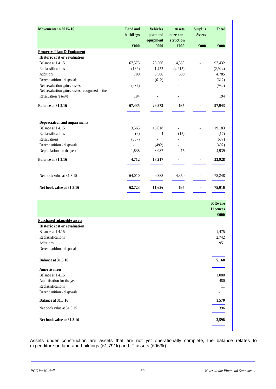| Movements in 2015-16                                                      | <b>Land and</b><br>buildings | <b>Vehicles</b><br>plant and<br>equipment | <b>Assets</b><br>under con-<br>struction | <b>Surplus</b><br><b>Assets</b> | <b>Total</b>    |
|---------------------------------------------------------------------------|------------------------------|-------------------------------------------|------------------------------------------|---------------------------------|-----------------|
|                                                                           | £000                         | £000                                      | £000                                     | £000                            | £000            |
| <b>Property, Plant &amp; Equipment</b>                                    |                              |                                           |                                          |                                 |                 |
| Historic cost or revaluation                                              |                              |                                           |                                          |                                 |                 |
| Balance at 1.4.15                                                         | 67,575                       | 25,506                                    | 4,350                                    | $\blacksquare$                  | 97,432          |
| Reclassifications                                                         | (182)                        | 1,472                                     | (4,215)                                  |                                 | (2,924)         |
| Additions                                                                 | 780                          | 3,506                                     | 500                                      |                                 | 4,785           |
| Derecognition - disposals                                                 | $\frac{1}{2}$                | (612)                                     |                                          |                                 | (612)           |
| Net revaluation gains/losses                                              | (932)                        | L,                                        |                                          |                                 | (932)           |
| Net revaluation gains/losses recognised in the                            |                              |                                           |                                          |                                 |                 |
| Revaluation reserve                                                       | 194                          | $\overline{\phantom{0}}$                  | $\overline{\phantom{a}}$                 |                                 | 194             |
| Balance at 31.3.16                                                        | 67,435                       | 29,873                                    | 635                                      | $\blacksquare$                  | 97,943          |
|                                                                           |                              |                                           |                                          |                                 |                 |
| Depreciation and impairments                                              |                              |                                           |                                          |                                 |                 |
| Balance at 1.4.15                                                         | 3,565                        | 15,618                                    | $\overline{\phantom{a}}$                 | $\frac{1}{2}$                   | 19,183          |
| Reclassifications                                                         | (6)                          | 4                                         | (15)                                     |                                 | (17)            |
| Revaluations                                                              | (687)                        | $\overline{a}$                            | $\overline{a}$                           |                                 | (687)           |
| Derecognition - disposals                                                 | $\frac{1}{2}$                | (492)                                     |                                          |                                 | (492)           |
| Depreciation for the year                                                 | 1,838                        | 3,087                                     | 15                                       | $\blacksquare$                  | 4,939           |
| Balance at 31.3.16                                                        | 4,712                        | 18,217                                    | ä,                                       | ä,                              | 22,928          |
| Net book value at 31.3.15                                                 | 64,010                       | 9,888                                     | 4,350                                    | -                               | 78,248          |
| Net book value at 31.3.16                                                 | 62,723                       | 11,656                                    | 635                                      |                                 | 75,016          |
|                                                                           |                              |                                           |                                          |                                 |                 |
|                                                                           |                              |                                           |                                          |                                 | <b>Software</b> |
|                                                                           |                              |                                           |                                          |                                 | <b>Licences</b> |
|                                                                           |                              |                                           |                                          |                                 | £000            |
| <b>Purchased intangible assets</b><br><b>Historic cost or revaluation</b> |                              |                                           |                                          |                                 |                 |
| Balance at 1.4.15                                                         |                              |                                           |                                          |                                 |                 |
| Reclassifications                                                         |                              |                                           |                                          |                                 | 1,475           |
|                                                                           |                              |                                           |                                          |                                 | 2,742           |
| Additions                                                                 |                              |                                           |                                          |                                 | 951             |
| Derecognition - disposals                                                 |                              |                                           |                                          |                                 |                 |
| Balance at 31.3.16                                                        |                              |                                           |                                          |                                 | 5,168           |
| Amortisation                                                              |                              |                                           |                                          |                                 |                 |
| Balance at 1.4.15                                                         |                              |                                           |                                          |                                 | 1,080           |
| Amortisation for the year                                                 |                              |                                           |                                          |                                 | 480             |
| Reclassifications                                                         |                              |                                           |                                          |                                 | 11              |
| Derecognition - disposals                                                 |                              |                                           |                                          |                                 |                 |
| Balance at 31.3.16                                                        |                              |                                           |                                          |                                 | 1,570           |
| Net book value at 31.3.15                                                 |                              |                                           |                                          |                                 | 396             |
|                                                                           |                              |                                           |                                          |                                 |                 |

Assets under construction are assets that are not yet operationally complete, the balance relates to expenditure on land and buildings (£1,791k) and IT assets (£963k).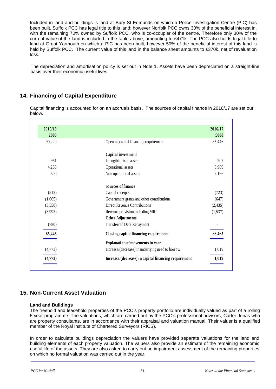Included in land and buildings is land at Bury St Edmunds on which a Police Investigation Centre (PIC) has been built. Suffolk PCC has legal title to this land; however Norfolk PCC owns 30% of the beneficial interest in, with the remaining 70% owned by Suffolk PCC, who is co-occupier of the centre. Therefore only 30% of the current value of the land is included in the table above, amounting to £471k. The PCC also holds legal title to land at Great Yarmouth on which a PIC has been built, however 50% of the beneficial interest of this land is held by Suffolk PCC. The current value of this land in the balance sheet amounts to £370k, net of revaluation loss.

The depreciation and amortisation policy is set out in Note 1. Assets have been depreciated on a straight-line basis over their economic useful lives.

## **14. Financing of Capital Expenditure**

Capital financing is accounted for on an accruals basis. The sources of capital finance in 2016/17 are set out below.

| 2016/17  |                                                      | 2015/16 |
|----------|------------------------------------------------------|---------|
| £000     |                                                      | £000    |
| 85,446   | Opening capital financing requirement                | 90,220  |
|          | Capital investment                                   |         |
| 207      | Intangible fixed assets                              | 951     |
| 3,989    | Operational assets                                   | 4,286   |
| 2,166    | Non operational assets                               | 500     |
|          | Sources of finance                                   |         |
| (723)    | Capital receipts                                     | (513)   |
| (647)    | Government grants and other contributions            | (1,665) |
| (2, 435) | Direct Revenue Contributions                         | (3,558) |
| (1,537)  | Revenue provision including MRP                      | (3,993) |
|          | <b>Other Adjustments</b>                             |         |
|          | <b>Transferred Debt Repayment</b>                    | (780)   |
| 86,465   | Closing capital financing requirement                | 85,446  |
|          | <b>Explanation of movements in year</b>              |         |
| 1,019    | Increase/(decrease) in underlying need to borrow     | (4,773) |
| 1,019    | Increase/(decrease) in capital financing requirement | (4,773) |

### **15. Non-Current Asset Valuation**

#### **Land and Buildings**

The freehold and leasehold properties of the PCC's property portfolio are individually valued as part of a rolling 5 year programme. The valuations, which are carried out by the PCC's professional advisors, Carter Jonas who are property consultants, are in accordance with their appraisal and valuation manual. Their valuer is a qualified member of the Royal Institute of Chartered Surveyors (RICS).

In order to calculate buildings depreciation the valuers have provided separate valuations for the land and building elements of each property valuation. The valuers also provide an estimate of the remaining economic useful life of the assets. They are also asked to carry out an impairment assessment of the remaining properties on which no formal valuation was carried out in the year.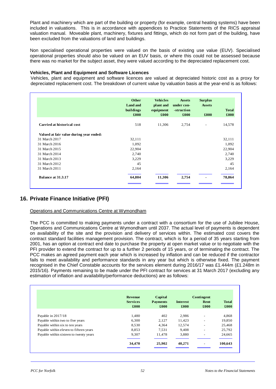Plant and machinery which are part of the building or property (for example, central heating systems) have been included in valuations. This is in accordance with appendices to Practice Statements of the RICS appraisal valuation manual. Moveable plant, machinery, fixtures and fittings, which do not form part of the building, have been excluded from the valuations of land and buildings.

Non specialised operational properties were valued on the basis of existing use value (EUV). Specialised operational properties should also be valued on an EUV basis, or where this could not be assessed because there was no market for the subject asset, they were valued according to the depreciated replacement cost.

#### **Vehicles, Plant and Equipment and Software Licences**

Vehicles, plant and equipment and software licences are valued at depreciated historic cost as a proxy for depreciated replacement cost. The breakdown of current value by valuation basis at the year-end is as follows:

|                                         | <b>Other</b><br><b>Land and</b><br>buildings<br>£000 | <b>Vehicles</b><br>plant and<br>equipment<br>£000 | <b>Assets</b><br>under con-<br>-struction<br>£000 | <b>Surplus</b><br><b>Assets</b><br>£000 | <b>Total</b><br>£000 |
|-----------------------------------------|------------------------------------------------------|---------------------------------------------------|---------------------------------------------------|-----------------------------------------|----------------------|
| <b>Carried at historical cost</b>       | 518                                                  | 11,306                                            | 2,754                                             | $\qquad \qquad -$                       | 14,578               |
| Valued at fair value during year ended: |                                                      |                                                   |                                                   |                                         |                      |
| 31 March 2017                           | 32,111                                               |                                                   |                                                   |                                         | 32,111               |
| 31 March 2016                           | 1,092                                                |                                                   |                                                   |                                         | 1,092                |
| 31 March 2015                           | 22,904                                               |                                                   |                                                   |                                         | 22,904               |
| 31 March 2014                           | 2,740                                                |                                                   |                                                   |                                         | 2,740                |
| 31 March 2013                           | 3,229                                                |                                                   |                                                   |                                         | 3,229                |
| 31 March 2012                           | 45                                                   |                                                   |                                                   |                                         | 45                   |
| 31 March 2011                           | 2,164                                                |                                                   |                                                   |                                         | 2,164                |
| <b>Balance at 31.3.17</b>               | 64,804                                               | 11,306                                            | 2,754                                             |                                         | 78,864               |

# **16. Private Finance Initiative (PFI)**

#### Operations and Communications Centre at Wymondham

The PCC is committed to making payments under a contract with a consortium for the use of Jubilee House, Operations and Communications Centre at Wymondham until 2037. The actual level of payments is dependent on availability of the site and the provision and delivery of services within. The estimated cost covers the contract standard facilities management provision. The contract, which is for a period of 35 years starting from 2001, has an option at contract end date to purchase the property at open market value or to negotiate with the PFI provider to extend the contract for up to a further 2 periods of 15 years, or of terminating the contract. The PCC makes an agreed payment each year which is increased by inflation and can be reduced if the contractor fails to meet availability and performance standards in any year but which is otherwise fixed. The payment recognised in the Chief Constable accounts for the services element during 2016/17 was £1.444m (£1.248m in 2015/16). Payments remaining to be made under the PFI contract for services at 31 March 2017 (excluding any estimation of inflation and availability/performance deductions) are as follows:

|                                        | <b>Revenue</b>  | Capital         |                 | Contingent |              |
|----------------------------------------|-----------------|-----------------|-----------------|------------|--------------|
|                                        | <b>Services</b> | <b>Payments</b> | <b>Interest</b> | Rent       | <b>Total</b> |
|                                        | £000            | £000            | £000            | £000       | £000         |
| Payable in $2017/18$                   | 1,480           | 402             | 2,986           |            | 4,868        |
| Payable within two to five years       | 6.300           | 2,127           | 11,423          |            | 19,850       |
| Payable within six to ten years        | 8,530           | 4,364           | 12,574          | -          | 25,468       |
| Payable within eleven to fifteen years | 8,853           | 7,531           | 9,408           |            | 25,792       |
| Payable within sixteen to twenty years | 9,307           | 11,478          | 3,880           |            | 24,665       |
|                                        | 34,470          | 25,902          | 40,271          |            | 100,643      |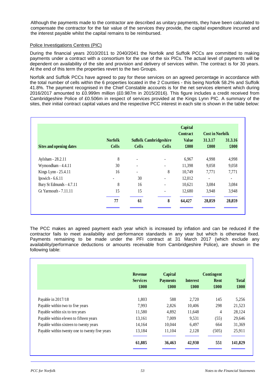Although the payments made to the contractor are described as unitary payments, they have been calculated to compensate the contractor for the fair value of the services they provide, the capital expenditure incurred and the interest payable whilst the capital remains to be reimbursed.

#### Police Investigations Centres (PIC)

During the financial years 2010/2011 to 2040/2041 the Norfolk and Suffolk PCCs are committed to making payments under a contract with a consortium for the use of the six PICs. The actual level of payments will be dependent on availability of the site and provision and delivery of services within. The contract is for 30 years. At the end of this term the properties revert to the two Groups.

Norfolk and Suffolk PCCs have agreed to pay for these services on an agreed percentage in accordance with the total number of cells within the 6 properties located in the 2 Counties - this being Norfolk 58.2% and Suffolk 41.8%. The payment recognised in the Chief Constable accounts is for the net services element which during 2016/2017 amounted to £0.999m million (£0.987m in 2015/2016). This figure includes a credit received from Cambridgeshire Police of £0.506m in respect of services provided at the Kings Lynn PIC. A summary of the sites, their initial contract capital values and the respective PCC interest in each site is shown in the table below:

|                                |                |                               |                          | Capital<br>Contract | <b>Cost in Norfolk</b>   |                          |
|--------------------------------|----------------|-------------------------------|--------------------------|---------------------|--------------------------|--------------------------|
|                                | <b>Norfolk</b> | <b>Suffolk Cambridgeshire</b> |                          | <b>Value</b>        | 31.3.17                  | 31.3.16                  |
| <b>Sites and opening dates</b> | <b>Cells</b>   | <b>Cells</b>                  | <b>Cells</b>             | £000                | £000                     | £000                     |
| Aylsham - 28.2.11              | 8              | ٠                             |                          | 6,967               | 4,998                    | 4,998                    |
| Wymondham - 4.4.11             | 30             | $\overline{a}$                |                          | 11,398              | 9,058                    | 9,058                    |
| Kings Lynn - 25.4.11           | 16             |                               | 8                        | 10,749              | 7,771                    | 7,771                    |
| Ipswich - 6.6.11               |                | 30                            |                          | 12,012              | $\overline{\phantom{a}}$ | $\overline{\phantom{a}}$ |
| Bury St Edmunds - 4.7.11       | 8              | 16                            | $\overline{\phantom{a}}$ | 10,621              | 3,084                    | 3,084                    |
| Gt Yarmouth - 7.11.11          | 15             | 15                            | ۰                        | 12,680              | 3,948                    | 3,948                    |
|                                | 77             | 61                            | 8                        | 64,427              | 28,859                   | 28,859                   |

The PCC makes an agreed payment each year which is increased by inflation and can be reduced if the contractor fails to meet availability and performance standards in any year but which is otherwise fixed. Payments remaining to be made under the PFI contract at 31 March 2017 (which exclude any availability/performance deductions or amounts receivable from Cambridgeshire Police), are shown in the following table:

|                                                | <b>Revenue</b>          | Capital                 |                         | Contingent   |                      |
|------------------------------------------------|-------------------------|-------------------------|-------------------------|--------------|----------------------|
|                                                | <b>Services</b><br>£000 | <b>Payments</b><br>£000 | <b>Interest</b><br>£000 | Rent<br>£000 | <b>Total</b><br>£000 |
| Payable in 2017/18                             | 1,803                   | 588                     | 2,720                   | 145          | 5,256                |
| Payable within two to five years               | 7.993                   | 2,826                   | 10,406                  | 298          | 21,523               |
| Payable within six to ten years                | 11,580                  | 4,892                   | 11,648                  | 4            | 28,124               |
| Payable within eleven to fifteen years         | 13,161                  | 7,009                   | 9,531                   | (55)         | 29,646               |
| Payable within sixteen to twenty years         | 14,164                  | 10.044                  | 6,497                   | 664          | 31,369               |
| Payable within twenty one to twenty five years | 13,184                  | 11,104                  | 2,128                   | (505)        | 25,911               |
|                                                | 61,885                  | 36,463                  | 42,930                  | 551          | 141,829              |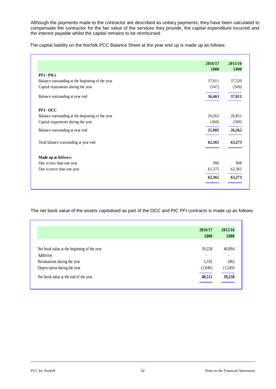Although the payments made to the contractor are described as unitary payments, they have been calculated to compensate the contractor for the fair value of the services they provide, the capital expenditure incurred and the interest payable whilst the capital remains to be reimbursed.

The capital liability on the Norfolk PCC Balance Sheet at the year end up is made up as follows:

|                                                  | 2016/17<br>£000 | 2015/16<br>£000 |
|--------------------------------------------------|-----------------|-----------------|
| <b>PFI-PICs</b>                                  |                 |                 |
| Balance outstanding at the beginning of the year | 37,011          | 37,520          |
| Capital repayments during the year               | (547)           | (509)           |
| Balance outstanding at year end                  | 36,463          | 37,011          |
| PFI-OCC                                          |                 |                 |
| Balance outstanding at the beginning of the year | 26,262          | 26,851          |
| Capital repayments during the year               | (360)           | (589)           |
| Balance outstanding at year end                  | 25,902          | 26,262          |
| Total balance outstanding at year end            | 62,365          | 63,273          |
| Made up as follows:                              |                 |                 |
| Due in less than one year                        | 990             | 908             |
| Due in more than one year                        | 61,375          | 62,365          |
|                                                  | 62,365          | 63,273          |

The net book value of the assets capitalised as part of the OCC and PIC PFI contracts is made up as follows:

|                                             | 2016/17 | 2015/16 |
|---------------------------------------------|---------|---------|
|                                             | £000    | £000    |
|                                             |         |         |
| Net book value at the beginning of the year | 39,258  | 40,894  |
| Additions                                   | ۰       | ٠       |
| Revaluations during the year                | 3,102   | (86)    |
| Depreciation during the year                | (1,846) | (1,549) |
| Net book value at the end of the year       | 40,515  | 39,258  |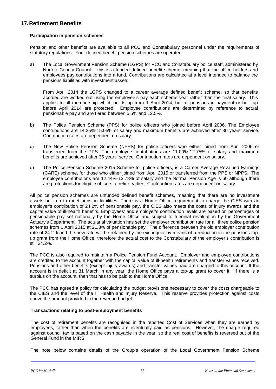# **17.Retirement Benefits**

#### **Participation in pension schemes**

Pension and other benefits are available to all PCC and Constabulary personnel under the requirements of statutory regulations. Four defined benefit pension schemes are operated:

a) The Local Government Pension Scheme (LGPS) for PCC and Constabulary police staff, administered by Norfolk County Council – this is a funded defined benefit scheme, meaning that the office holders and employees pay contributions into a fund. Contributions are calculated at a level intended to balance the pensions liabilities with investment assets.

From April 2014 the LGPS changed to a career average defined benefit scheme, so that benefits accrued are worked out using the employee's pay each scheme year rather than the final salary. This applies to all membership which builds up from 1 April 2014, but all pensions in payment or built up before April 2014 are protected. Employee contributions are determined by reference to actual pensionable pay and are tiered between 5.5% and 12.5%.

- b) The Police Pension Scheme (PPS) for police officers who joined before April 2006. The Employee contributions are 14.25%-15.05% of salary and maximum benefits are achieved after 30 years' service. Contribution rates are dependent on salary.
- c) The New Police Pension Scheme (NPPS) for police officers who either joined from April 2006 or transferred from the PPS. The employee contributions are 11.00%-12.75% of salary and maximum benefits are achieved after 35 years' service. Contribution rates are dependent on salary.
- d) The Police Pension Scheme 2015 Scheme for police officers, is a Career Average Revalued Earnings (CARE) scheme, for those who either joined from April 2015 or transferred from the PPS or NPPS. The employee contributions are 12.44%-13.78% of salary and the Normal Pension Age is 60 although there are protections for eligible officers to retire earlier. Contribution rates are dependent on salary.

All police pension schemes are unfunded defined benefit schemes, meaning that there are no investment assets built up to meet pension liabilities. There is a Home Office requirement to charge the CIES with an employer's contribution of 24.2% of pensionable pay, the CIES also meets the costs of injury awards and the capital value of ill-health benefits. Employees' and employer's contribution levels are based on percentages of pensionable pay set nationally by the Home Office and subject to triennial revaluation by the Government Actuary's Department. The actuarial valuation has set the employer contribution rate for all three police pension schemes from 1 April 2015 at 21.3% of pensionable pay. The difference between the old employer contribution rate of 24.2% and the new rate will be retained by the exchequer by means of a reduction in the pensions topup grant from the Home Office, therefore the actual cost to the Constabulary of the employer's contribution is still 24.2%.

The PCC is also required to maintain a Police Pension Fund Account. Employer and employee contributions are credited to the account together with the capital value of ill-health retirements and transfer values received. Pensions and other benefits (except injury awards) and transfer values paid are charged to this account. If the account is in deficit at 31 March in any year, the Home Office pays a top-up grant to cover it. If there is a surplus on the account, then that has to be paid to the Home Office.

The PCC has agreed a policy for calculating the budget provisions necessary to cover the costs chargeable to the CIES and the level of the Ill Health and Injury Reserve. This reserve provides protection against costs above the amount provided in the revenue budget.

#### **Transactions relating to post-employment benefits**

The cost of retirement benefits are recognised in the reported Cost of Services when they are earned by employees, rather than when the benefits are eventually paid as pensions. However, the charge required against council tax is based on the cash payable in the year, so the real cost of benefits is reversed out of the General Fund in the MIRS.

The note below contains details of the Group's operation of the Local Government Pension Scheme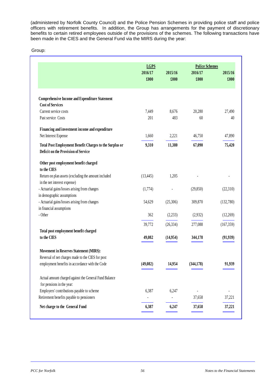(administered by Norfolk County Council) and the Police Pension Schemes in providing police staff and police officers with retirement benefits. In addition, the Group has arrangements for the payment of discretionary benefits to certain retired employees outside of the provisions of the schemes. The following transactions have been made in the CIES and the General Fund via the MIRS during the year:

|                                                                                                | <b>LGPS</b> |           | <b>Police Schemes</b> |            |
|------------------------------------------------------------------------------------------------|-------------|-----------|-----------------------|------------|
|                                                                                                | 2016/17     | 2015/16   | 2016/17               | 2015/16    |
|                                                                                                | £000        | £000      | £000                  | £000       |
|                                                                                                |             |           |                       |            |
| <b>Comprehensive Income and Expenditure Statement</b><br><b>Cost of Services</b>               |             |           |                       |            |
| Current service costs                                                                          | 7,449       | 8,676     | 20,280                | 27,490     |
| Past service Costs                                                                             | 201         | 483       | 60                    | 40         |
| Financing and investment income and expenditure                                                |             |           |                       |            |
| Net Interest Expense                                                                           | 1,660       | 2,221     | 46,750                | 47,890     |
| Total Post Employment Benefit Charges to the Surplus or<br>Deficit on the Provision of Service | 9,310       | 11,380    | 67,090                | 75,420     |
| Other post employment benefit charged<br>to the CIES                                           |             |           |                       |            |
| Return on plan assets (excluding the amount included<br>in the net interest expense)           | (13, 445)   | 1,205     |                       |            |
| - Actuarial gains/losses arising from changes                                                  | (1,774)     |           | (29, 850)             | (22,310)   |
| in demographic assumptions                                                                     |             |           |                       |            |
| - Actuarial gains/losses arising from changes                                                  | 54,629      | (25,306)  | 309,870               | (132,780)  |
| in financial assumptions                                                                       |             |           |                       |            |
| - Other                                                                                        | 362         | (2,233)   | (2,932)               | (12,269)   |
|                                                                                                | 39,772      | (26, 334) | 277,088               | (167, 359) |
| Total post employment benefit charged                                                          |             |           |                       |            |
| to the CIES                                                                                    | 49,082      | (14,954)  | 344,178               | (91, 939)  |
| <b>Movement in Reserves Statement (MIRS):</b>                                                  |             |           |                       |            |
| Reversal of net charges made to the CIES for post                                              |             |           |                       |            |
| employment benefits in accordance with the Code                                                | (49,082)    | 14,954    | (344, 178)            | 91,939     |
| Actual amount charged against the General Fund Balance                                         |             |           |                       |            |
| for pensions in the year:<br>Employers' contributions payable to scheme                        |             |           |                       |            |
| Retirement benefits payable to pensioners                                                      | 6,387       | 6,247     | 37,658                | 37,221     |
|                                                                                                |             |           |                       |            |
| Net charge to the General Fund                                                                 | 6,387       | 6,247     | 37,658                | 37,221     |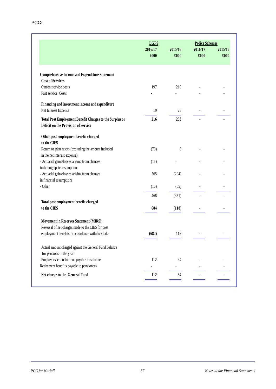|                                                                                                | <b>LGPS</b>     |                 | <b>Police Schemes</b> |                 |
|------------------------------------------------------------------------------------------------|-----------------|-----------------|-----------------------|-----------------|
|                                                                                                | 2016/17<br>£000 | 2015/16<br>£000 | 2016/17<br>£000       | 2015/16<br>£000 |
| <b>Comprehensive Income and Expenditure Statement</b>                                          |                 |                 |                       |                 |
| <b>Cost of Services</b>                                                                        |                 |                 |                       |                 |
| Current service costs                                                                          | 197             | 210             |                       |                 |
| Past service Costs                                                                             |                 |                 |                       |                 |
| Financing and investment income and expenditure                                                |                 |                 |                       |                 |
| Net Interest Expense                                                                           | 19              | 23              |                       |                 |
| Total Post Employment Benefit Charges to the Surplus or<br>Deficit on the Provision of Service | 216             | 233             |                       |                 |
| Other post employment benefit charged<br>to the CIES                                           |                 |                 |                       |                 |
| Return on plan assets (excluding the amount included<br>in the net interest expense)           | (70)            | 8               |                       |                 |
| - Actuarial gains/losses arising from changes                                                  | (11)            |                 |                       |                 |
| in demographic assumptions                                                                     |                 |                 |                       |                 |
| - Actuarial gains/losses arising from changes                                                  | 565             | (294)           |                       |                 |
| in financial assumptions                                                                       |                 |                 |                       |                 |
| - Other                                                                                        | (16)            | (65)            |                       |                 |
|                                                                                                | 468             | (351)           |                       |                 |
| Total post employment benefit charged                                                          |                 |                 |                       |                 |
| to the CIES                                                                                    | 684             | (118)           |                       |                 |
| <b>Movement in Reserves Statement (MIRS):</b>                                                  |                 |                 |                       |                 |
| Reversal of net charges made to the CIES for post                                              |                 |                 |                       |                 |
| employment benefits in accordance with the Code                                                | (684)           | 118             |                       |                 |
| Actual amount charged against the General Fund Balance<br>for pensions in the year:            |                 |                 |                       |                 |
| Employers' contributions payable to scheme                                                     | 112             | 34              |                       |                 |
| Retirement benefits payable to pensioners                                                      |                 |                 |                       |                 |
| Net charge to the General Fund                                                                 | 112             | 34              |                       |                 |
|                                                                                                |                 |                 |                       |                 |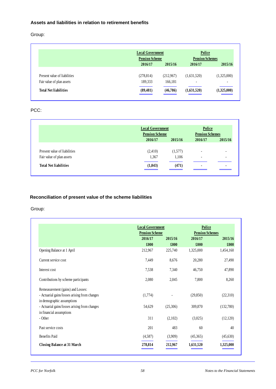### **Assets and liabilities in relation to retirement benefits**

Group:

|                              | <b>Local Government</b> |           | <b>Police</b>            |                          |
|------------------------------|-------------------------|-----------|--------------------------|--------------------------|
|                              | <b>Pension Scheme</b>   |           | <b>Pension Schemes</b>   |                          |
|                              | 2016/17                 | 2015/16   | 2016/17                  | 2015/16                  |
| Present value of liabilities | (278, 814)              | (212,967) | (1,631,520)              | (1,325,000)              |
| Fair value of plan assets    | 189,333                 | 166,181   | $\overline{\phantom{a}}$ | $\overline{\phantom{a}}$ |
| <b>Total Net liabilities</b> | (89, 481)               | (46,786)  | (1,631,520)              | (1,325,000)              |

## PCC:

|                              | <b>Local Government</b><br><b>Pension Scheme</b> |         | Police<br><b>Pension Schemes</b> |         |
|------------------------------|--------------------------------------------------|---------|----------------------------------|---------|
|                              | 2016/17                                          | 2015/16 | 2016/17                          | 2015/16 |
| Present value of liabilities | (2,410)                                          | (1,577) | $\overline{\phantom{a}}$         |         |
| Fair value of plan assets    | 1,367                                            | 1,106   | -                                |         |
| <b>Total Net liabilities</b> | (1,043)                                          | (471)   | $\blacksquare$                   |         |

# **Reconciliation of present value of the scheme liabilities**

|                                               | <b>Local Government</b> |          | Police                 |           |
|-----------------------------------------------|-------------------------|----------|------------------------|-----------|
|                                               | <b>Pension Scheme</b>   |          | <b>Pension Schemes</b> |           |
|                                               | 2015/16<br>2016/17      |          | 2016/17                | 2015/16   |
|                                               | £000                    | £000     | £000                   | £000      |
| Opening Balance at 1 April                    | 212,967                 | 225,740  | 1,325,000              | 1,454,160 |
| Current service cost                          | 7,449                   | 8,676    | 20,280                 | 27,490    |
| Interest cost                                 | 7,538                   | 7,340    | 46,750                 | 47,890    |
| Contributions by scheme participants          | 2,080                   | 2,045    | 7,800                  | 8,260     |
| Remeasurement (gains) and Losses:             |                         |          |                        |           |
| - Actuarial gains/losses arising from changes | (1,774)                 |          | (29, 850)              | (22,310)  |
| in demographic assumptions                    |                         |          |                        |           |
| - Actuarial gains/losses arising from changes | 54,629                  | (25,306) | 309,870                | (132,780) |
| in financial assumptions                      |                         |          |                        |           |
| - Other                                       | 311                     | (2,102)  | (3,025)                | (12,120)  |
| Past service costs                            | 201                     | 483      | 60                     | 40        |
| <b>Benefits Paid</b>                          | (4,587)                 | (3,909)  | (45,365)               | (45,630)  |
| <b>Closing Balance at 31 March</b>            | 278,814                 | 212,967  | 1,631,520              | 1,325,000 |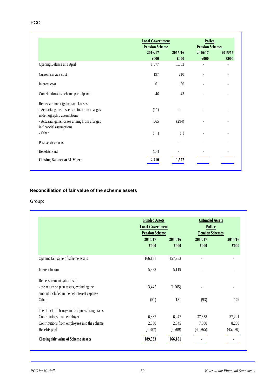### PCC:

|                                               | <b>Local Government</b><br><b>Pension Scheme</b> |         | Police<br><b>Pension Schemes</b> |         |
|-----------------------------------------------|--------------------------------------------------|---------|----------------------------------|---------|
|                                               | 2016/17                                          | 2015/16 | 2016/17                          | 2015/16 |
|                                               | £000                                             | £000    | £000                             | £000    |
| Opening Balance at 1 April                    | 1,577                                            | 1,563   |                                  |         |
| Current service cost                          | 197                                              | 210     |                                  |         |
| Interest cost                                 | 61                                               | 56      | $\overline{\phantom{a}}$         |         |
| Contributions by scheme participants          | 46                                               | 43      |                                  |         |
| Remeasurement (gains) and Losses:             |                                                  |         |                                  |         |
| - Actuarial gains/losses arising from changes | (11)                                             |         |                                  |         |
| in demographic assumptions                    |                                                  |         |                                  |         |
| - Actuarial gains/losses arising from changes | 565                                              | (294)   |                                  |         |
| in financial assumptions                      |                                                  |         |                                  |         |
| - Other                                       | (11)                                             | (1)     |                                  |         |
| Past service costs                            |                                                  |         |                                  |         |
| <b>Benefits Paid</b>                          | (14)                                             |         |                                  |         |
| <b>Closing Balance at 31 March</b>            | 2,410                                            | 1,577   |                                  |         |

### **Reconciliation of fair value of the scheme assets**

|                                                                                           | <b>Funded Assets</b><br><b>Local Government</b><br><b>Pension Scheme</b> |                 | <b>Unfunded Assets</b><br><b>Police</b><br><b>Pension Schemes</b> |                 |
|-------------------------------------------------------------------------------------------|--------------------------------------------------------------------------|-----------------|-------------------------------------------------------------------|-----------------|
|                                                                                           | 2016/17<br>£000                                                          | 2015/16<br>£000 | 2016/17<br>£000                                                   | 2015/16<br>£000 |
| Opening fair value of scheme assets                                                       | 166,181                                                                  | 157,753         |                                                                   |                 |
| Interest Income                                                                           | 5,878                                                                    | 5,119           |                                                                   |                 |
| Remeasurement gain/(loss):                                                                |                                                                          |                 |                                                                   |                 |
| - the return on plan assets, excluding the<br>amount included in the net interest expense | 13,445                                                                   | (1,205)         |                                                                   |                 |
| Other                                                                                     | (51)                                                                     | 131             | (93)                                                              | 149             |
| The effect of changes in foreign exchange rates                                           |                                                                          |                 |                                                                   |                 |
| Contributions from employer                                                               | 6,387                                                                    | 6,247           | 37,658                                                            | 37,221          |
| Contributions from employees into the scheme                                              | 2,080                                                                    | 2,045           | 7,800                                                             | 8,260           |
| Benefits paid                                                                             | (4,587)                                                                  | (3,909)         | (45,365)                                                          | (45,630)        |
| <b>Closing fair value of Scheme Assets</b>                                                | 189,333                                                                  | 166,181         |                                                                   |                 |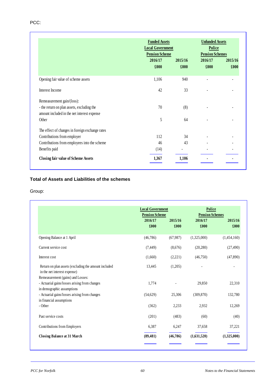|                                                                                           |                 | <b>Funded Assets</b><br><b>Local Government</b> |                 | <b>Unfunded Assets</b><br>Police<br><b>Pension Scheme</b><br><b>Pension Schemes</b> |  |  |
|-------------------------------------------------------------------------------------------|-----------------|-------------------------------------------------|-----------------|-------------------------------------------------------------------------------------|--|--|
|                                                                                           | 2016/17<br>£000 | 2015/16<br>£000                                 | 2016/17<br>£000 | 2015/16<br>£000                                                                     |  |  |
| Opening fair value of scheme assets                                                       | 1,106           | 940                                             |                 |                                                                                     |  |  |
| Interest Income                                                                           | 42              | 33                                              |                 |                                                                                     |  |  |
| Remeasurement gain/(loss):                                                                |                 |                                                 |                 |                                                                                     |  |  |
| - the return on plan assets, excluding the<br>amount included in the net interest expense | 70              | (8)                                             |                 |                                                                                     |  |  |
| Other                                                                                     | 5               | 64                                              |                 |                                                                                     |  |  |
| The effect of changes in foreign exchange rates                                           |                 |                                                 |                 |                                                                                     |  |  |
| Contributions from employer                                                               | 112             | 34                                              |                 |                                                                                     |  |  |
| Contributions from employees into the scheme                                              | 46              | 43                                              |                 |                                                                                     |  |  |
| Benefits paid                                                                             | (14)            |                                                 |                 |                                                                                     |  |  |
| <b>Closing fair value of Scheme Assets</b>                                                | 1,367           | 1,106                                           |                 |                                                                                     |  |  |

# **Total of Assets and Liabilities of the schemes**

|                                                                                      | <b>Local Government</b><br><b>Pension Scheme</b> |                 | Police<br><b>Pension Schemes</b> |                 |
|--------------------------------------------------------------------------------------|--------------------------------------------------|-----------------|----------------------------------|-----------------|
|                                                                                      | 2016/17<br>£000                                  | 2015/16<br>£000 | 2016/17<br>£000                  | 2015/16<br>£000 |
| Opening Balance at 1 April                                                           | (46,786)                                         | (67,987)        | (1,325,000)                      | (1,454,160)     |
| Current service cost                                                                 | (7, 449)                                         | (8,676)         | (20, 280)                        | (27, 490)       |
| Interest cost                                                                        | (1,660)                                          | (2,221)         | (46,750)                         | (47, 890)       |
| Return on plan assets (excluding the amount included<br>in the net interest expense) | 13,445                                           | (1,205)         |                                  |                 |
| Remeasurement (gains) and Losses:                                                    |                                                  |                 |                                  |                 |
| - Actuarial gains/losses arising from changes<br>in demographic assumptions          | 1,774                                            |                 | 29,850                           | 22,310          |
| - Actuarial gains/losses arising from changes<br>in financial assumptions            | (54,629)                                         | 25,306          | (309, 870)                       | 132,780         |
| - Other                                                                              | (362)                                            | 2,233           | 2,932                            | 12,269          |
| Past service costs                                                                   | (201)                                            | (483)           | (60)                             | (40)            |
| Contributions from Employers                                                         | 6,387                                            | 6,247           | 37,658                           | 37,221          |
| <b>Closing Balance at 31 March</b>                                                   | (89, 481)                                        | (46,786)        | (1,631,520)                      | (1,325,000)     |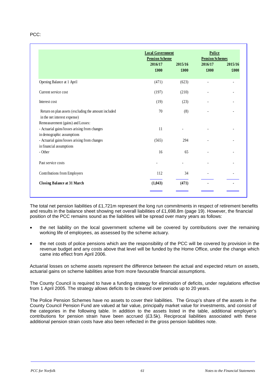PCC:

|                                                                                                                  | <b>Local Government</b>                  |                 | Police<br><b>Pension Schemes</b> |                 |
|------------------------------------------------------------------------------------------------------------------|------------------------------------------|-----------------|----------------------------------|-----------------|
|                                                                                                                  | <b>Pension Scheme</b><br>2016/17<br>£000 | 2015/16<br>£000 | 2016/17<br>£000                  | 2015/16<br>£000 |
| Opening Balance at 1 April                                                                                       | (471)                                    | (623)           | $\overline{a}$                   |                 |
| Current service cost                                                                                             | (197)                                    | (210)           |                                  |                 |
| Interest cost                                                                                                    | (19)                                     | (23)            |                                  |                 |
| Return on plan assets (excluding the amount included<br>in the net interest expense)                             | 70                                       | (8)             |                                  |                 |
| Remeasurement (gains) and Losses:<br>- Actuarial gains/losses arising from changes<br>in demographic assumptions | 11                                       |                 |                                  |                 |
| - Actuarial gains/losses arising from changes<br>in financial assumptions                                        | (565)                                    | 294             |                                  |                 |
| - Other                                                                                                          | 16                                       | 65              |                                  |                 |
| Past service costs                                                                                               |                                          |                 |                                  |                 |
| Contributions from Employers                                                                                     | 112                                      | 34              |                                  |                 |
| <b>Closing Balance at 31 March</b>                                                                               | (1,043)                                  | (471)           |                                  |                 |

The total net pension liabilities of £1,721m represent the long run commitments in respect of retirement benefits and results in the balance sheet showing net overall liabilities of £1,698.8m (page 19). However, the financial position of the PCC remains sound as the liabilities will be spread over many years as follows:

- the net liability on the local government scheme will be covered by contributions over the remaining working life of employees, as assessed by the scheme actuary.
- the net costs of police pensions which are the responsibility of the PCC will be covered by provision in the revenue budget and any costs above that level will be funded by the Home Office, under the change which came into effect from April 2006.

Actuarial losses on scheme assets represent the difference between the actual and expected return on assets, actuarial gains on scheme liabilities arise from more favourable financial assumptions.

The County Council is required to have a funding strategy for elimination of deficits, under regulations effective from 1 April 2005. The strategy allows deficits to be cleared over periods up to 20 years.

The Police Pension Schemes have no assets to cover their liabilities. The Group's share of the assets in the County Council Pension Fund are valued at fair value, principally market value for investments, and consist of the categories in the following table. In addition to the assets listed in the table, additional employer's contributions for pension strain have been accrued (£3.5k). Reciprocal liabilities associated with these additional pension strain costs have also been reflected in the gross pension liabilities note.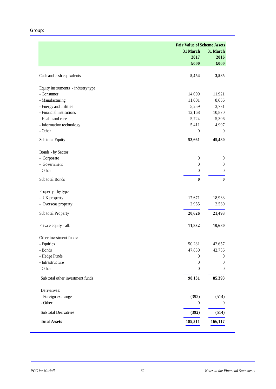|                                     | <b>Fair Value of Scheme Assets</b> |                  |
|-------------------------------------|------------------------------------|------------------|
|                                     | 31 March                           | 31 March         |
|                                     | 2017                               | 2016             |
|                                     | £000                               | £000             |
| Cash and cash equivalents           | 5,454                              | 3,585            |
| Equity instruments - industry type: |                                    |                  |
| - Consumer                          | 14,099                             | 11,921           |
| - Manufacturing                     | 11,001                             | 8,656            |
| - Energy and utilities              | 5,259                              | 3,731            |
| - Financial institutions            | 12,168                             | 10,870           |
| - Health and care                   | 5,724                              | 5,306            |
| - Information technology            | 5,411                              | 4,997            |
| - Other                             | $\boldsymbol{0}$                   | $\boldsymbol{0}$ |
| Sub total Equity                    | 53,661                             | 45,480           |
| Bonds - by Sector                   |                                    |                  |
| - Corporate                         | $\boldsymbol{0}$                   | $\boldsymbol{0}$ |
| - Government                        | $\boldsymbol{0}$                   | $\boldsymbol{0}$ |
| - Other                             | $\boldsymbol{0}$                   | $\boldsymbol{0}$ |
| Sub total Bonds                     | $\bf{0}$                           | $\boldsymbol{0}$ |
| Property - by type                  |                                    |                  |
| - UK property                       | 17,671                             | 18,933           |
| - Overseas property                 | 2,955                              | 2,560            |
| Sub total Property                  | 20,626                             | 21,493           |
| Private equity - all:               | 11,832                             | 10,680           |
| Other investment funds:             |                                    |                  |
| - Equities                          | 50,281                             | 42,657           |
| - Bonds                             | 47,850                             | 42,736           |
| - Hedge Funds                       | $\boldsymbol{0}$                   | $\boldsymbol{0}$ |
| - Infrastructure                    | $\boldsymbol{0}$                   | $\boldsymbol{0}$ |
| - Other                             | $\boldsymbol{0}$                   | $\theta$         |
| Sub total other investment funds    | 98,131                             | 85,393           |
| Derivatives:                        |                                    |                  |
| - Foreign exchange                  | (392)                              | (514)            |
| - Other                             | $\boldsymbol{0}$                   | $\boldsymbol{0}$ |
| Sub total Derivatives               | (392)                              | (514)            |
| <b>Total Assets</b>                 | 189,311                            | 166,117          |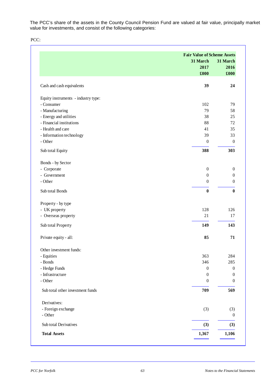The PCC's share of the assets in the County Council Pension Fund are valued at fair value, principally market value for investments, and consist of the following categories:

PCC:

|                                     | <b>Fair Value of Scheme Assets</b> |                  |
|-------------------------------------|------------------------------------|------------------|
|                                     | 31 March                           | 31 March         |
|                                     | 2017                               | 2016             |
|                                     | £000                               | £000             |
| Cash and cash equivalents           | 39                                 | 24               |
| Equity instruments - industry type: |                                    |                  |
| - Consumer                          | 102                                | 79               |
| - Manufacturing                     | 79                                 | 58               |
| - Energy and utilities              | 38                                 | 25               |
| - Financial institutions            | 88                                 | 72               |
| - Health and care                   | 41                                 | 35               |
| - Information technology            | 39                                 | 33               |
| - Other                             | $\boldsymbol{0}$                   | $\boldsymbol{0}$ |
| Sub total Equity                    | 388                                | 303              |
| Bonds - by Sector                   |                                    |                  |
| - Corporate                         | $\boldsymbol{0}$                   | $\boldsymbol{0}$ |
| - Government                        | $\boldsymbol{0}$                   | $\boldsymbol{0}$ |
| - Other                             | $\boldsymbol{0}$                   | $\overline{0}$   |
| Sub total Bonds                     | $\bf{0}$                           | $\bf{0}$         |
| Property - by type                  |                                    |                  |
| - UK property                       | 128                                | 126              |
| - Overseas property                 | 21                                 | 17               |
| Sub total Property                  | 149                                | 143              |
| Private equity - all:               | 85                                 | 71               |
| Other investment funds:             |                                    |                  |
| - Equities                          | 363                                | 284              |
| - Bonds                             | 346                                | 285              |
| - Hedge Funds                       | $\boldsymbol{0}$                   | $\boldsymbol{0}$ |
| - Infrastructure                    | $\boldsymbol{0}$                   | $\boldsymbol{0}$ |
| - Other                             | $\boldsymbol{0}$                   | $\boldsymbol{0}$ |
| Sub total other investment funds    | 709                                | 569              |
| Derivatives:                        |                                    |                  |
| - Foreign exchange                  | (3)                                | (3)              |
| - Other                             |                                    | $\boldsymbol{0}$ |
| Sub total Derivatives               | (3)                                | (3)              |
| <b>Total Assets</b>                 | 1,367                              | 1,106            |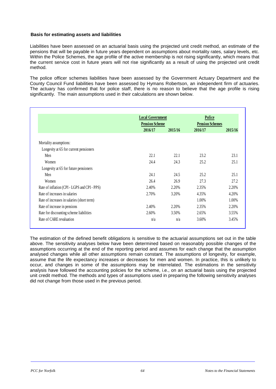#### **Basis for estimating assets and liabilities**

Liabilities have been assessed on an actuarial basis using the projected unit credit method, an estimate of the pensions that will be payable in future years dependent on assumptions about mortality rates, salary levels, etc. Within the Police Schemes, the age profile of the active membership is not rising significantly, which means that the current service cost in future years will not rise significantly as a result of using the projected unit credit method.

The police officer schemes liabilities have been assessed by the Government Actuary Department and the County Council Fund liabilities have been assessed by Hymans Robertson, an independent firm of actuaries. The actuary has confirmed that for police staff, there is no reason to believe that the age profile is rising significantly. The main assumptions used in their calculations are shown below.

|                                              | <b>Local Government</b><br><b>Pension Scheme</b> |         | Police<br><b>Pension Schemes</b> |         |
|----------------------------------------------|--------------------------------------------------|---------|----------------------------------|---------|
|                                              | 2016/17                                          | 2015/16 | 2016/17                          | 2015/16 |
| Mortality assumptions:                       |                                                  |         |                                  |         |
| Longevity at 65 for current pensioners       |                                                  |         |                                  |         |
| Men                                          | 22.1                                             | 22.1    | 23.2                             | 23.1    |
| Women                                        | 24.4                                             | 24.3    | 25.2                             | 25.1    |
| Longevity at 65 for future pensioners        |                                                  |         |                                  |         |
| Men                                          | 24.1                                             | 24.5    | 25.2                             | 25.1    |
| Women                                        | 26.4                                             | 26.9    | 27.3                             | 27.2    |
| Rate of inflation (CPI - LGPS and CPI - PPS) | 2.40%                                            | 2.20%   | 2.35%                            | 2.20%   |
| Rate of increases in salaries                | 2.70%                                            | 3.20%   | 4.35%                            | 4.20%   |
| Rate of increases in salaries (short term)   |                                                  |         | 1.00%                            | 1.00%   |
| Rate of increase in pensions                 | 2.40%                                            | 2.20%   | 2.35%                            | 2.20%   |
| Rate for discounting scheme liabilities      | 2.60%                                            | 3.50%   | 2.65%                            | 3.55%   |
| Rate of CARE revaluation                     | n/a                                              | n/a     | 3.60%                            | 3.45%   |

The estimation of the defined benefit obligations is sensitive to the actuarial assumptions set out in the table above. The sensitivity analyses below have been determined based on reasonably possible changes of the assumptions occurring at the end of the reporting period and assumes for each change that the assumption analysed changes while all other assumptions remain constant. The assumptions of longevity, for example, assume that the life expectancy increases or decreases for men and women. In practice, this is unlikely to occur, and changes in some of the assumptions may be interrelated. The estimations in the sensitivity analysis have followed the accounting policies for the scheme, i.e., on an actuarial basis using the projected unit credit method. The methods and types of assumptions used in preparing the following sensitivity analyses did not change from those used in the previous period.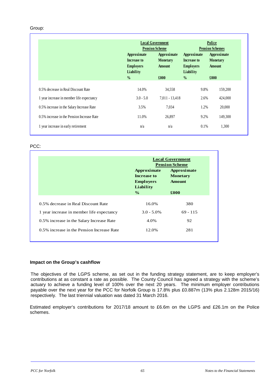#### Group:

|                                            |                                                             | <b>Local Government</b><br><b>Pension Scheme</b> |                                                             | Police<br><b>Pension Schemes</b>                |  |  |
|--------------------------------------------|-------------------------------------------------------------|--------------------------------------------------|-------------------------------------------------------------|-------------------------------------------------|--|--|
|                                            | Approximate<br>Increase to<br><b>Employers</b><br>Liability | Approximate<br><b>Monetary</b><br><b>Amount</b>  | Approximate<br>Increase to<br><b>Employers</b><br>Liability | Approximate<br><b>Monetary</b><br><b>Amount</b> |  |  |
|                                            | $\frac{0}{0}$                                               | £000                                             | $\frac{0}{0}$                                               | £000                                            |  |  |
| 0.5% decrease in Real Discount Rate        | 14.0%                                                       | 34,558                                           | 9.8%                                                        | 159.200                                         |  |  |
| 1 year increase in member life expectancy  | $3.0 - 5.0$                                                 | 7,011 - 13,418                                   | 2.6%                                                        | 424,000                                         |  |  |
| 0.5% increase in the Salary Increase Rate  | 3.5%                                                        | 7,034                                            | 1.2%                                                        | 20,000                                          |  |  |
| 0.5% increase in the Pension Increase Rate | 11.0%                                                       | 26,897                                           | 9.2%                                                        | 149,300                                         |  |  |
| 1 year increase in early retirement        | n/a                                                         | n/a                                              | 0.1%                                                        | 1,300                                           |  |  |

#### PCC:

|                                            | <b>Local Government</b><br><b>Pension Scheme</b>            |                                                 |  |
|--------------------------------------------|-------------------------------------------------------------|-------------------------------------------------|--|
|                                            | Approximate<br>Increase to<br><b>Employers</b><br>Liability | Approximate<br><b>Monetary</b><br><b>Amount</b> |  |
|                                            | $\frac{6}{6}$                                               | £000                                            |  |
| 0.5% decrease in Real Discount Rate        | 16.0%                                                       | 380                                             |  |
| 1 year increase in member life expectancy  | $3.0 - 5.0\%$                                               | $69 - 115$                                      |  |
| 0.5% increase in the Salary Increase Rate  | 4.0%                                                        | 92                                              |  |
| 0.5% increase in the Pension Increase Rate | 12.0%                                                       | 281                                             |  |

#### **Impact on the Group's cashflow**

The objectives of the LGPS scheme, as set out in the funding strategy statement, are to keep employer's contributions at as constant a rate as possible. The County Council has agreed a strategy with the scheme's actuary to achieve a funding level of 100% over the next 20 years. The minimum employer contributions payable over the next year for the PCC for Norfolk Group is 17.8% plus £0.887m (13% plus 2.128m 2015/16) respectively. The last triennial valuation was dated 31 March 2016.

Estimated employer's contributions for 2017/18 amount to £6.6m on the LGPS and £26.1m on the Police schemes.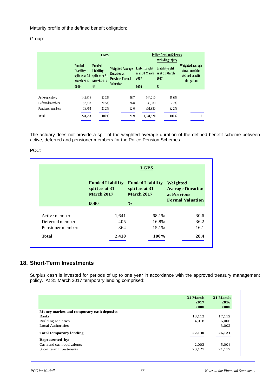Maturity profile of the defined benefit obligation:

### Group:

|                   | <b>LGPS</b>                                                                              |                                                                  |                                                                                             | <b>Police Pension Schemes</b><br>excluding injury                |                                          |                                                                      |
|-------------------|------------------------------------------------------------------------------------------|------------------------------------------------------------------|---------------------------------------------------------------------------------------------|------------------------------------------------------------------|------------------------------------------|----------------------------------------------------------------------|
|                   | <b>Funded</b><br>Liability<br>split as at 31 split as at 31<br><b>March 2017</b><br>£000 | <b>Funded</b><br>Liability<br><b>March 2017</b><br>$\frac{0}{0}$ | <b>Weighted Average</b><br><b>Duration at</b><br><b>Previous Formal</b><br><b>Valuation</b> | Liability split<br>as at 31 March as at 31 March<br>2017<br>£000 | Liability split<br>2017<br>$\frac{0}{0}$ | Weighted average<br>duration of the<br>defined benefit<br>obligation |
|                   |                                                                                          |                                                                  |                                                                                             |                                                                  |                                          |                                                                      |
| Active members    | 145.616                                                                                  | 52.3%                                                            | 26.7                                                                                        | 744.210                                                          | 45.6%                                    |                                                                      |
| Deferred members  | 57,233                                                                                   | 20.5%                                                            | 26.8                                                                                        | 35.380                                                           | 2.2%                                     |                                                                      |
| Pensioner members | 75,704                                                                                   | 27.2%                                                            | 12.6                                                                                        | 851.930                                                          | 52.2%                                    |                                                                      |
| <b>Total</b>      | 278,553                                                                                  | 100%                                                             | 21.9                                                                                        | 1,631,520                                                        | 100%                                     | 21                                                                   |

The actuary does not provide a split of the weighted average duration of the defined benefit scheme between active, deferred and pensioner members for the Police Pension Schemes.

PCC:

|                   | <b>LGPS</b>                                                    |                                                                |                                                                               |  |  |
|-------------------|----------------------------------------------------------------|----------------------------------------------------------------|-------------------------------------------------------------------------------|--|--|
|                   | <b>Funded Liability</b><br>split as at 31<br><b>March 2017</b> | <b>Funded Liability</b><br>split as at 31<br><b>March 2017</b> | Weighted<br><b>Average Duration</b><br>at Previous<br><b>Formal Valuation</b> |  |  |
|                   | £000                                                           | $\frac{0}{0}$                                                  |                                                                               |  |  |
| Active members    | 1,641                                                          | 68.1%                                                          | 30.6                                                                          |  |  |
| Deferred members  | 405                                                            | 16.8%                                                          | 36.2                                                                          |  |  |
| Pensioner members | 364                                                            | 15.1%                                                          | 16.1                                                                          |  |  |
| <b>Total</b>      | 2,410                                                          | 100%                                                           | 28.4                                                                          |  |  |

# **18. Short-Term Investments**

Surplus cash is invested for periods of up to one year in accordance with the approved treasury management policy. At 31 March 2017 temporary lending comprised:

|                                          | 31 March<br>2017<br>£000 | 31 March<br>2016<br>£000 |
|------------------------------------------|--------------------------|--------------------------|
| Money market and temporary cash deposits |                          |                          |
| <b>Banks</b>                             | 18,112                   | 17,112                   |
| Building societies                       | 4,018                    | 6,006                    |
| <b>Local Authorities</b>                 |                          | 3.002                    |
| <b>Total temporary lending</b>           | 22,130                   | 26,121                   |
| Represented by:                          |                          |                          |
| Cash and cash equivalents                | 2,003                    | 5.004                    |
| Short term investments                   | 20,127                   | 21,117                   |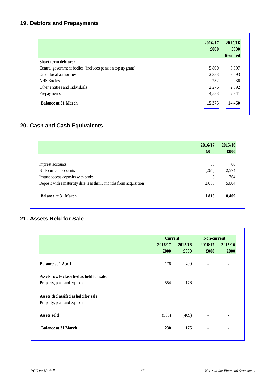# **19. Debtors and Prepayments**

|                                                           | 2016/17<br>£000 | 2015/16<br>£000<br><b>Restated</b> |
|-----------------------------------------------------------|-----------------|------------------------------------|
| <b>Short term debtors:</b>                                |                 |                                    |
| Central government bodies (includes pension top up grant) | 5,800           | 6,397                              |
| Other local authorities                                   | 2,383           | 3,593                              |
| <b>NHS</b> Bodies                                         | 232             | 36                                 |
| Other entities and individuals                            | 2,276           | 2,092                              |
| Prepayments                                               | 4,583           | 2,341                              |
| <b>Balance at 31 March</b>                                | 15,275          | 14,460                             |

# **20. Cash and Cash Equivalents**

|                                                                  | 2016/17 | 2015/16<br>£000 |  |
|------------------------------------------------------------------|---------|-----------------|--|
|                                                                  | £000    |                 |  |
|                                                                  |         |                 |  |
| Imprest accounts                                                 | 68      | 68              |  |
| Bank current accounts                                            | (261)   | 2,574           |  |
| Instant access deposits with banks                               | 6       | 764             |  |
| Deposit with a maturity date less than 3 months from acquisition | 2,003   | 5,004           |  |
| <b>Balance at 31 March</b>                                       | 1,816   | 8,409           |  |

# **21. Assets Held for Sale**

|                                           |                          | <b>Current</b> |                          | Non-current |  |
|-------------------------------------------|--------------------------|----------------|--------------------------|-------------|--|
|                                           | 2016/17                  | 2015/16        | 2016/17                  | 2015/16     |  |
|                                           | £000                     | £000           | £000                     | £000        |  |
| <b>Balance at 1 April</b>                 | 176                      | 409            | $\overline{\phantom{a}}$ | ۰           |  |
| Assets newly classified as held for sale: |                          |                |                          |             |  |
| Property, plant and equipment             | 554                      | 176            | $\overline{\phantom{a}}$ | ۰           |  |
| Assets declassifed as held for sale:      |                          |                |                          |             |  |
| Property, plant and equipment             | $\overline{\phantom{a}}$ |                |                          |             |  |
| Assets sold                               | (500)                    | (409)          | $\overline{\phantom{0}}$ |             |  |
| <b>Balance at 31 March</b>                | 230                      | 176            |                          |             |  |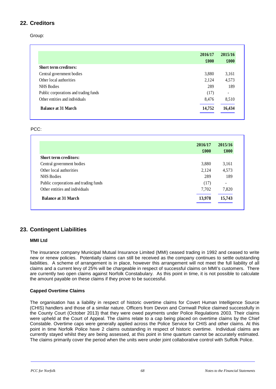# **22. Creditors**

Group:

|                                       | 2016/17 | 2015/16                  |
|---------------------------------------|---------|--------------------------|
|                                       | £000    | $\pounds 000$            |
| <b>Short term creditors:</b>          |         |                          |
| Central government bodies             | 3,880   | 3,161                    |
| Other local authorities               | 2,124   | 4,573                    |
| <b>NHS</b> Bodies                     | 289     | 189                      |
| Public corporations and trading funds | (17)    | $\overline{\phantom{a}}$ |
| Other entities and individuals        | 8,476   | 8,510                    |
| <b>Balance at 31 March</b>            | 14,752  | 16,434                   |

### PCC:

|                                       | 2016/17 | 2015/16                  |
|---------------------------------------|---------|--------------------------|
|                                       | £000    | £000                     |
| <b>Short term creditors:</b>          |         |                          |
| Central government bodies             | 3,880   | 3,161                    |
| Other local authorities               | 2,124   | 4,573                    |
| <b>NHS</b> Bodies                     | 289     | 189                      |
| Public corporations and trading funds | (17)    | $\overline{\phantom{a}}$ |
| Other entities and individuals        | 7,702   | 7,820                    |
| <b>Balance at 31 March</b>            | 13,978  | 15,743                   |

# **23. Contingent Liabilities**

### **MMI Ltd**

The insurance company Municipal Mutual Insurance Limited (MMI) ceased trading in 1992 and ceased to write new or renew policies. Potentially claims can still be received as the company continues to settle outstanding liabilities. A scheme of arrangement is in place, however this arrangement will not meet the full liability of all claims and a current levy of 25% will be chargeable in respect of successful claims on MMI's customers. There are currently two open claims against Norfolk Constabulary. As this point in time, it is not possible to calculate the amount payable on these claims if they prove to be successful.

### **Capped Overtime Claims**

The organisation has a liability in respect of historic overtime claims for Covert Human Intelligence Source (CHIS) handlers and those of a similar nature. Officers from Devon and Cornwall Police claimed successfully in the County Court (October 2013) that they were owed payments under Police Regulations 2003. Their claims were upheld at the Court of Appeal. The claims relate to a cap being placed on overtime claims by the Chief Constable. Overtime caps were generally applied across the Police Service for CHIS and other claims. At this point in time Norfolk Police have 2 claims outstanding in respect of historic overtime. Individual claims are currently stayed whilst they are being assessed, at this point in time quantum cannot be accurately estimated. The claims primarily cover the period when the units were under joint collaborative control with Suffolk Police.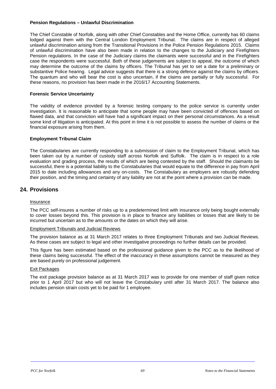#### **Pension Regulations – Unlawful Discrimination**

The Chief Constable of Norfolk, along with other Chief Constables and the Home Office, currently has 60 claims lodged against them with the Central London Employment Tribunal. The claims are in respect of alleged unlawful discrimination arising from the Transitional Provisions in the Police Pension Regulations 2015. Claims of unlawful discrimination have also been made in relation to the changes to the Judiciary and Firefighters Pension regulations. In the case of the Judiciary claims the claimants were successful and in the Firefighters case the respondents were successful. Both of these judgements are subject to appeal, the outcome of which may determine the outcome of the claims by officers. The Tribunal has yet to set a date for a preliminary or substantive Police hearing. Legal advice suggests that there is a strong defence against the claims by officers. The quantum and who will bear the cost is also uncertain, if the claims are partially or fully successful. For these reasons, no provision has been made in the 2016/17 Accounting Statements.

#### **Forensic Service Uncertainty**

The validity of evidence provided by a forensic testing company to the police service is currently under investigation. It is reasonable to anticipate that some people may have been convicted of offences based on flawed data, and that conviction will have had a significant impact on their personal circumstances. As a result some kind of litigation is anticipated. At this point in time it is not possible to assess the number of claims or the financial exposure arising from them.

### **Employment Tribunal Claim**

The Constabularies are currently responding to a submission of claim to the Employment Tribunal, which has been taken out by a number of custody staff across Norfolk and Suffolk. The claim is in respect to a role evaluation and grading process, the results of which are being contested by the staff. Should the claimants be successful, there is a potential liability to the Constabularies that would equate to the difference in pay from April 2015 to date including allowances and any on-costs. The Constabulary as employers are robustly defending their position, and the timing and certainty of any liability are not at the point where a provision can be made.

## **24. Provisions**

#### Insurance

The PCC self-insures a number of risks up to a predetermined limit with insurance only being bought externally to cover losses beyond this. This provision is in place to finance any liabilities or losses that are likely to be incurred but uncertain as to the amounts or the dates on which they will arise.

#### Employment Tribunals and Judicial Reviews

The provision balance as at 31 March 2017 relates to three Employment Tribunals and two Judicial Reviews. As these cases are subject to legal and other investigative proceedings no further details can be provided.

This figure has been estimated based on the professional guidance given to the PCC as to the likelihood of these claims being successful. The effect of the inaccuracy in these assumptions cannot be measured as they are based purely on professional judgement.

#### Exit Packages

The exit package provision balance as at 31 March 2017 was to provide for one member of staff given notice prior to 1 April 2017 but who will not leave the Constabulary until after 31 March 2017. The balance also includes pension strain costs yet to be paid for 1 employee.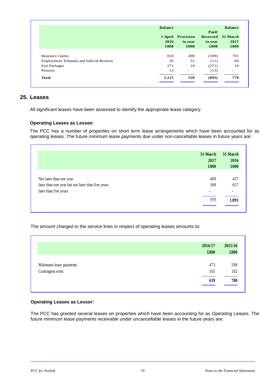|                                                  | <b>Balance</b> |                                      | Paid/                       | <b>Balance</b>           |
|--------------------------------------------------|----------------|--------------------------------------|-----------------------------|--------------------------|
|                                                  | 2016<br>£000   | 1 April Provision<br>in year<br>£000 | Reversed<br>in year<br>£000 | 31 March<br>2017<br>£000 |
| Insurance claims                                 | 810            | 490                                  | (599)                       | 701                      |
| <b>Employment Tribunals and Judicial Reviews</b> | 20             | 51                                   | (11)                        | 60                       |
| <b>Exit Packages</b>                             | 271            | 18                                   | (271)                       | 18                       |
| Pension                                          | 13             | $\overline{\phantom{a}}$             | (13)                        | $\overline{\phantom{0}}$ |
| Total                                            | 1,115          | 559                                  | (895)                       | 779                      |

# **25. Leases**

All significant leases have been assessed to identify the appropriate lease category.

## **Operating Leases as Lessee:**

The PCC has a number of properties on short term lease arrangements which have been accounted for as operating leases. The future minimum lease payments due under non-cancellable leases in future years are:

|                                                   | 31 March | 31 March |
|---------------------------------------------------|----------|----------|
|                                                   | 2017     | 2016     |
|                                                   | £000     | £000     |
| Not later than one year                           | 409      | 437      |
| later than one year but not later than five years | 368      | 657      |
| later than five years                             |          | ٠        |
|                                                   | 777      | 1,093    |

The amount charged to the service lines in respect of operating leases amounts to:

|                        | 2016/17<br>£000 | 2015/16<br>£000 |
|------------------------|-----------------|-----------------|
| Minimum lease payments | 473             | 598             |
| Contingent rents       | 165             | 182             |
|                        | 639             | 780             |

### **Operating Leases as Lessor:**

The PCC has granted several leases on properties which have been accounting for as Operating Leases. The future minimum lease payments receivable under uncancellable leases in the future years are: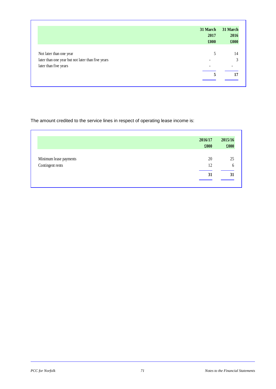|                                                   | 31 March | 31 March                 |
|---------------------------------------------------|----------|--------------------------|
|                                                   | 2017     | 2016                     |
|                                                   | £000     | £000                     |
|                                                   |          |                          |
| Not later than one year                           | 5        | 14                       |
| later than one year but not later than five years |          | 3                        |
| later than five years                             |          | $\overline{\phantom{0}}$ |
|                                                   | 5        | 17                       |

The amount credited to the service lines in respect of operating lease income is:

|                        | 2016/17<br>£000 | 2015/16<br>£000 |
|------------------------|-----------------|-----------------|
| Minimum lease payments | 20              | 25              |
| Contingent rents       | 12              | b               |
|                        | 31              | 31              |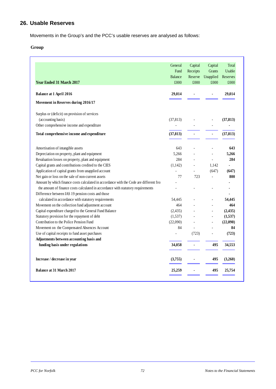# **26. Usable Reserves**

Movements in the Group's and the PCC's usable reserves are analysed as follows:

## **Group**

|                                                                                         | General        | Capital  | Capital        | Total         |
|-----------------------------------------------------------------------------------------|----------------|----------|----------------|---------------|
|                                                                                         | Fund           | Receipts | <b>Grants</b>  | <b>Usable</b> |
|                                                                                         | Balance        | Reserve  | Unapplied      | Reserves      |
| <b>Year Ended 31 March 2017</b>                                                         | £000           | £000     | £000           | £000          |
| <b>Balance at 1 April 2016</b>                                                          | 29,014         |          |                | 29,014        |
| Movement in Reserves during 2016/17                                                     |                |          |                |               |
| Surplus or (deficit) on provision of services                                           |                |          |                |               |
| (accounting basis)                                                                      | (37, 813)      |          |                | (37, 813)     |
| Other comprehensive income and expenditure                                              |                |          |                |               |
| Total comprehensive income and expenditure                                              | (37, 813)      |          |                | (37, 813)     |
| Amortisation of intangible assets                                                       | 643            |          |                | 643           |
| Depreciation on property, plant and equipment                                           | 5,266          |          |                | 5,266         |
| Revaluation losses on property, plant and equipment                                     | 284            |          |                | 284           |
| Capital grants and contributions credited to the CIES                                   | (1,142)        |          | 1,142          |               |
| Application of capital grants from unapplied account                                    |                |          | (647)          | (647)         |
| Net gain or loss on the sale of non-current assets                                      | 77             | 723      |                | 800           |
| Amount by which finance costs calculated in accordance with the Code are different fro: |                |          |                |               |
| the amount of finance costs calculated in accordance with statutory requirements        |                |          |                |               |
| Difference between IAS 19 pension costs and those                                       |                |          |                |               |
| calculated in accordance with statutory requirements                                    | 54,445         |          |                | 54,445        |
| Movement on the collection fund adjustment account                                      | 464            |          | $\overline{a}$ | 464           |
| Capital expenditure charged to the General Fund Balance                                 | (2, 435)       |          | $\overline{a}$ | (2, 435)      |
| Statutory provision for the repayment of debt                                           | (1,537)        |          |                | (1,537)       |
| Contribution to the Police Pension Fund                                                 | (22,090)       |          | $\overline{a}$ | (22,090)      |
| Movement on the Compensated Absences Account                                            | 84             |          |                | 84            |
| Use of capital receipts to fund asset purchases                                         | $\overline{a}$ | (723)    |                | (723)         |
| Adjustments between accounting basis and                                                |                |          |                |               |
| funding basis under regulations                                                         | 34,058         |          | 495            | 34,553        |
| Increase / decrease in year                                                             | (3,755)        |          | 495            | (3,260)       |
| <b>Balance at 31 March 2017</b>                                                         | 25,259         |          | 495            | 25,754        |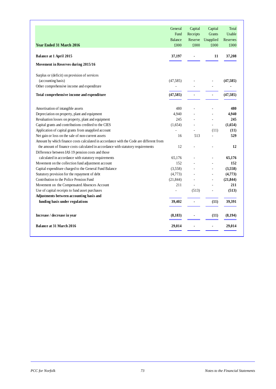| <b>Year Ended 31 March 2016</b>                                                                                                       | General<br>Fund<br><b>Balance</b><br>£000 | Capital<br>Receipts<br>Reserve<br>£000 | Capital<br>Grants<br>Unapplied<br>£000 | Total<br>Usable<br>Reserves<br>£000 |
|---------------------------------------------------------------------------------------------------------------------------------------|-------------------------------------------|----------------------------------------|----------------------------------------|-------------------------------------|
| <b>Balance at 1 April 2015</b>                                                                                                        | 37,197                                    |                                        | 11                                     | 37,208                              |
| Movement in Reserves during 2015/16                                                                                                   |                                           |                                        |                                        |                                     |
| Surplus or (deficit) on provision of services                                                                                         |                                           |                                        |                                        |                                     |
| (accounting basis)                                                                                                                    | (47, 585)                                 |                                        |                                        | (47, 585)                           |
| Other comprehensive income and expenditure                                                                                            |                                           |                                        | ÷,                                     |                                     |
| Total comprehensive income and expenditure                                                                                            | (47, 585)                                 | ä,                                     | ä,                                     | (47,585)                            |
| Amortisation of intangible assets                                                                                                     | 480                                       |                                        |                                        | 480                                 |
| Depreciation on property, plant and equipment                                                                                         | 4,940                                     |                                        |                                        | 4,940                               |
| Revaluation losses on property, plant and equipment                                                                                   | 245                                       |                                        |                                        | 245                                 |
| Capital grants and contributions credited to the CIES                                                                                 | (1,654)                                   |                                        | $\overline{a}$                         | (1,654)                             |
| Application of capital grants from unapplied account                                                                                  |                                           |                                        | (11)                                   | (11)                                |
| Net gain or loss on the sale of non-current assets                                                                                    | 16                                        | 513                                    |                                        | 529                                 |
| Amount by which finance costs calculated in accordance with the Code are different from                                               |                                           |                                        |                                        |                                     |
| the amount of finance costs calculated in accordance with statutory requirements<br>Difference between IAS 19 pension costs and those | 12                                        |                                        |                                        | 12                                  |
| calculated in accordance with statutory requirements                                                                                  | 65,176                                    |                                        |                                        | 65,176                              |
| Movement on the collection fund adjustment account                                                                                    | 152                                       |                                        | L.                                     | 152                                 |
| Capital expenditure charged to the General Fund Balance                                                                               | (3,558)                                   |                                        | L.                                     | (3,558)                             |
| Statutory provision for the repayment of debt                                                                                         | (4,773)                                   |                                        | L.                                     | (4,773)                             |
| Contribution to the Police Pension Fund                                                                                               | (21, 844)                                 | ÷,                                     | ÷,                                     | (21, 844)                           |
| Movement on the Compensated Absences Account                                                                                          | 211                                       | ÷,                                     | ÷,                                     | 211                                 |
| Use of capital receipts to fund asset purchases                                                                                       | $\overline{a}$                            | (513)                                  |                                        | (513)                               |
| Adjustments between accounting basis and                                                                                              |                                           |                                        |                                        |                                     |
| funding basis under regulations                                                                                                       | 39,402                                    | ٠                                      | (11)                                   | 39,391                              |
| Increase / decrease in year                                                                                                           | (8, 183)                                  |                                        | (11)                                   | (8, 194)                            |
| <b>Balance at 31 March 2016</b>                                                                                                       | 29,014                                    |                                        |                                        | 29,014                              |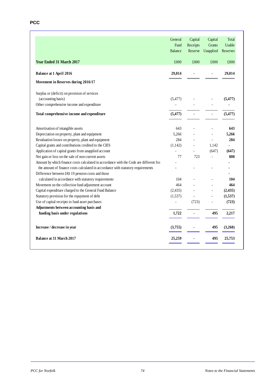|                                                                                         | General        | Capital  | Capital        | Total    |
|-----------------------------------------------------------------------------------------|----------------|----------|----------------|----------|
|                                                                                         | Fund           | Receipts | <b>Grants</b>  | Usable   |
|                                                                                         | <b>Balance</b> | Reserve  | Unapplied      | Reserves |
| <b>Year Ended 31 March 2017</b>                                                         | £000           | £000     | £000           | £000     |
| <b>Balance at 1 April 2016</b>                                                          | 29,014         | ×,       | ٠              | 29,014   |
| Movement in Reserves during 2016/17                                                     |                |          |                |          |
| Surplus or (deficit) on provision of services                                           |                |          |                |          |
| (accounting basis)                                                                      | (5, 477)       |          |                | (5, 477) |
| Other comprehensive income and expenditure                                              |                |          |                |          |
| Total comprehensive income and expenditure                                              | (5, 477)       | ä,       | $\blacksquare$ | (5, 477) |
| Amortisation of intangible assets                                                       | 643            |          |                | 643      |
| Depreciation on property, plant and equipment                                           | 5,266          |          |                | 5,266    |
| Revaluation losses on property, plant and equipment                                     | 284            |          |                | 284      |
| Capital grants and contributions credited to the CIES                                   | (1,142)        |          | 1,142          |          |
| Application of capital grants from unapplied account                                    |                |          | (647)          | (647)    |
| Net gain or loss on the sale of non-current assets                                      | 77             | 723      |                | 800      |
| Amount by which finance costs calculated in accordance with the Code are different from |                |          |                |          |
| the amount of finance costs calculated in accordance with statutory requirements        |                |          |                |          |
| Difference between IAS 19 pension costs and those                                       |                |          |                |          |
| calculated in accordance with statutory requirements                                    | 104            |          |                | 104      |
| Movement on the collection fund adjustment account                                      | 464            |          |                | 464      |
| Capital expenditure charged to the General Fund Balance                                 | (2, 435)       |          |                | (2, 435) |
| Statutory provision for the repayment of debt                                           | (1,537)        |          | $\overline{a}$ | (1,537)  |
| Use of capital receipts to fund asset purchases                                         | $\overline{a}$ | (723)    |                | (723)    |
| Adjustments between accounting basis and                                                |                |          |                |          |
| funding basis under regulations                                                         | 1,722          | ä,       | 495            | 2,217    |
| Increase / decrease in year                                                             | (3,755)        |          | 495            | (3,260)  |
| <b>Balance at 31 March 2017</b>                                                         | 25,259         |          | 495            | 25,753   |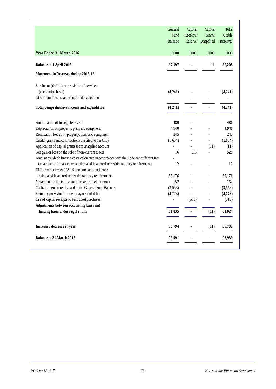|                                                                                                                                       | General<br>Fund<br><b>Balance</b> | Capital<br>Receipts<br>Reserve | Capital<br><b>Grants</b><br>Unapplied | Total<br><b>Usable</b><br>Reserves |
|---------------------------------------------------------------------------------------------------------------------------------------|-----------------------------------|--------------------------------|---------------------------------------|------------------------------------|
| <b>Year Ended 31 March 2016</b>                                                                                                       | £000                              | £000                           | £000                                  | £000                               |
| Balance at 1 April 2015                                                                                                               | 37,197                            |                                | 11                                    | 37,208                             |
| Movement in Reserves during 2015/16                                                                                                   |                                   |                                |                                       |                                    |
| Surplus or (deficit) on provision of services                                                                                         |                                   |                                |                                       |                                    |
| (accounting basis)                                                                                                                    | (4,241)                           |                                |                                       | (4,241)                            |
| Other comprehensive income and expenditure                                                                                            |                                   |                                |                                       |                                    |
| Total comprehensive income and expenditure                                                                                            | (4,241)                           |                                |                                       | (4,241)                            |
| Amortisation of intangible assets                                                                                                     | 480                               |                                |                                       | 480                                |
| Depreciation on property, plant and equipment                                                                                         | 4,940                             |                                |                                       | 4.940                              |
| Revaluation losses on property, plant and equipment                                                                                   | 245                               |                                |                                       | 245                                |
| Capital grants and contributions credited to the CIES                                                                                 | (1,654)                           |                                |                                       | (1,654)                            |
| Application of capital grants from unapplied account                                                                                  |                                   |                                | (11)                                  | (11)                               |
| Net gain or loss on the sale of non-current assets                                                                                    | 16                                | 513                            |                                       | 529                                |
| Amount by which finance costs calculated in accordance with the Code are different from                                               |                                   |                                |                                       |                                    |
| the amount of finance costs calculated in accordance with statutory requirements<br>Difference between IAS 19 pension costs and those | 12                                |                                |                                       | 12                                 |
| calculated in accordance with statutory requirements                                                                                  | 65,176                            |                                |                                       | 65,176                             |
| Movement on the collection fund adjustment account                                                                                    | 152                               |                                |                                       | 152                                |
| Capital expenditure charged to the General Fund Balance                                                                               | (3,558)                           |                                | $\overline{a}$                        | (3,558)                            |
| Statutory provision for the repayment of debt                                                                                         | (4,773)                           | L,                             | $\overline{a}$                        | (4,773)                            |
| Use of capital receipts to fund asset purchases                                                                                       | $\overline{\phantom{a}}$          | (513)                          |                                       | (513)                              |
| Adjustments between accounting basis and                                                                                              |                                   |                                |                                       |                                    |
| funding basis under regulations                                                                                                       | 61,035                            |                                | (11)                                  | 61,024                             |
| Increase / decrease in year                                                                                                           | 56,794                            |                                | (11)                                  | 56,782                             |
| <b>Balance at 31 March 2016</b>                                                                                                       | 93,991                            |                                |                                       | 93,989                             |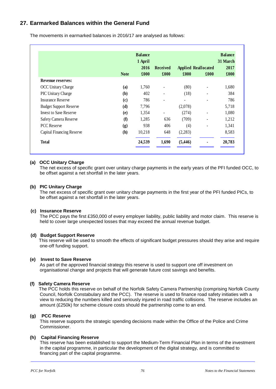# **27. Earmarked Balances within the General Fund**

The movements in earmarked balances in 2016/17 are analysed as follows:

|                               |                             | <b>Balance</b><br>1 April |                 |                            |      | <b>Balance</b><br>31 March |
|-------------------------------|-----------------------------|---------------------------|-----------------|----------------------------|------|----------------------------|
|                               |                             | 2016                      | <b>Received</b> | <b>Applied Reallocated</b> |      | 2017                       |
|                               | <b>Note</b>                 | £000                      | £000            | £000                       | £000 | £000                       |
| <b>Revenue reserves:</b>      |                             |                           |                 |                            |      |                            |
| <b>OCC Unitary Charge</b>     | (a)                         | 1,760                     |                 | (80)                       | ٠    | 1,680                      |
| <b>PIC Unitary Charge</b>     | (b)                         | 402                       |                 | (18)                       |      | 384                        |
| <b>Insurance Reserve</b>      | $\left( \mathbf{c} \right)$ | 786                       |                 |                            |      | 786                        |
| <b>Budget Support Reserve</b> | (d)                         | 7,796                     |                 | (2,078)                    |      | 5,718                      |
| <b>Invest to Save Reserve</b> | (e)                         | 1,354                     |                 | (274)                      |      | 1,080                      |
| Safety Camera Reserve         | (f)                         | 1,285                     | 636             | (709)                      |      | 1,212                      |
| <b>PCC</b> Reserve            | (g)                         | 938                       | 406             | (4)                        |      | 1,341                      |
| Capital Financing Reserve     | (h)                         | 10,218                    | 648             | (2,283)                    |      | 8,583                      |
| <b>Total</b>                  |                             | 24,539                    | 1,690           | (5, 446)                   |      | 20,783                     |

#### **(a) OCC Unitary Charge**

The net excess of specific grant over unitary charge payments in the early years of the PFI funded OCC, to be offset against a net shortfall in the later years.

## **(b) PIC Unitary Charge**

The net excess of specific grant over unitary charge payments in the first year of the PFI funded PICs, to be offset against a net shortfall in the later years.

#### **(c) Insurance Reserve**

The PCC pays the first £350,000 of every employer liability, public liability and motor claim. This reserve is held to cover large unexpected losses that may exceed the annual revenue budget.

## **(d) Budget Support Reserve**

 This reserve will be used to smooth the effects of significant budget pressures should they arise and require one-off funding support.

#### **(e) Invest to Save Reserve**

As part of the approved financial strategy this reserve is used to support one off investment on organisational change and projects that will generate future cost savings and benefits.

#### **(f) Safety Camera Reserve**

 The PCC holds this reserve on behalf of the Norfolk Safety Camera Partnership (comprising Norfolk County Council, Norfolk Constabulary and the PCC). The reserve is used to finance road safety initiaties with a view to reducing the numbers killed and seriously injured in road traffic collisions. The reserve includes an amount (£250k) for scheme closure costs should the partnership come to an end.

#### **(g) PCC Reserve**

This reserve supports the strategic spending decisions made within the Office of the Police and Crime Commissioner.

#### **(h) Capital Financing Reserve**

This reserve has been established to support the Medium-Term Financial Plan in terms of the investment in the capital programme, in particular the development of the digital strategy, and is committed to financing part of the capital programme.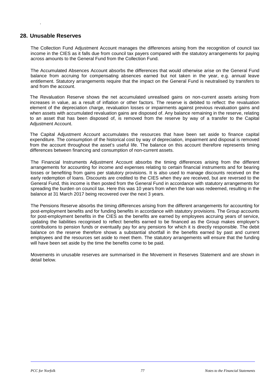## **28. Unusable Reserves**

.

The Collection Fund Adjustment Account manages the differences arising from the recognition of council tax income in the CIES as it falls due from council tax payers compared with the statutory arrangements for paying across amounts to the General Fund from the Collection Fund.

The Accumulated Absences Account absorbs the differences that would otherwise arise on the General Fund balance from accruing for compensating absences earned but not taken in the year, e.g. annual leave entitlement. Statutory arrangements require that the impact on the General Fund is neutralised by transfers to and from the account.

The Revaluation Reserve shows the net accumulated unrealised gains on non-current assets arising from increases in value, as a result of inflation or other factors. The reserve is debited to reflect: the revaluation element of the depreciation charge, revaluation losses or impairments against previous revaluation gains and when assets with accumulated revaluation gains are disposed of. Any balance remaining in the reserve, relating to an asset that has been disposed of, is removed from the reserve by way of a transfer to the Capital Adjustment Account.

The Capital Adjustment Account accumulates the resources that have been set aside to finance capital expenditure. The consumption of the historical cost by way of depreciation, impairment and disposal is removed from the account throughout the asset's useful life. The balance on this account therefore represents timing differences between financing and consumption of non-current assets.

The Financial Instruments Adjustment Account absorbs the timing differences arising from the different arrangements for accounting for income and expenses relating to certain financial instruments and for bearing losses or benefiting from gains per statutory provisions. It is also used to manage discounts received on the early redemption of loans. Discounts are credited to the CIES when they are received, but are reversed to the General Fund, this income is then posted from the General Fund in accordance with statutory arrangements for spreading the burden on council tax. Here this was 10 years from when the loan was redeemed, resulting in the balance at 31 March 2017 being recovered over the next 3 years.

The Pensions Reserve absorbs the timing differences arising from the different arrangements for accounting for post-employment benefits and for funding benefits in accordance with statutory provisions. The Group accounts for post-employment benefits in the CIES as the benefits are earned by employees accruing years of service, updating the liabilities recognised to reflect benefits earned to be financed as the Group makes employer's contributions to pension funds or eventually pay for any pensions for which it is directly responsible. The debit balance on the reserve therefore shows a substantial shortfall in the benefits earned by past and current employees and the resources set aside to meet them. The statutory arrangements will ensure that the funding will have been set aside by the time the benefits come to be paid.

Movements in unusable reserves are summarised in the Movement in Reserves Statement and are shown in detail below.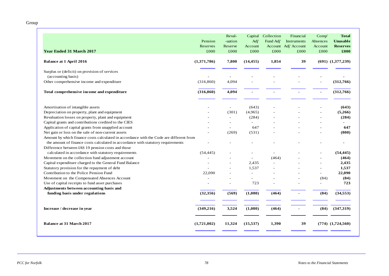Group

| <b>Year Ended 31 March 2017</b>                                                         | Pension<br>Reserves<br>£000 | Reval-<br>-uation<br>Reserve<br>£000 | Capital<br>Adj'<br>Account<br>£000 | Collection<br>Fund Adj'<br>£000 | Financial<br>Instruments<br>Account Adj' Account<br>£000 | Comp'<br>Absences<br>Account<br>£000 | <b>Total</b><br><b>Unusable</b><br><b>Reserves</b><br>£000 |
|-----------------------------------------------------------------------------------------|-----------------------------|--------------------------------------|------------------------------------|---------------------------------|----------------------------------------------------------|--------------------------------------|------------------------------------------------------------|
| <b>Balance at 1 April 2016</b>                                                          | (1,371,786)                 | 7,800                                | (14, 455)                          | 1,854                           | 39                                                       |                                      | $(691)$ $(1,377,239)$                                      |
| Surplus or (deficit) on provision of services                                           |                             |                                      |                                    |                                 |                                                          |                                      |                                                            |
| (accounting basis)                                                                      |                             |                                      |                                    |                                 |                                                          |                                      |                                                            |
| Other comprehensive income and expenditure                                              | (316, 860)                  | 4,094                                |                                    |                                 |                                                          |                                      | (312,766)                                                  |
| Total comprehensive income and expenditure                                              | (316, 860)                  | 4,094                                |                                    |                                 |                                                          |                                      | (312,766)                                                  |
|                                                                                         |                             |                                      |                                    |                                 |                                                          |                                      |                                                            |
| Amortisation of intangible assets                                                       |                             | $\overline{\phantom{a}}$             | (643)                              |                                 |                                                          |                                      | (643)                                                      |
| Depreciation on property, plant and equipment                                           |                             | (301)                                | (4,965)                            |                                 |                                                          |                                      | (5,266)                                                    |
| Revaluation losses on property, plant and equipment                                     |                             | $\overline{a}$                       | (284)                              |                                 |                                                          |                                      | (284)                                                      |
| Capital grants and contributions credited to the CIES                                   |                             |                                      |                                    |                                 |                                                          |                                      |                                                            |
| Application of capital grants from unapplied account                                    |                             | ÷                                    | 647                                |                                 |                                                          |                                      | 647                                                        |
| Net gain or loss on the sale of non-current assets                                      |                             | (269)                                | (531)                              |                                 |                                                          | $\overline{\phantom{a}}$             | (800)                                                      |
| Amount by which finance costs calculated in accordance with the Code are different from |                             |                                      |                                    |                                 |                                                          |                                      |                                                            |
| the amount of finance costs calculated in accordance with statutory requirements        |                             |                                      |                                    |                                 |                                                          |                                      | $\blacksquare$                                             |
| Difference between IAS 19 pension costs and those                                       |                             |                                      |                                    |                                 |                                                          |                                      |                                                            |
| calculated in accordance with statutory requirements                                    | (54, 445)                   |                                      |                                    |                                 |                                                          |                                      | (54, 445)                                                  |
| Movement on the collection fund adjustment account                                      |                             |                                      |                                    | (464)                           |                                                          |                                      | (464)                                                      |
| Capital expenditure charged to the General Fund Balance                                 |                             |                                      | 2,435                              |                                 |                                                          |                                      | 2,435                                                      |
| Statutory provision for the repayment of debt                                           |                             | $\overline{\phantom{a}}$             | 1,537                              |                                 |                                                          |                                      | 1,537                                                      |
| Contribution to the Police Pension Fund                                                 | 22,090                      | $\overline{\phantom{a}}$             |                                    |                                 |                                                          | $\overline{\phantom{a}}$             | 22,090                                                     |
| Movement on the Compensated Absences Account                                            | $\overline{\phantom{a}}$    | ٠                                    |                                    |                                 |                                                          | (84)                                 | (84)                                                       |
| Use of capital receipts to fund asset purchases                                         |                             |                                      | 723                                |                                 |                                                          |                                      | 723                                                        |
| Adjustments between accounting basis and                                                |                             |                                      |                                    |                                 |                                                          |                                      |                                                            |
| funding basis under regulations                                                         | (32, 356)                   | (569)                                | (1,080)                            | (464)                           |                                                          | (84)                                 | (34, 553)                                                  |
| Increase / decrease in year                                                             | (349, 216)                  | 3,524                                | (1,080)                            | (464)                           |                                                          | (84)                                 | (347,319)                                                  |
| <b>Balance at 31 March 2017</b>                                                         | (1,721,002)                 | 11,324                               | (15, 537)                          | 1,390                           | 39                                                       |                                      | $(774)$ $(1,724,560)$                                      |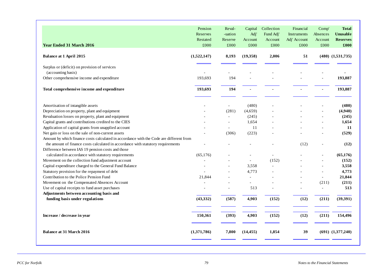| <b>Year Ended 31 March 2016</b>                                                         | Pension<br>Reserves<br>Restated<br>£000 | Reval-<br>-uation<br>Reserve<br>£000 | Capital<br>Adj'<br>Account<br>£000 | Collection<br>Fund Adj'<br>Account<br>£000 | Financial<br><b>Instruments</b><br>Adj' Account<br>£000 | Comp'<br>Absences<br>Account<br>£000 | <b>Total</b><br><b>Unusable</b><br><b>Reserves</b><br>£000 |
|-----------------------------------------------------------------------------------------|-----------------------------------------|--------------------------------------|------------------------------------|--------------------------------------------|---------------------------------------------------------|--------------------------------------|------------------------------------------------------------|
| <b>Balance at 1 April 2015</b>                                                          | (1,522,147)                             | 8,193                                | (19,358)                           | 2,006                                      | 51                                                      |                                      | $(480)$ $(1,531,735)$                                      |
| Surplus or (deficit) on provision of services                                           |                                         |                                      |                                    |                                            |                                                         |                                      |                                                            |
| (accounting basis)                                                                      |                                         |                                      |                                    |                                            |                                                         |                                      |                                                            |
| Other comprehensive income and expenditure                                              | 193,693                                 | 194                                  |                                    |                                            |                                                         |                                      | 193,887                                                    |
| Total comprehensive income and expenditure                                              | 193,693                                 | 194                                  |                                    |                                            |                                                         |                                      | 193,887                                                    |
| Amortisation of intangible assets                                                       |                                         | $\sim$                               | (480)                              |                                            |                                                         |                                      | (480)                                                      |
| Depreciation on property, plant and equipment                                           |                                         | (281)                                | (4,659)                            |                                            |                                                         |                                      | (4,940)                                                    |
| Revaluation losses on property, plant and equipment                                     |                                         |                                      | (245)                              |                                            |                                                         |                                      | (245)                                                      |
| Capital grants and contributions credited to the CIES                                   |                                         |                                      | 1,654                              |                                            |                                                         |                                      | 1,654                                                      |
| Application of capital grants from unapplied account                                    |                                         |                                      | 11                                 |                                            |                                                         |                                      | 11                                                         |
| Net gain or loss on the sale of non-current assets                                      |                                         | (306)                                | (223)                              |                                            |                                                         |                                      | (529)                                                      |
| Amount by which finance costs calculated in accordance with the Code are different from |                                         |                                      |                                    |                                            |                                                         |                                      |                                                            |
| the amount of finance costs calculated in accordance with statutory requirements        |                                         |                                      |                                    |                                            | (12)                                                    |                                      | (12)                                                       |
| Difference between IAS 19 pension costs and those                                       |                                         |                                      |                                    |                                            |                                                         |                                      |                                                            |
| calculated in accordance with statutory requirements                                    | (65, 176)                               |                                      |                                    |                                            |                                                         |                                      | (65, 176)                                                  |
| Movement on the collection fund adjustment account                                      |                                         |                                      |                                    | (152)                                      |                                                         |                                      | (152)                                                      |
| Capital expenditure charged to the General Fund Balance                                 |                                         |                                      | 3,558                              |                                            |                                                         |                                      | 3,558                                                      |
| Statutory provision for the repayment of debt                                           |                                         |                                      | 4,773                              |                                            |                                                         |                                      | 4,773                                                      |
| Contribution to the Police Pension Fund                                                 | 21,844                                  |                                      |                                    |                                            |                                                         | $\sim$                               | 21,844                                                     |
| Movement on the Compensated Absences Account                                            |                                         |                                      |                                    |                                            |                                                         | (211)                                | (211)                                                      |
| Use of capital receipts to fund asset purchases                                         | $\sim$                                  | $\overline{\phantom{a}}$             | 513                                |                                            |                                                         | $\blacksquare$                       | 513                                                        |
| Adjustments between accounting basis and                                                |                                         |                                      |                                    |                                            |                                                         |                                      |                                                            |
| funding basis under regulations                                                         | (43, 332)                               | (587)                                | 4,903                              | (152)                                      | (12)                                                    | (211)                                | (39,391)                                                   |
| Increase / decrease in year                                                             | 150,361                                 | (393)                                | 4,903                              | (152)                                      | (12)                                                    | (211)                                | 154,496                                                    |
| <b>Balance at 31 March 2016</b>                                                         | (1,371,786)                             | 7,800                                | (14, 455)                          | 1,854                                      | 39                                                      |                                      | $(691)$ $(1,377,240)$                                      |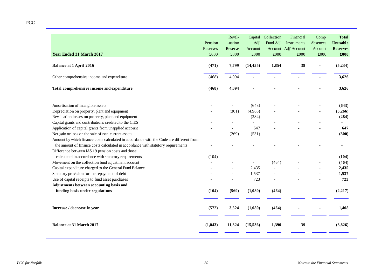PCC

| <b>Year Ended 31 March 2017</b>                                                         | Pension<br>Reserves<br>£000 | Reval-<br>-uation<br>Reserve<br>£000 | Capital<br>Adj'<br>Account<br>£000 | Collection<br>Fund Adj'<br>£000 | Financial<br>Instruments<br>Account Adj' Account<br>£000 | Comp'<br>Absences<br>Account<br>£000 | <b>Total</b><br><b>Unusable</b><br><b>Reserves</b><br>£000 |
|-----------------------------------------------------------------------------------------|-----------------------------|--------------------------------------|------------------------------------|---------------------------------|----------------------------------------------------------|--------------------------------------|------------------------------------------------------------|
| <b>Balance at 1 April 2016</b>                                                          | (471)                       | 7,799                                | (14, 455)                          | 1,854                           | 39                                                       |                                      | (5,234)                                                    |
| Other comprehensive income and expenditure                                              | (468)                       | 4,094                                |                                    |                                 |                                                          |                                      | 3,626                                                      |
| Total comprehensive income and expenditure                                              | (468)                       | 4,094                                |                                    |                                 |                                                          |                                      | 3,626                                                      |
| Amortisation of intangible assets                                                       |                             | $\overline{\phantom{a}}$             | (643)                              |                                 |                                                          |                                      | (643)                                                      |
| Depreciation on property, plant and equipment                                           |                             | (301)                                | (4,965)                            |                                 |                                                          |                                      | (5,266)                                                    |
| Revaluation losses on property, plant and equipment                                     |                             | $\overline{a}$                       | (284)                              |                                 |                                                          |                                      | (284)                                                      |
| Capital grants and contributions credited to the CIES                                   |                             | $\overline{a}$                       | $\overline{a}$                     |                                 |                                                          |                                      |                                                            |
| Application of capital grants from unapplied account                                    |                             | $\overline{a}$                       | 647                                |                                 |                                                          |                                      | 647                                                        |
| Net gain or loss on the sale of non-current assets                                      |                             | (269)                                | (531)                              |                                 |                                                          |                                      | (800)                                                      |
| Amount by which finance costs calculated in accordance with the Code are different from |                             |                                      |                                    |                                 |                                                          |                                      |                                                            |
| the amount of finance costs calculated in accordance with statutory requirements        |                             |                                      |                                    |                                 |                                                          |                                      |                                                            |
| Difference between IAS 19 pension costs and those                                       |                             |                                      |                                    |                                 |                                                          |                                      |                                                            |
| calculated in accordance with statutory requirements                                    | (104)                       |                                      |                                    |                                 |                                                          |                                      | (104)                                                      |
| Movement on the collection fund adjustment account                                      |                             |                                      |                                    | (464)                           |                                                          |                                      | (464)                                                      |
| Capital expenditure charged to the General Fund Balance                                 |                             |                                      | 2,435                              |                                 |                                                          |                                      | 2,435                                                      |
| Statutory provision for the repayment of debt                                           |                             | $\overline{a}$                       | 1,537                              |                                 |                                                          |                                      | 1,537                                                      |
| Use of capital receipts to fund asset purchases                                         |                             | $\overline{a}$                       | 723                                |                                 |                                                          |                                      | 723                                                        |
| Adjustments between accounting basis and                                                |                             |                                      |                                    |                                 |                                                          |                                      |                                                            |
| funding basis under regulations                                                         | (104)                       | (569)                                | (1,080)                            | (464)                           |                                                          |                                      | (2,217)                                                    |
| Increase / decrease in year                                                             | (572)                       | 3,524                                | (1,080)                            | (464)                           |                                                          |                                      | 1,408                                                      |
| <b>Balance at 31 March 2017</b>                                                         | (1,043)                     | 11,324                               | (15,536)                           | 1,390                           | 39                                                       |                                      | (3,826)                                                    |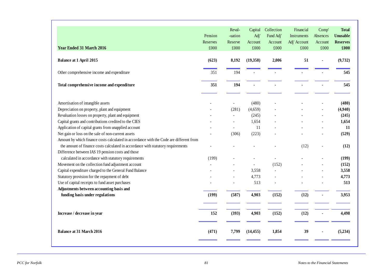| <b>Year Ended 31 March 2016</b>                                                                                                                                             | Pension<br>Reserves<br>£000 | Reval-<br>-uation<br>Reserve<br>£000 | Capital<br>Adj'<br>Account<br>£000 | Collection<br>Fund Adj'<br>Account<br>£000 | Financial<br><b>Instruments</b><br>Adj' Account<br>£000 | Comp'<br>Absences<br>Account<br>£000 | <b>Total</b><br><b>Unusable</b><br><b>Reserves</b><br>£000 |
|-----------------------------------------------------------------------------------------------------------------------------------------------------------------------------|-----------------------------|--------------------------------------|------------------------------------|--------------------------------------------|---------------------------------------------------------|--------------------------------------|------------------------------------------------------------|
| <b>Balance at 1 April 2015</b>                                                                                                                                              | (623)                       | 8,192                                | (19,358)                           | 2,006                                      | 51                                                      |                                      | (9,732)                                                    |
| Other comprehensive income and expenditure                                                                                                                                  | 351                         | 194                                  |                                    |                                            |                                                         |                                      | 545                                                        |
| Total comprehensive income and expenditure                                                                                                                                  | 351                         | 194                                  |                                    |                                            |                                                         |                                      | 545                                                        |
| Amortisation of intangible assets                                                                                                                                           |                             | $\overline{a}$                       | (480)                              |                                            |                                                         |                                      | (480)                                                      |
| Depreciation on property, plant and equipment                                                                                                                               |                             | (281)                                | (4,659)                            |                                            |                                                         |                                      | (4,940)                                                    |
| Revaluation losses on property, plant and equipment                                                                                                                         |                             | $\overline{a}$                       | (245)                              |                                            |                                                         |                                      | (245)                                                      |
| Capital grants and contributions credited to the CIES                                                                                                                       |                             |                                      | 1,654                              |                                            |                                                         |                                      | 1,654                                                      |
| Application of capital grants from unapplied account                                                                                                                        |                             |                                      | 11                                 |                                            |                                                         |                                      | 11                                                         |
| Net gain or loss on the sale of non-current assets                                                                                                                          |                             | (306)                                | (223)                              |                                            |                                                         |                                      | (529)                                                      |
| Amount by which finance costs calculated in accordance with the Code are different from<br>the amount of finance costs calculated in accordance with statutory requirements |                             |                                      |                                    |                                            | (12)                                                    |                                      | (12)                                                       |
| Difference between IAS 19 pension costs and those                                                                                                                           |                             |                                      |                                    |                                            |                                                         |                                      |                                                            |
| calculated in accordance with statutory requirements                                                                                                                        | (199)                       |                                      |                                    | ÷,                                         |                                                         |                                      | (199)                                                      |
| Movement on the collection fund adjustment account                                                                                                                          |                             |                                      |                                    | (152)                                      |                                                         |                                      | (152)                                                      |
| Capital expenditure charged to the General Fund Balance                                                                                                                     |                             |                                      | 3,558                              | $\overline{\phantom{a}}$                   |                                                         |                                      | 3,558                                                      |
| Statutory provision for the repayment of debt                                                                                                                               |                             |                                      | 4,773                              |                                            |                                                         |                                      | 4,773                                                      |
| Use of capital receipts to fund asset purchases                                                                                                                             |                             |                                      | 513                                |                                            |                                                         |                                      | 513                                                        |
| Adjustments between accounting basis and                                                                                                                                    |                             |                                      |                                    |                                            |                                                         |                                      |                                                            |
| funding basis under regulations                                                                                                                                             | (199)                       | (587)                                | 4,903                              | (152)                                      | (12)                                                    |                                      | 3,953                                                      |
| Increase / decrease in year                                                                                                                                                 | 152                         | (393)                                | 4,903                              | (152)                                      | (12)                                                    |                                      | 4,498                                                      |
| <b>Balance at 31 March 2016</b>                                                                                                                                             | (471)                       | 7,799                                | (14, 455)                          | 1,854                                      | 39                                                      |                                      | (5,234)                                                    |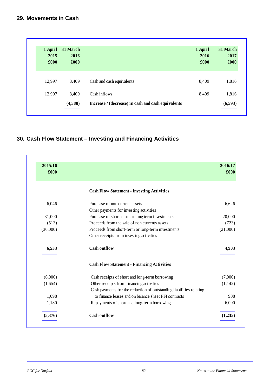| 1 April<br>2015<br>£000 | 31 March<br>2016<br>£000 |                                                    | 1 April<br>2016<br>£000 | 31 March<br>2017<br>£000 |
|-------------------------|--------------------------|----------------------------------------------------|-------------------------|--------------------------|
| 12,997                  | 8,409                    | Cash and cash equivalents                          | 8,409                   | 1,816                    |
| 12,997                  | 8,409                    | Cash inflows                                       | 8,409                   | 1,816                    |
|                         | (4,588)                  | Increase / (decrease) in cash and cash equivalents |                         | (6,593)                  |

# **30. Cash Flow Statement – Investing and Financing Activities**

| 2015/16<br>£000 |                                                                     | 2016/17<br>£000 |
|-----------------|---------------------------------------------------------------------|-----------------|
|                 | <b>Cash Flow Statement - Investing Activities</b>                   |                 |
| 6,046           | Purchase of non current assets                                      | 6,626           |
|                 | Other payments for investing activities                             |                 |
| 31,000          | Purchase of short-term or long term investments                     | 20,000          |
| (513)           | Proceeds from the sale of non currents assets                       | (723)           |
| (30,000)        | Proceeds from short-term or long-term investments                   | (21,000)        |
|                 | Other receipts from investing activities                            |                 |
| 6,533           | <b>Cash outflow</b>                                                 | 4,903           |
|                 | <b>Cash Flow Statement - Financing Activities</b>                   |                 |
| (6,000)         | Cash receipts of short and long-term borrowing                      | (7,000)         |
| (1,654)         | Other receipts from financing activities                            | (1,142)         |
|                 | Cash payments for the reduction of outstanding liabilities relating |                 |
| 1,098           | to finance leases and on balance sheet PFI contracts                | 908             |
| 1,180           | Repayments of short and long-term borrowing                         | 6,000           |
| (5,376)         | <b>Cash outflow</b>                                                 | (1,235)         |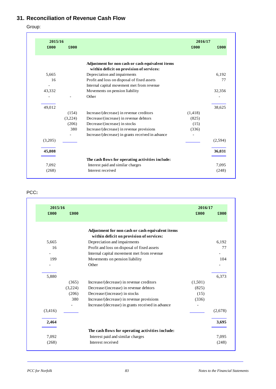# **31. Reconciliation of Revenue Cash Flow**

Group:

| 2015/16 |         |                                                   | 2016/17  |         |
|---------|---------|---------------------------------------------------|----------|---------|
| £000    | £000    |                                                   | £000     | £000    |
|         |         | Adjustment for non cash or cash equivalent items  |          |         |
|         |         | within deficit on provision of services:          |          |         |
| 5,665   |         | Depreciation and impairments                      |          | 6,192   |
| 16      |         | Profit and loss on disposal of fixed assets       |          | 77      |
|         |         | Internal capital movement met from revenue        |          |         |
| 43.332  |         | Movements on pension liability                    |          | 32,356  |
|         |         | Other                                             |          |         |
| 49,012  |         |                                                   |          | 38.625  |
|         | (154)   | Increase/(decrease) in revenue creditors          | (1, 418) |         |
|         | (3,224) | Decrease/(increase) in revenue debtors            | (825)    |         |
|         | (206)   | Decrease/(increase) in stocks                     | (15)     |         |
|         | 380     | Increase/(decrease) in revenue provisions         | (336)    |         |
|         |         | Increase/(decrease) in grants received in advance |          |         |
| (3,205) |         |                                                   |          | (2,594) |
| 45,808  |         |                                                   |          | 36,031  |
|         |         | The cash flows for operating activities include:  |          |         |
| 7,092   |         | Interest paid and similar charges                 |          | 7,095   |
| (268)   |         | Interest received                                 |          | (248)   |

## PCC**:**

| 2015/16  |         |                                                   | 2016/17 |         |
|----------|---------|---------------------------------------------------|---------|---------|
| £000     | £000    |                                                   | £000    | £000    |
|          |         | Adjustment for non cash or cash equivalent items  |         |         |
|          |         | within deficit on provision of services:          |         |         |
| 5,665    |         | Depreciation and impairments                      |         | 6.192   |
| 16       |         | Profit and loss on disposal of fixed assets       |         | 77      |
|          |         | Internal capital movement met from revenue        |         |         |
| 199      |         | Movements on pension liability                    |         | 104     |
|          |         | Other                                             |         |         |
| 5,880    |         |                                                   |         | 6,373   |
|          | (365)   | Increase/(decrease) in revenue creditors          | (1,501) |         |
|          | (3,224) | Decrease/(increase) in revenue debtors            | (825)   |         |
|          | (206)   | Decrease/(increase) in stocks                     | (15)    |         |
|          | 380     | Increase/(decrease) in revenue provisions         | (336)   |         |
|          |         | Increase/(decrease) in grants received in advance |         |         |
| (3, 416) |         |                                                   |         | (2,678) |
| 2,464    |         |                                                   |         | 3,695   |
|          |         | The cash flows for operating activities include:  |         |         |
| 7,092    |         | Interest paid and similar charges                 |         | 7,095   |
| (268)    |         | Interest received                                 |         | (248)   |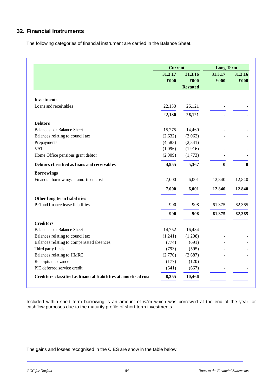# **32. Financial Instruments**

The following categories of financial instrument are carried in the Balance Sheet.

|                                                                 | <b>Current</b> |                 | <b>Long Term</b> |          |
|-----------------------------------------------------------------|----------------|-----------------|------------------|----------|
|                                                                 | 31.3.17        | 31.3.16         | 31.3.17          | 31.3.16  |
|                                                                 | £000           | £000            | £000             | £000     |
|                                                                 |                | <b>Restated</b> |                  |          |
| <b>Investments</b>                                              |                |                 |                  |          |
| Loans and receivables                                           | 22,130         | 26,121          |                  |          |
|                                                                 | 22,130         | 26,121          |                  |          |
| <b>Debtors</b>                                                  |                |                 |                  |          |
| <b>Balances per Balance Sheet</b>                               | 15,275         | 14,460          |                  |          |
| Balances relating to council tax                                | (2,632)        | (3,062)         |                  |          |
| Prepayments                                                     | (4,583)        | (2,341)         |                  |          |
| <b>VAT</b>                                                      | (1,096)        | (1,916)         |                  |          |
| Home Office pensions grant debtor                               | (2,009)        | (1,773)         |                  |          |
| Debtors classified as loans and receivables                     | 4,955          | 5,367           | $\bf{0}$         | $\bf{0}$ |
| <b>Borrowings</b>                                               |                |                 |                  |          |
| Financial borrowings at amortised cost                          | 7,000          | 6,001           | 12,840           | 12,840   |
|                                                                 | 7,000          | 6,001           | 12,840           | 12,840   |
| Other long term liabilities                                     |                |                 |                  |          |
| PFI and finance lease liabilities                               | 990            | 908             | 61,375           | 62,365   |
|                                                                 | 990            | 908             | 61,375           | 62,365   |
| <b>Creditors</b>                                                |                |                 |                  |          |
| <b>Balances per Balance Sheet</b>                               | 14,752         | 16,434          |                  |          |
| Balances relating to council tax                                | (1,241)        | (1,208)         |                  |          |
| Balances relating to compensated absences                       | (774)          | (691)           |                  |          |
| Third party funds                                               | (793)          | (595)           |                  |          |
| Balances relating to HMRC                                       | (2,770)        | (2,687)         |                  |          |
| Receipts in advance                                             | (177)          | (120)           |                  |          |
| PIC deferred service credit                                     | (641)          | (667)           |                  |          |
| Creditors classified as financial liabilities at amortised cost | 8,355          | 10,466          |                  |          |

Included within short term borrowing is an amount of £7m which was borrowed at the end of the year for cashflow purposes due to the maturity profile of short-term investments.

The gains and losses recognised in the CIES are show in the table below: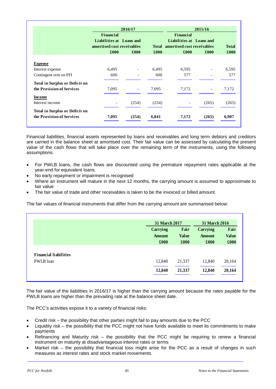|                                                                    | Financial<br>Liabilities at Loans and<br>amortised cost receivables | 2016/17                  |       | Financial<br>Liabilities at Loans and<br>Total amortised cost receivables | 2015/16                  | <b>Total</b>       |
|--------------------------------------------------------------------|---------------------------------------------------------------------|--------------------------|-------|---------------------------------------------------------------------------|--------------------------|--------------------|
|                                                                    | £000                                                                | £000                     | £000  | £000                                                                      | £000                     | $\pmb{\pounds}000$ |
| <b>Expense</b>                                                     |                                                                     |                          |       |                                                                           |                          |                    |
| Interest expense                                                   | 6,495                                                               |                          | 6,495 | 6,595                                                                     |                          | 6,595              |
| Contingent rent on PFI                                             | 600                                                                 |                          | 600   | 577                                                                       |                          | 577                |
| <b>Total in Surplus or Deficit on</b>                              |                                                                     |                          |       |                                                                           |                          |                    |
| the Provision of Services                                          | 7,095                                                               | $\overline{\phantom{a}}$ | 7,095 | 7,172                                                                     | $\overline{\phantom{a}}$ | 7,172              |
| <b>Income</b>                                                      |                                                                     |                          |       |                                                                           |                          |                    |
| Interest income                                                    | -                                                                   | (254)                    | (254) | $\overline{\phantom{a}}$                                                  | (265)                    | (265)              |
| <b>Total in Surplus or Deficit on</b><br>the Provision of Services | 7,095                                                               | (254)                    | 6,841 | 7,172                                                                     | (265)                    | 6,907              |

Financial liabilities, financial assets represented by loans and receivables and long term debtors and creditors are carried in the balance sheet at amortised cost. Their fair value can be assessed by calculating the present value of the cash flows that will take place over the remaining term of the instruments, using the following assumptions.

- For PWLB loans, the cash flows are discounted using the premature repayment rates applicable at the year-end for equivalent loans.
- No early repayment or impairment is recognised
- Where an instrument will mature in the next 12 months, the carrying amount is assumed to approximate to fair value
- The fair value of trade and other receivables is taken to be the invoiced or billed amount.

The fair values of financial instruments that differ from the carrying amount are summarised below:

| 31 March 2017                     |                              | 31 March 2016                     |                              |
|-----------------------------------|------------------------------|-----------------------------------|------------------------------|
| Carrying<br><b>Amount</b><br>£000 | Fair<br><b>Value</b><br>£000 | Carrying<br><b>Amount</b><br>£000 | Fair<br><b>Value</b><br>£000 |
| 12,840                            | 21,337                       | 12,840                            | 20,164                       |
| 12,840                            | 21,337                       | 12,840                            | 20,164                       |

The fair value of the liabilities in 2016/17 is higher than the carrying amount because the rates payable for the PWLB loans are higher than the prevailing rate at the balance sheet date.

The PCC's activities expose it to a variety of financial risks:

- Credit risk the possibility that other parties might fail to pay amounts due to the PCC
- Liquidity risk the possibility that the PCC might not have funds available to meet its commitments to make payments
- Refinancing and Maturity risk the possibility that the PCC might be requiring to renew a financial instrument on maturity at disadvantageous interest rates or terms
- Market risk the possibility that financial loss might arise for the PCC as a result of changes in such measures as interest rates and stock market movements.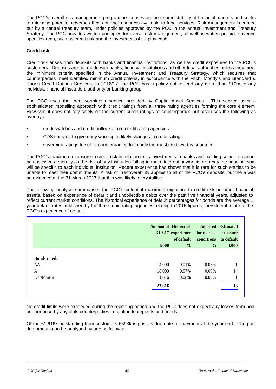The PCC's overall risk management programme focuses on the unpredictability of financial markets and seeks to minimise potential adverse effects on the resources available to fund services. Risk management is carried out by a central treasury team, under policies approved by the PCC in the annual Investment and Treasury Strategy. The PCC provides written principles for overall risk management, as well as written policies covering specific areas, such as credit risk and the investment of surplus cash.

## **Credit risk**

Credit risk arises from deposits with banks and financial institutions, as well as credit exposures to the PCC's customers. Deposits are not made with banks, financial institutions and other local authorities unless they meet the minimum criteria specified in the Annual Investment and Treasury Strategy, which requires that counterparties meet identified minimum credit criteria, in accordance with the Fitch, Moody's and Standard & Poor's Credit Ratings Services. In 2016/17, the PCC has a policy not to lend any more than £10m to any individual financial institution, authority or banking group.

The PCC uses the creditworthiness service provided by Capita Asset Services. This service uses a sophisticated modelling approach with credit ratings from all three rating agencies forming the core element. However, it does not rely solely on the current credit ratings of counterparties but also uses the following as overlays:

- credit watches and credit outlooks from credit rating agencies
- CDS spreads to give early warning of likely changes in credit ratings
- sovereign ratings to select counterparties from only the most creditworthy countries

The PCC's maximum exposure to credit risk in relation to its investments in banks and building societies cannot be assessed generally as the risk of any institution failing to make interest payments or repay the principal sum will be specific to each individual institution. Recent experience has shown that it is rare for such entities to be unable to meet their commitments. A risk of irrecoverability applies to all of the PCC's deposits, but there was no evidence at the 31 March 2017 that this was likely to crystallise.

The following analysis summarises the PCC's potential maximum exposure to credit risk on other financial assets, based on experience of default and uncollectible debts over the past five financial years, adjusted to reflect current market conditions. The historical experience of default percentages for bonds are the average 1 year default rates published by the three main rating agencies relating to 2015 figures, they do not relate to the PCC's experience of default.

|                     |        | <b>Amount at Historical</b><br>31.3.17 experience<br>of default | for market<br>conditions | <b>Adjusted Estimated</b><br>exposure<br>to default |
|---------------------|--------|-----------------------------------------------------------------|--------------------------|-----------------------------------------------------|
|                     | £000   | $\frac{0}{0}$                                                   | $\frac{0}{0}$            | £000                                                |
| <b>Bonds rated:</b> |        |                                                                 |                          |                                                     |
|                     | 4,000  | 0.01%                                                           | 0.03%                    |                                                     |
|                     | 18,000 | 0.07%                                                           | 0.08%                    | 14                                                  |
|                     | 1,616  | 0.08%                                                           | 0.08%                    |                                                     |
|                     | 23,616 |                                                                 |                          | 16                                                  |

No credit limits were exceeded during the reporting period and the PCC does not expect any losses from nonperformance by any of its counterparties in relation to deposits and bonds.

Of the £1,616k outstanding from customers £593k is past its due date for payment at the year-end. The past due amount can be analysed by age as follows: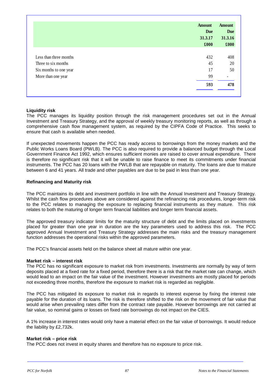|                        | <b>Amount</b><br><b>Due</b><br>31.3.17<br>£000 | <b>Amount</b><br><b>Due</b><br>31.3.16<br>£000 |
|------------------------|------------------------------------------------|------------------------------------------------|
| Less than three months | 432                                            | 408                                            |
| Three to six months    | 45                                             | 20                                             |
| Six months to one year | 17                                             | 50                                             |
| More than one year     | 99                                             |                                                |
|                        | 593                                            | 478                                            |

## **Liquidity risk**

The PCC manages its liquidity position through the risk management procedures set out in the Annual Investment and Treasury Strategy, and the approval of weekly treasury monitoring reports, as well as through a comprehensive cash flow management system, as required by the CIPFA Code of Practice. This seeks to ensure that cash is available when needed.

If unexpected movements happen the PCC has ready access to borrowings from the money markets and the Public Works Loans Board (PWLB). The PCC is also required to provide a balanced budget through the Local Government Finance Act 1992, which ensures sufficient monies are raised to cover annual expenditure. There is therefore no significant risk that it will be unable to raise finance to meet its commitments under financial instruments. The PCC has 20 loans with the PWLB that are repayable on maturity. The loans are due to mature between 6 and 41 years. All trade and other payables are due to be paid in less than one year.

#### **Refinancing and Maturity risk**

The PCC maintains its debt and investment portfolio in line with the Annual Investment and Treasury Strategy. Whilst the cash flow procedures above are considered against the refinancing risk procedures, longer-term risk to the PCC relates to managing the exposure to replacing financial instruments as they mature. This risk relates to both the maturing of longer term financial liabilities and longer term financial assets.

The approved treasury indicator limits for the maturity structure of debt and the limits placed on investments placed for greater than one year in duration are the key parameters used to address this risk. The PCC approved Annual Investment and Treasury Strategy addresses the main risks and the treasury management function addresses the operational risks within the approved parameters.

The PCC's financial assets held on the balance sheet all mature within one year.

#### **Market risk – interest risk**

The PCC has no significant exposure to market risk from investments. Investments are normally by way of term deposits placed at a fixed rate for a fixed period, therefore there is a risk that the market rate can change, which would lead to an impact on the fair value of the investment. However investments are mostly placed for periods not exceeding three months, therefore the exposure to market risk is regarded as negligible.

The PCC has mitigated its exposure to market risk in regards to interest expense by fixing the interest rate payable for the duration of its loans. The risk is therefore shifted to the risk on the movement of fair value that would arise when prevailing rates differ from the contract rate payable. However borrowings are not carried at fair value, so nominal gains or losses on fixed rate borrowings do not impact on the CIES.

A 1% increase in interest rates would only have a material effect on the fair value of borrowings. It would reduce the liability by £2,732k.

#### **Market risk – price risk**

The PCC does not invest in equity shares and therefore has no exposure to price risk.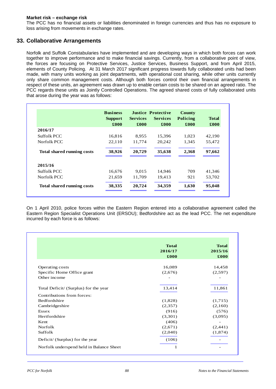#### **Market risk – exchange risk**

The PCC has no financial assets or liabilities denominated in foreign currencies and thus has no exposure to loss arising from movements in exchange rates.

## **33. Collaborative Arrangements**

Norfolk and Suffolk Constabularies have implemented and are developing ways in which both forces can work together to improve performance and to make financial savings. Currently, from a collaborative point of view, the forces are focusing on Protective Services, Justice Services, Business Support, and from April 2015, elements of County Policing. At 31 March 2017 significant progress towards fully collaborated units had been made, with many units working as joint departments, with operational cost sharing, while other units currently only share common management costs. Although both forces control their own financial arrangements in respect of these units, an agreement was drawn up to enable certain costs to be shared on an agreed ratio. The PCC regards these units as Jointly Controlled Operations. The agreed shared costs of fully collaborated units that arose during the year was as follows:

|                                   | <b>Business</b><br><b>Support</b><br>£000 | <b>Services</b><br>£000 | <b>Justice Protective</b><br><b>Services</b><br>£000 | County<br>Policing<br>£000 | <b>Total</b><br>£000 |
|-----------------------------------|-------------------------------------------|-------------------------|------------------------------------------------------|----------------------------|----------------------|
| 2016/17                           |                                           |                         |                                                      |                            |                      |
| Suffolk PCC                       | 16,816                                    | 8,955                   | 15,396                                               | 1,023                      | 42,190               |
| Norfolk PCC                       | 22,110                                    | 11,774                  | 20,242                                               | 1,345                      | 55,472               |
| <b>Total shared running costs</b> | 38,926                                    | 20,729                  | 35,638                                               | 2,368                      | 97,662               |
| 2015/16                           |                                           |                         |                                                      |                            |                      |
| Suffolk PCC                       | 16,676                                    | 9,015                   | 14,946                                               | 709                        | 41,346               |
| Norfolk PCC                       | 21,659                                    | 11,709                  | 19,413                                               | 921                        | 53,702               |
| <b>Total shared running costs</b> | 38,335                                    | 20,724                  | 34,359                                               | 1,630                      | 95,048               |

On 1 April 2010, police forces within the Eastern Region entered into a collaborative agreement called the Eastern Region Specialist Operations Unit (ERSOU); Bedfordshire act as the lead PCC. The net expenditure incurred by each force is as follows:

|                                          | <b>Total</b><br>2016/17<br>£000 | <b>Total</b><br>2015/16<br>£000 |
|------------------------------------------|---------------------------------|---------------------------------|
| Operating costs                          | 16,089                          | 14,458                          |
| Specific Home Office grant               | (2,676)                         | (2,597)                         |
| Other income                             |                                 |                                 |
| Total Deficit/ (Surplus) for the year    | 13,414                          | 11,861                          |
| Contributions from forces:               |                                 |                                 |
| <b>Bedfordshire</b>                      | (1,828)                         | (1,715)                         |
| Cambridgeshire                           | (2,357)                         | (2,160)                         |
| Essex                                    | (916)                           | (576)                           |
| Hertfordshire                            | (3,301)                         | (3,095)                         |
| Kent                                     | (406)                           |                                 |
| Norfolk                                  | (2,671)                         | (2,441)                         |
| Suffolk                                  | (2,040)                         | (1, 874)                        |
| Deficit/ (Surplus) for the year          | (106)                           |                                 |
| Norfolk underspend held in Balance Sheet | 1                               |                                 |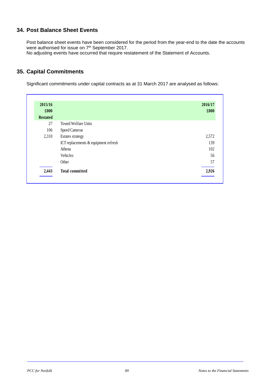# **34. Post Balance Sheet Events**

Post balance sheet events have been considered for the period from the year-end to the date the accounts were authorised for issue on 7<sup>th</sup> September 2017. No adjusting events have occurred that require restatement of the Statement of Accounts.

# **35. Capital Commitments**

Significant commitments under capital contracts as at 31 March 2017 are analysed as follows:

| 2016/17<br>£000 |                                      | 2015/16<br>£000 |
|-----------------|--------------------------------------|-----------------|
|                 |                                      | <b>Restated</b> |
|                 | Towed Welfare Units                  | 27              |
|                 | Speed Cameras                        | 106             |
| 2,572           | Estates strategy                     | 2,310           |
| 139             | ICT replacements & equipment refresh |                 |
| 102             | Athena                               |                 |
| 56              | Vehicles                             |                 |
| 57              | Other                                |                 |
| 2,926           | <b>Total committed</b>               | 2,443           |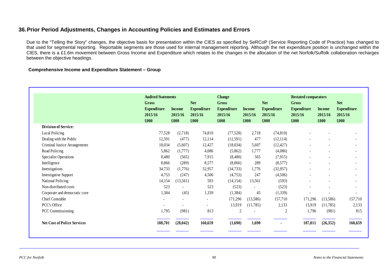# **36.Prior Period Adjustments, Changes in Accounting Policies and Estimates and Errors**

Due to the "Telling the Story" changes, the objective basis for presentation within the CIES as specified by SeRCoP (Service Reporting Code of Practice) has changed to that used for segmental reporting. Reportable segments are those used for internal management reporting. Although the net expenditure position is unchanged within the CIES, there is a £1.6m movement between Gross Income and Expenditure which relates to the changes in the allocation of the net Norfolk/Suffolk collaboration recharges between the objective headings.

#### **Comprehensive Income and Expenditure Statement – Group**

|                                    |                                                | <b>Audited Statements</b>        |                                                     | <b>Change</b>                                  |                                  |                                                     | <b>Restated comparators</b>                           |                                  |                                                     |
|------------------------------------|------------------------------------------------|----------------------------------|-----------------------------------------------------|------------------------------------------------|----------------------------------|-----------------------------------------------------|-------------------------------------------------------|----------------------------------|-----------------------------------------------------|
|                                    | Gross<br><b>Expenditure</b><br>2015/16<br>£000 | <b>Income</b><br>2015/16<br>£000 | <b>Net</b><br><b>Expenditure</b><br>2015/16<br>£000 | Gross<br><b>Expenditure</b><br>2015/16<br>£000 | <b>Income</b><br>2015/16<br>£000 | <b>Net</b><br><b>Expenditure</b><br>2015/16<br>£000 | <b>Gross</b><br><b>Expenditure</b><br>2015/16<br>£000 | <b>Income</b><br>2015/16<br>£000 | <b>Net</b><br><b>Expenditure</b><br>2015/16<br>£000 |
| <b>Division of Service:</b>        |                                                |                                  |                                                     |                                                |                                  |                                                     |                                                       |                                  |                                                     |
| Local Policing                     | 77,528                                         | (2,718)                          | 74,810                                              | (77,528)                                       | 2,718                            | (74, 810)                                           |                                                       |                                  |                                                     |
| Dealing with the Public            | 12,591                                         | (477)                            | 12,114                                              | (12,591)                                       | 477                              | (12,114)                                            |                                                       |                                  |                                                     |
| Criminal Justice Arrangements      | 18,034                                         | (5,607)                          | 12,427                                              | (18,034)                                       | 5,607                            | (12, 427)                                           |                                                       |                                  | ۰                                                   |
| Road Policing                      | 5,862                                          | (1,777)                          | 4,086                                               | (5,862)                                        | 1,777                            | (4,086)                                             |                                                       |                                  | ۰                                                   |
| <b>Specialist Operations</b>       | 8,480                                          | (565)                            | 7,915                                               | (8,480)                                        | 565                              | (7,915)                                             |                                                       |                                  | ۰                                                   |
| Intelligence                       | 8,866                                          | (289)                            | 8,577                                               | (8, 866)                                       | 289                              | (8,577)                                             |                                                       |                                  | ۰                                                   |
| Investigations                     | 34,733                                         | (1,776)                          | 32,957                                              | (34, 733)                                      | 1,776                            | (32,957)                                            |                                                       |                                  | -                                                   |
| <b>Investigative Support</b>       | 4,753                                          | (247)                            | 4,506                                               | (4,753)                                        | 247                              | (4,506)                                             |                                                       |                                  | -                                                   |
| National Policing                  | 14,154                                         | (13,561)                         | 593                                                 | (14, 154)                                      | 13,561                           | (593)                                               |                                                       |                                  | -                                                   |
| Non-distributed costs              | 523                                            |                                  | 523                                                 | (523)                                          |                                  | (523)                                               |                                                       |                                  |                                                     |
| Corporate and democratic core      | 1,384                                          | (45)                             | 1,339                                               | (1, 384)                                       | 45                               | (1,339)                                             |                                                       |                                  | ۰                                                   |
| <b>Chief Constable</b>             | $\blacksquare$                                 |                                  | $\blacksquare$                                      | 171,296                                        | (13,586)                         | 157,710                                             | 171,296                                               | (13,586)                         | 157,710                                             |
| PCC's Office                       |                                                |                                  | $\sim$                                              | 13,919                                         | (11,785)                         | 2,133                                               | 13,919                                                | (11,785)                         | 2,133                                               |
| PCC Commissioning                  | 1,795                                          | (981)                            | 813                                                 | $\overline{2}$                                 |                                  | 2                                                   | 1,796                                                 | (981)                            | 815                                                 |
| <b>Net Cost of Police Services</b> | 188,701                                        | (28, 042)                        | 160,659                                             | (1,690)                                        | 1,690                            | $\blacksquare$                                      | 187,011                                               | (26, 352)                        | 160,659                                             |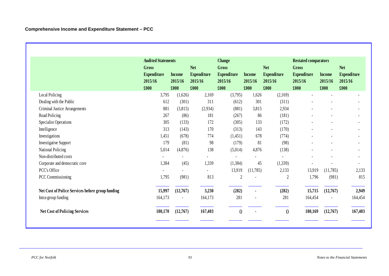|                                                  | <b>Audited Statements</b>     |                          |                               | <b>Change</b>                 |                          |                               | <b>Restated comparators</b>   |                          |                               |
|--------------------------------------------------|-------------------------------|--------------------------|-------------------------------|-------------------------------|--------------------------|-------------------------------|-------------------------------|--------------------------|-------------------------------|
|                                                  | Gross                         |                          | <b>Net</b>                    | Gross                         |                          | <b>Net</b>                    | <b>Gross</b>                  |                          | <b>Net</b>                    |
|                                                  | <b>Expenditure</b><br>2015/16 | <b>Income</b><br>2015/16 | <b>Expenditure</b><br>2015/16 | <b>Expenditure</b><br>2015/16 | <b>Income</b><br>2015/16 | <b>Expenditure</b><br>2015/16 | <b>Expenditure</b><br>2015/16 | <b>Income</b><br>2015/16 | <b>Expenditure</b><br>2015/16 |
|                                                  | £000                          | £000                     | £000                          | £000                          | £000                     | £000                          | £000                          | £000                     | £000                          |
| Local Policing                                   | 3,795                         | (1,626)                  | 2,169                         | (3,795)                       | 1,626                    | (2,169)                       |                               |                          |                               |
| Dealing with the Public                          | 612                           | (301)                    | 311                           | (612)                         | 301                      | (311)                         |                               |                          |                               |
| Criminal Justice Arrangements                    | 881                           | (3,815)                  | (2,934)                       | (881)                         | 3,815                    | 2,934                         |                               |                          |                               |
| Road Policing                                    | 267                           | (86)                     | 181                           | (267)                         | 86                       | (181)                         |                               |                          | $\overline{\phantom{a}}$      |
| <b>Specialist Operations</b>                     | 305                           | (133)                    | 172                           | (305)                         | 133                      | (172)                         |                               |                          |                               |
| Intelligence                                     | 313                           | (143)                    | 170                           | (313)                         | 143                      | (170)                         |                               |                          | $\overline{\phantom{a}}$      |
| Investigations                                   | 1,451                         | (678)                    | 774                           | (1,451)                       | 678                      | (774)                         |                               |                          |                               |
| <b>Investigative Support</b>                     | 179                           | (81)                     | 98                            | (179)                         | 81                       | (98)                          |                               |                          |                               |
| <b>National Policing</b>                         | 5,014                         | (4,876)                  | 138                           | (5,014)                       | 4,876                    | (138)                         |                               |                          | $\overline{\phantom{a}}$      |
| Non-distributed costs                            |                               |                          |                               |                               |                          |                               |                               |                          |                               |
| Corporate and democratic core                    | 1,384                         | (45)                     | 1,339                         | (1,384)                       | 45                       | (1, 339)                      |                               |                          | $\overline{\phantom{a}}$      |
| PCC's Office                                     |                               |                          |                               | 13,919                        | (11,785)                 | 2,133                         | 13,919                        | (11,785)                 | 2,133                         |
| PCC Commissioning                                | 1,795                         | (981)                    | 813                           | $\overline{2}$                |                          | $\overline{2}$                | 1,796                         | (981)                    | 815                           |
| Net Cost of Police Services before group funding | 15,997                        | (12,767)                 | 3,230                         | (282)                         | $\blacksquare$           | (282)                         | 15,715                        | (12,767)                 | 2,949                         |
| Intra-group funding                              | 164,173                       |                          | 164,173                       | 281                           |                          | 281                           | 164,454                       | $\overline{\phantom{a}}$ | 164,454                       |
| <b>Net Cost of Policing Services</b>             | 180,170                       | (12,767)                 | 167,403                       | $\theta$                      |                          | $\theta$                      | 180,169                       | (12,767)                 | 167,403                       |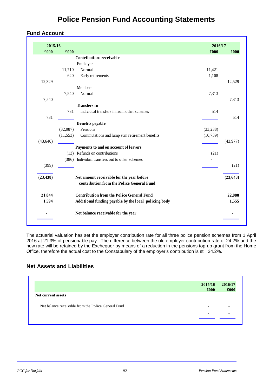# **Police Pension Fund Accounting Statements**

# **Fund Account**

| 2015/16   |           |                                                                                        | 2016/17   |           |
|-----------|-----------|----------------------------------------------------------------------------------------|-----------|-----------|
| £000      | £000      |                                                                                        | £000      | £000      |
|           |           | <b>Contributions receivable</b>                                                        |           |           |
|           |           | Employer                                                                               |           |           |
|           | 11,710    | Normal                                                                                 | 11,421    |           |
|           | 620       | Early retirements                                                                      | 1,108     |           |
| 12,329    |           |                                                                                        |           | 12,529    |
|           |           | Members                                                                                |           |           |
|           | 7,540     | Normal                                                                                 | 7,313     |           |
| 7,540     |           |                                                                                        |           | 7,313     |
|           |           | <b>Transfers in</b>                                                                    |           |           |
|           | 731       | Individual transfers in from other schemes                                             | 514       |           |
| 731       |           |                                                                                        |           | 514       |
|           |           | <b>Benefits</b> payable                                                                |           |           |
|           | (32,087)  | Pensions                                                                               | (33, 238) |           |
|           | (11, 553) | Commutations and lump sum retirement benefits                                          | (10, 739) |           |
| (43, 640) |           |                                                                                        |           | (43,977)  |
|           |           | Payments to and on account of leavers                                                  |           |           |
|           |           | (13) Refunds on contributions                                                          | (21)      |           |
|           |           | (386) Individual transfers out to other schemes                                        |           |           |
| (399)     |           |                                                                                        |           | (21)      |
| (23, 438) |           | Net amount receivable for the year before<br>contribution from the Police General Fund |           | (23, 643) |
| 21,844    |           | <b>Contribution from the Police General Fund</b>                                       |           | 22,088    |
| 1,594     |           | Additional funding payable by the local policing body                                  |           | 1,555     |
|           |           | Net balance receivable for the year                                                    |           |           |

The actuarial valuation has set the employer contribution rate for all three police pension schemes from 1 April 2016 at 21.3% of pensionable pay. The difference between the old employer contribution rate of 24.2% and the new rate will be retained by the Exchequer by means of a reduction in the pensions top-up grant from the Home Office, therefore the actual cost to the Constabulary of the employer's contribution is still 24.2%.

# **Net Assets and Liabilities**

|                                                     | 2015/16 | 2016/17                  |
|-----------------------------------------------------|---------|--------------------------|
|                                                     | £000    | £000                     |
| Net current assets                                  |         |                          |
| Net balance receivable from the Police General Fund | -       | $\overline{\phantom{a}}$ |
|                                                     |         | -                        |
|                                                     |         |                          |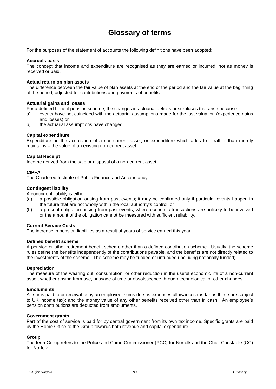# **Glossary of terms**

For the purposes of the statement of accounts the following definitions have been adopted:

#### **Accruals basis**

The concept that income and expenditure are recognised as they are earned or incurred, not as money is received or paid.

#### **Actual return on plan assets**

The difference between the fair value of plan assets at the end of the period and the fair value at the beginning of the period, adjusted for contributions and payments of benefits.

#### **Actuarial gains and losses**

For a defined benefit pension scheme, the changes in actuarial deficits or surpluses that arise because:

- a) events have not coincided with the actuarial assumptions made for the last valuation (experience gains and losses) or
- b) the actuarial assumptions have changed.

#### **Capital expenditure**

Expenditure on the acquisition of a non-current asset; or expenditure which adds to – rather than merely maintains – the value of an existing non-current asset.

#### **Capital Receipt**

Income derived from the sale or disposal of a non-current asset.

#### **CIPFA**

The Chartered Institute of Public Finance and Accountancy.

#### **Contingent liability**

A contingent liability is either:

- (a) a possible obligation arising from past events; it may be confirmed only if particular events happen in the future that are not wholly within the local authority's control; or
- (b) a present obligation arising from past events, where economic transactions are unlikely to be involved or the amount of the obligation cannot be measured with sufficient reliability.

#### **Current Service Costs**

The increase in pension liabilities as a result of years of service earned this year.

#### **Defined benefit scheme**

A pension or other retirement benefit scheme other than a defined contribution scheme. Usually, the scheme rules define the benefits independently of the contributions payable, and the benefits are not directly related to the investments of the scheme. The scheme may be funded or unfunded (including notionally funded).

#### **Depreciation**

The measure of the wearing out, consumption, or other reduction in the useful economic life of a non-current asset, whether arising from use, passage of time or obsolescence through technological or other changes.

#### **Emoluments**

All sums paid to or receivable by an employee; sums due as expenses allowances (as far as these are subject to UK income tax); and the money value of any other benefits received other than in cash. An employee's pension contributions are deducted from emoluments.

#### **Government grants**

Part of the cost of service is paid for by central government from its own tax income. Specific grants are paid by the Home Office to the Group towards both revenue and capital expenditure.

#### **Group**

The term Group refers to the Police and Crime Commissioner (PCC) for Norfolk and the Chief Constable (CC) for Norfolk.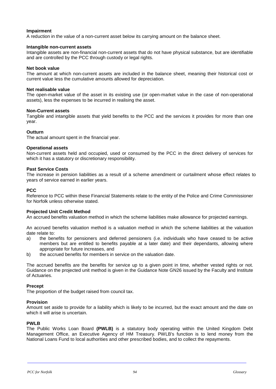#### **Impairment**

A reduction in the value of a non-current asset below its carrying amount on the balance sheet.

#### **Intangible non-current assets**

Intangible assets are non-financial non-current assets that do not have physical substance, but are identifiable and are controlled by the PCC through custody or legal rights.

#### **Net book value**

The amount at which non-current assets are included in the balance sheet, meaning their historical cost or current value less the cumulative amounts allowed for depreciation.

#### **Net realisable value**

The open-market value of the asset in its existing use (or open-market value in the case of non-operational assets), less the expenses to be incurred in realising the asset.

#### **Non-Current assets**

Tangible and intangible assets that yield benefits to the PCC and the services it provides for more than one year.

#### **Outturn**

The actual amount spent in the financial year.

#### **Operational assets**

Non-current assets held and occupied, used or consumed by the PCC in the direct delivery of services for which it has a statutory or discretionary responsibility.

#### **Past Service Costs**

The increase in pension liabilities as a result of a scheme amendment or curtailment whose effect relates to years of service earned in earlier years.

#### **PCC**

Reference to PCC within these Financial Statements relate to the entity of the Police and Crime Commissioner for Norfolk unless otherwise stated.

#### **Projected Unit Credit Method**

An accrued benefits valuation method in which the scheme liabilities make allowance for projected earnings.

An accrued benefits valuation method is a valuation method in which the scheme liabilities at the valuation date relate to:

- a) the benefits for pensioners and deferred pensioners (i.e. individuals who have ceased to be active members but are entitled to benefits payable at a later date) and their dependants, allowing where appropriate for future increases, and
- b) the accrued benefits for members in service on the valuation date.

The accrued benefits are the benefits for service up to a given point in time, whether vested rights or not. Guidance on the projected unit method is given in the Guidance Note GN26 issued by the Faculty and Institute of Actuaries.

#### **Precept**

The proportion of the budget raised from council tax.

#### **Provision**

Amount set aside to provide for a liability which is likely to be incurred, but the exact amount and the date on which it will arise is uncertain.

#### **PWLB**

The Public Works Loan Board **(PWLB)** is a statutory body operating within the United Kingdom Debt Management Office, an Executive Agency of HM Treasury. PWLB's function is to lend money from the National Loans Fund to local authorities and other prescribed bodies, and to collect the repayments.